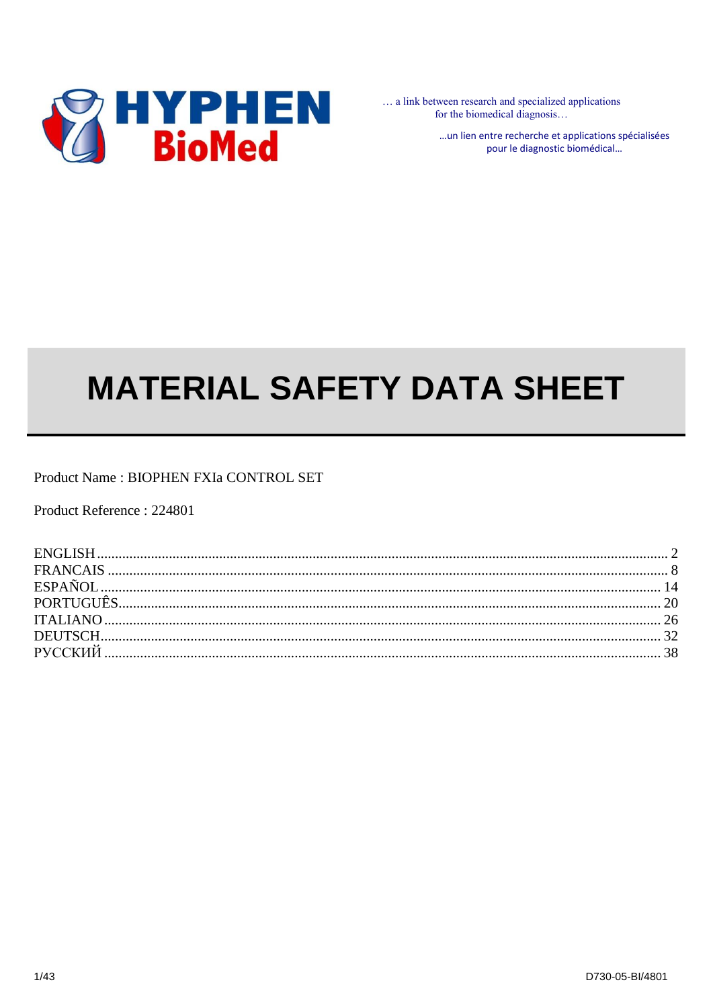

... a link between research and specialized applications for the biomedical diagnosis...

> ... un lien entre recherche et applications spécialisées pour le diagnostic biomédical...

# **MATERIAL SAFETY DATA SHEET**

Product Name: BIOPHEN FXIa CONTROL SET

Product Reference: 224801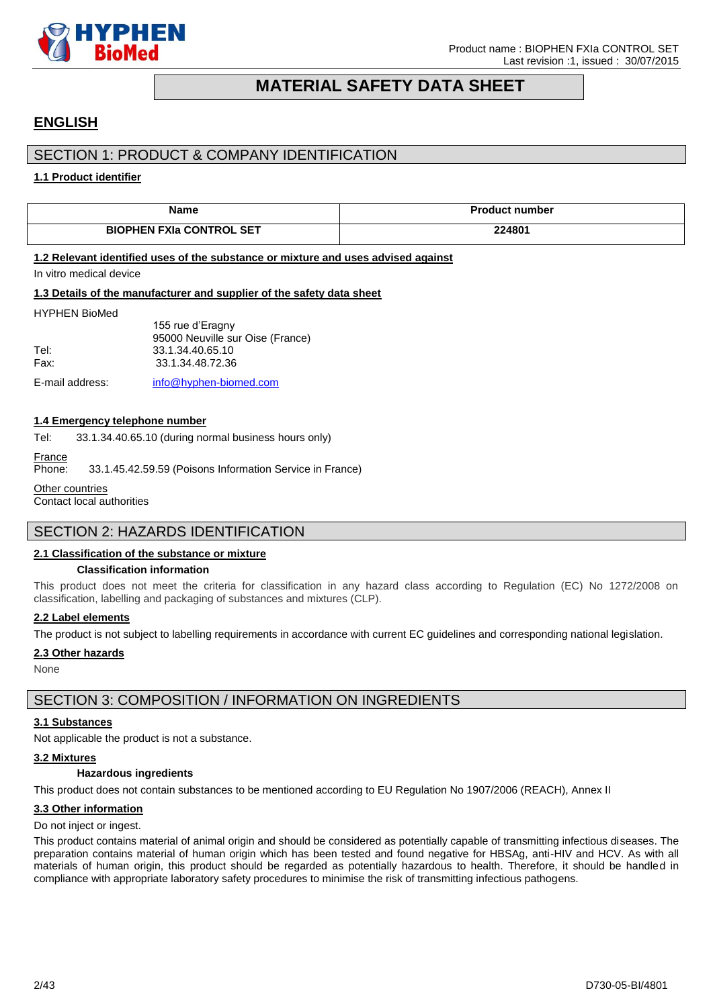

# **MATERIAL SAFETY DATA SHEET**

# <span id="page-1-0"></span>**ENGLISH**

# SECTION 1: PRODUCT & COMPANY IDENTIFICATION

### **1.1 Product identifier**

| <b>Name</b>                                                                       | <b>Product number</b> |  |
|-----------------------------------------------------------------------------------|-----------------------|--|
| <b>BIOPHEN FXIa CONTROL SET</b>                                                   | 224801                |  |
| 1.2 Relevant identified uses of the substance or mixture and uses advised against |                       |  |

#### In vitro medical device

**1.3 Details of the manufacturer and supplier of the safety data sheet**

#### HYPHEN BioMed

155 rue d'Eragny 95000 Neuville sur Oise (France) Tel: 33.1.34.40.65.10 Fax: 33.1.34.48.72.36

E-mail address: [info@hyphen-biomed.com](mailto:info@hyphen-biomed.com)

#### **1.4 Emergency telephone number**

Tel: 33.1.34.40.65.10 (during normal business hours only)

France

Phone: 33.1.45.42.59.59 (Poisons Information Service in France)

Other countries

Contact local authorities

# SECTION 2: HAZARDS IDENTIFICATION

#### **2.1 Classification of the substance or mixture**

#### **Classification information**

This product does not meet the criteria for classification in any hazard class according to Regulation (EC) No 1272/2008 on classification, labelling and packaging of substances and mixtures (CLP).

### **2.2 Label elements**

The product is not subject to labelling requirements in accordance with current EC guidelines and corresponding national legislation.

### **2.3 Other hazards**

**None** 

# SECTION 3: COMPOSITION / INFORMATION ON INGREDIENTS

#### **3.1 Substances**

Not applicable the product is not a substance.

#### **3.2 Mixtures**

#### **Hazardous ingredients**

This product does not contain substances to be mentioned according to EU Regulation No 1907/2006 (REACH), Annex II

#### **3.3 Other information**

#### Do not inject or ingest.

This product contains material of animal origin and should be considered as potentially capable of transmitting infectious diseases. The preparation contains material of human origin which has been tested and found negative for HBSAg, anti-HIV and HCV. As with all materials of human origin, this product should be regarded as potentially hazardous to health. Therefore, it should be handled in compliance with appropriate laboratory safety procedures to minimise the risk of transmitting infectious pathogens.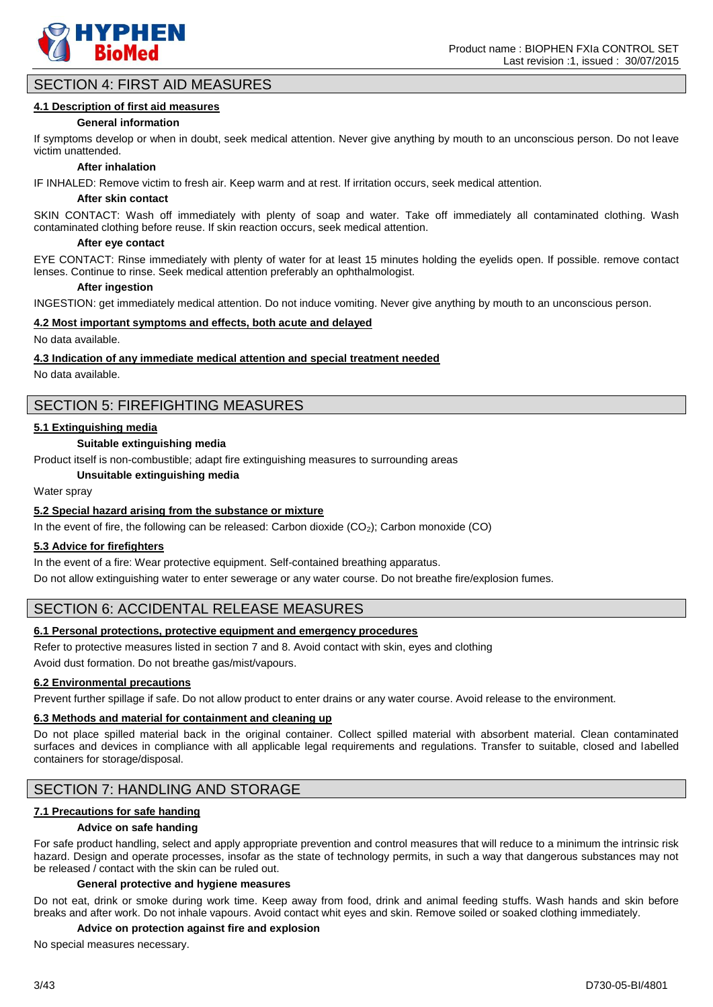

# SECTION 4: FIRST AID MEASURES

### **4.1 Description of first aid measures**

#### **General information**

If symptoms develop or when in doubt, seek medical attention. Never give anything by mouth to an unconscious person. Do not leave victim unattended.

#### **After inhalation**

IF INHALED: Remove victim to fresh air. Keep warm and at rest. If irritation occurs, seek medical attention.

#### **After skin contact**

SKIN CONTACT: Wash off immediately with plenty of soap and water. Take off immediately all contaminated clothing. Wash contaminated clothing before reuse. If skin reaction occurs, seek medical attention.

#### **After eye contact**

EYE CONTACT: Rinse immediately with plenty of water for at least 15 minutes holding the eyelids open. If possible. remove contact lenses. Continue to rinse. Seek medical attention preferably an ophthalmologist.

#### **After ingestion**

INGESTION: get immediately medical attention. Do not induce vomiting. Never give anything by mouth to an unconscious person.

### **4.2 Most important symptoms and effects, both acute and delayed**

No data available.

#### **4.3 Indication of any immediate medical attention and special treatment needed**

No data available.

# SECTION 5: FIREFIGHTING MEASURES

#### **5.1 Extinguishing media**

#### **Suitable extinguishing media**

Product itself is non-combustible; adapt fire extinguishing measures to surrounding areas

**Unsuitable extinguishing media**

Water spray

#### **5.2 Special hazard arising from the substance or mixture**

In the event of fire, the following can be released: Carbon dioxide  $(CO<sub>2</sub>)$ ; Carbon monoxide  $(CO)$ 

#### **5.3 Advice for firefighters**

In the event of a fire: Wear protective equipment. Self-contained breathing apparatus.

Do not allow extinguishing water to enter sewerage or any water course. Do not breathe fire/explosion fumes.

# SECTION 6: ACCIDENTAL RELEASE MEASURES

#### **6.1 Personal protections, protective equipment and emergency procedures**

Refer to protective measures listed in section 7 and 8. Avoid contact with skin, eyes and clothing

Avoid dust formation. Do not breathe gas/mist/vapours.

# **6.2 Environmental precautions**

Prevent further spillage if safe. Do not allow product to enter drains or any water course. Avoid release to the environment.

### **6.3 Methods and material for containment and cleaning up**

Do not place spilled material back in the original container. Collect spilled material with absorbent material. Clean contaminated surfaces and devices in compliance with all applicable legal requirements and regulations. Transfer to suitable, closed and labelled containers for storage/disposal.

# SECTION 7: HANDLING AND STORAGE

### **7.1 Precautions for safe handing**

#### **Advice on safe handing**

For safe product handling, select and apply appropriate prevention and control measures that will reduce to a minimum the intrinsic risk hazard. Design and operate processes, insofar as the state of technology permits, in such a way that dangerous substances may not be released / contact with the skin can be ruled out.

#### **General protective and hygiene measures**

Do not eat, drink or smoke during work time. Keep away from food, drink and animal feeding stuffs. Wash hands and skin before breaks and after work. Do not inhale vapours. Avoid contact whit eyes and skin. Remove soiled or soaked clothing immediately.

#### **Advice on protection against fire and explosion**

No special measures necessary.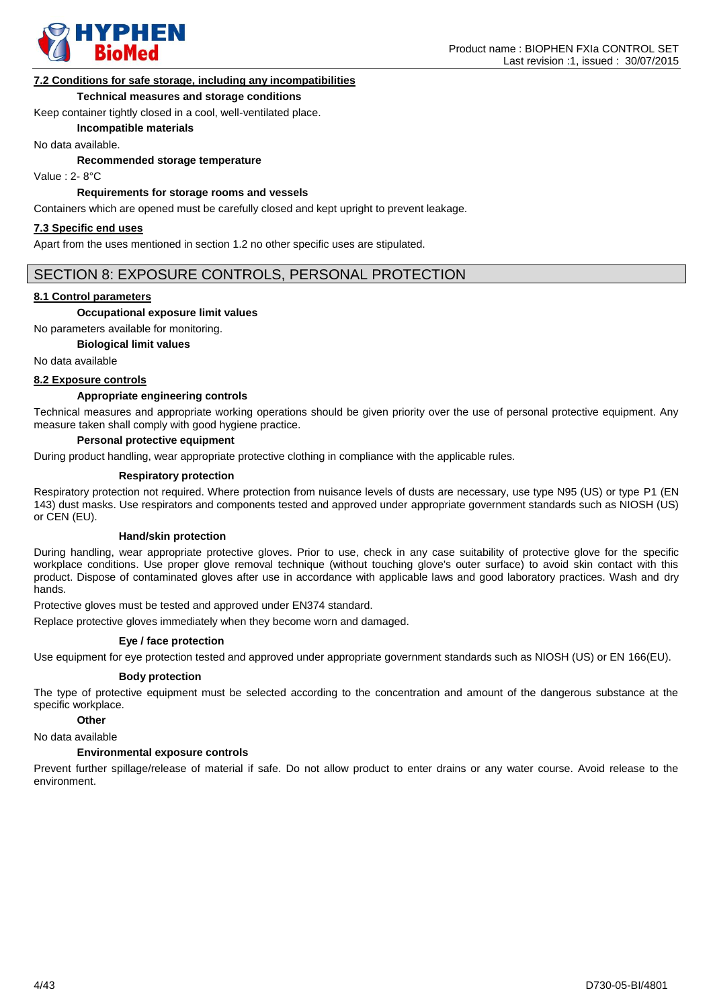

### **7.2 Conditions for safe storage, including any incompatibilities**

#### **Technical measures and storage conditions**

Keep container tightly closed in a cool, well-ventilated place.

**Incompatible materials**

No data available.

**Recommended storage temperature**

Value : 2- 8°C

#### **Requirements for storage rooms and vessels**

Containers which are opened must be carefully closed and kept upright to prevent leakage.

#### **7.3 Specific end uses**

Apart from the uses mentioned in section 1.2 no other specific uses are stipulated.

# SECTION 8: EXPOSURE CONTROLS, PERSONAL PROTECTION

#### **8.1 Control parameters**

#### **Occupational exposure limit values**

No parameters available for monitoring.

#### **Biological limit values**

No data available

#### **8.2 Exposure controls**

#### **Appropriate engineering controls**

Technical measures and appropriate working operations should be given priority over the use of personal protective equipment. Any measure taken shall comply with good hygiene practice.

### **Personal protective equipment**

During product handling, wear appropriate protective clothing in compliance with the applicable rules.

#### **Respiratory protection**

Respiratory protection not required. Where protection from nuisance levels of dusts are necessary, use type N95 (US) or type P1 (EN 143) dust masks. Use respirators and components tested and approved under appropriate government standards such as NIOSH (US) or CEN (EU).

#### **Hand/skin protection**

During handling, wear appropriate protective gloves. Prior to use, check in any case suitability of protective glove for the specific workplace conditions. Use proper glove removal technique (without touching glove's outer surface) to avoid skin contact with this product. Dispose of contaminated gloves after use in accordance with applicable laws and good laboratory practices. Wash and dry hands.

Protective gloves must be tested and approved under EN374 standard.

Replace protective gloves immediately when they become worn and damaged.

#### **Eye / face protection**

Use equipment for eye protection tested and approved under appropriate government standards such as NIOSH (US) or EN 166(EU).

#### **Body protection**

The type of protective equipment must be selected according to the concentration and amount of the dangerous substance at the specific workplace.

#### **Other**

No data available

#### **Environmental exposure controls**

Prevent further spillage/release of material if safe. Do not allow product to enter drains or any water course. Avoid release to the environment.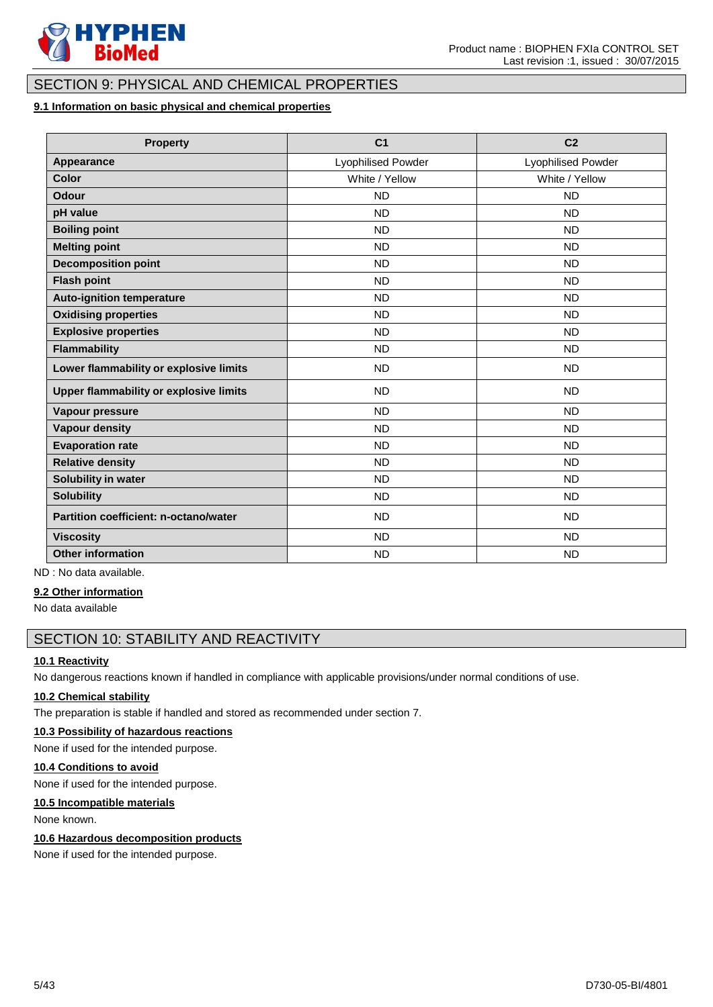

# SECTION 9: PHYSICAL AND CHEMICAL PROPERTIES

# **9.1 Information on basic physical and chemical properties**

| <b>Property</b>                        | C <sub>1</sub>            | C <sub>2</sub>            |
|----------------------------------------|---------------------------|---------------------------|
| Appearance                             | <b>Lyophilised Powder</b> | <b>Lyophilised Powder</b> |
| Color                                  | White / Yellow            | White / Yellow            |
| Odour                                  | <b>ND</b>                 | <b>ND</b>                 |
| pH value                               | <b>ND</b>                 | <b>ND</b>                 |
| <b>Boiling point</b>                   | <b>ND</b>                 | <b>ND</b>                 |
| <b>Melting point</b>                   | <b>ND</b>                 | <b>ND</b>                 |
| <b>Decomposition point</b>             | <b>ND</b>                 | <b>ND</b>                 |
| <b>Flash point</b>                     | <b>ND</b>                 | <b>ND</b>                 |
| <b>Auto-ignition temperature</b>       | <b>ND</b>                 | <b>ND</b>                 |
| <b>Oxidising properties</b>            | <b>ND</b>                 | <b>ND</b>                 |
| <b>Explosive properties</b>            | <b>ND</b>                 | <b>ND</b>                 |
| <b>Flammability</b>                    | <b>ND</b>                 | <b>ND</b>                 |
| Lower flammability or explosive limits | <b>ND</b>                 | <b>ND</b>                 |
| Upper flammability or explosive limits | <b>ND</b>                 | <b>ND</b>                 |
| Vapour pressure                        | <b>ND</b>                 | <b>ND</b>                 |
| <b>Vapour density</b>                  | <b>ND</b>                 | <b>ND</b>                 |
| <b>Evaporation rate</b>                | <b>ND</b>                 | <b>ND</b>                 |
| <b>Relative density</b>                | <b>ND</b>                 | <b>ND</b>                 |
| Solubility in water                    | <b>ND</b>                 | <b>ND</b>                 |
| <b>Solubility</b>                      | <b>ND</b>                 | <b>ND</b>                 |
| Partition coefficient: n-octano/water  | <b>ND</b>                 | <b>ND</b>                 |
| <b>Viscosity</b>                       | <b>ND</b>                 | <b>ND</b>                 |
| <b>Other information</b>               | <b>ND</b>                 | <b>ND</b>                 |

ND : No data available.

#### **9.2 Other information**

No data available

# SECTION 10: STABILITY AND REACTIVITY

# **10.1 Reactivity**

No dangerous reactions known if handled in compliance with applicable provisions/under normal conditions of use.

### **10.2 Chemical stability**

The preparation is stable if handled and stored as recommended under section 7.

# **10.3 Possibility of hazardous reactions**

None if used for the intended purpose.

# **10.4 Conditions to avoid**

None if used for the intended purpose.

### **10.5 Incompatible materials**

None known.

#### **10.6 Hazardous decomposition products**

None if used for the intended purpose.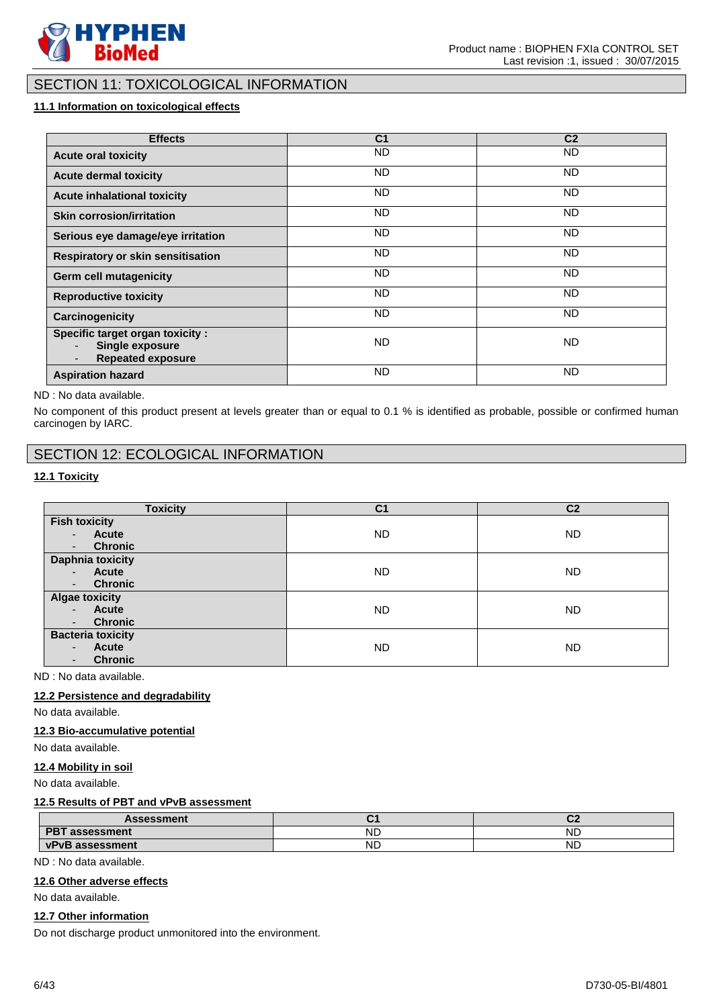

# SECTION 11: TOXICOLOGICAL INFORMATION

# **11.1 Information on toxicological effects**

| <b>Effects</b>                                                                  | C <sub>1</sub> | C <sub>2</sub> |
|---------------------------------------------------------------------------------|----------------|----------------|
| <b>Acute oral toxicity</b>                                                      | <b>ND</b>      | ND.            |
| <b>Acute dermal toxicity</b>                                                    | ND.            | ND.            |
| <b>Acute inhalational toxicity</b>                                              | ND.            | ND.            |
| <b>Skin corrosion/irritation</b>                                                | ND.            | ND.            |
| Serious eye damage/eye irritation                                               | ND.            | ND.            |
| Respiratory or skin sensitisation                                               | ND.            | ND.            |
| <b>Germ cell mutagenicity</b>                                                   | ND.            | ND.            |
| <b>Reproductive toxicity</b>                                                    | ND.            | ND.            |
| Carcinogenicity                                                                 | ND.            | ND.            |
| Specific target organ toxicity :<br>Single exposure<br><b>Repeated exposure</b> | <b>ND</b>      | ND.            |
| <b>Aspiration hazard</b>                                                        | <b>ND</b>      | <b>ND</b>      |

ND : No data available.

No component of this product present at levels greater than or equal to 0.1 % is identified as probable, possible or confirmed human carcinogen by IARC.

# SECTION 12: ECOLOGICAL INFORMATION

### **12.1 Toxicity**

| <b>Toxicity</b>                            | C <sub>1</sub> | C <sub>2</sub> |
|--------------------------------------------|----------------|----------------|
| <b>Fish toxicity</b>                       |                |                |
| Acute<br>$\blacksquare$                    | <b>ND</b>      | ND.            |
| <b>Chronic</b><br>$\overline{\phantom{a}}$ |                |                |
| <b>Daphnia toxicity</b>                    |                |                |
| <b>Acute</b><br>$\sim$                     | ND             | ND.            |
| <b>Chronic</b><br>$\blacksquare$           |                |                |
| <b>Algae toxicity</b>                      |                |                |
| <b>Acute</b><br>$\sim$                     | <b>ND</b>      | ND.            |
| <b>Chronic</b><br>٠.                       |                |                |
| <b>Bacteria toxicity</b>                   |                |                |
| Acute<br>$\overline{\phantom{0}}$          | <b>ND</b>      | ND.            |
| <b>Chronic</b><br>$\overline{\phantom{0}}$ |                |                |

ND : No data available.

# **12.2 Persistence and degradability**

No data available.

#### **12.3 Bio-accumulative potential**

No data available.

#### **12.4 Mobility in soil**

No data available.

### **12.5 Results of PBT and vPvB assessment**

| <b>Assessment</b>               |           | $\sim$<br>. . |
|---------------------------------|-----------|---------------|
| <b>PBT</b><br><b>assessment</b> | NL        | <b>NL</b>     |
| <b>vPvB</b> assessment          | <b>NL</b> | <b>ND</b>     |

ND : No data available.

### **12.6 Other adverse effects**

No data available.

#### **12.7 Other information**

Do not discharge product unmonitored into the environment.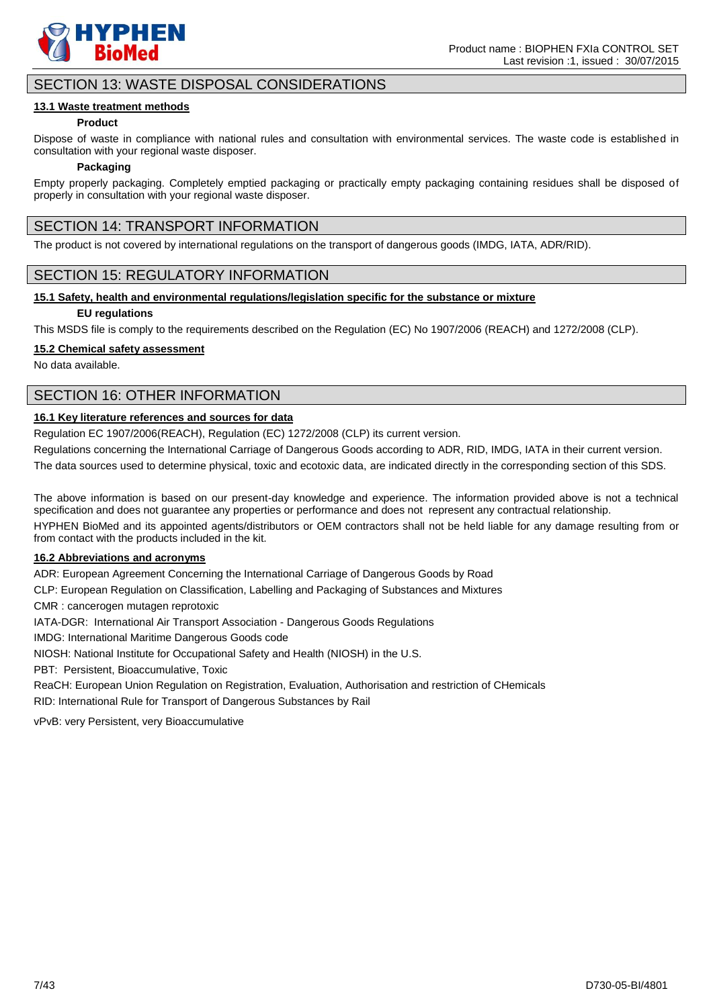

# SECTION 13: WASTE DISPOSAL CONSIDERATIONS

#### **13.1 Waste treatment methods**

#### **Product**

Dispose of waste in compliance with national rules and consultation with environmental services. The waste code is established in consultation with your regional waste disposer.

#### **Packaging**

Empty properly packaging. Completely emptied packaging or practically empty packaging containing residues shall be disposed of properly in consultation with your regional waste disposer.

# SECTION 14: TRANSPORT INFORMATION

The product is not covered by international regulations on the transport of dangerous goods (IMDG, IATA, ADR/RID).

# SECTION 15: REGULATORY INFORMATION

### **15.1 Safety, health and environmental regulations/legislation specific for the substance or mixture**

#### **EU regulations**

This MSDS file is comply to the requirements described on the Regulation (EC) No 1907/2006 (REACH) and 1272/2008 (CLP).

### **15.2 Chemical safety assessment**

No data available.

# SECTION 16: OTHER INFORMATION

### **16.1 Key literature references and sources for data**

Regulation EC 1907/2006(REACH), Regulation (EC) 1272/2008 (CLP) its current version.

Regulations concerning the International Carriage of Dangerous Goods according to ADR, RID, IMDG, IATA in their current version.

The data sources used to determine physical, toxic and ecotoxic data, are indicated directly in the corresponding section of this SDS.

The above information is based on our present-day knowledge and experience. The information provided above is not a technical specification and does not guarantee any properties or performance and does not represent any contractual relationship.

HYPHEN BioMed and its appointed agents/distributors or OEM contractors shall not be held liable for any damage resulting from or from contact with the products included in the kit.

### **16.2 Abbreviations and acronyms**

ADR: European Agreement Concerning the International Carriage of Dangerous Goods by Road

CLP: European Regulation on Classification, Labelling and Packaging of Substances and Mixtures

CMR : cancerogen mutagen reprotoxic

IATA-DGR: International Air Transport Association - Dangerous Goods Regulations

IMDG: International Maritime Dangerous Goods code

NIOSH: National Institute for Occupational Safety and Health (NIOSH) in the U.S.

PBT: Persistent, Bioaccumulative, Toxic

ReaCH: European Union Regulation on Registration, Evaluation, Authorisation and restriction of CHemicals RID: International Rule for Transport of Dangerous Substances by Rail

vPvB: very Persistent, very Bioaccumulative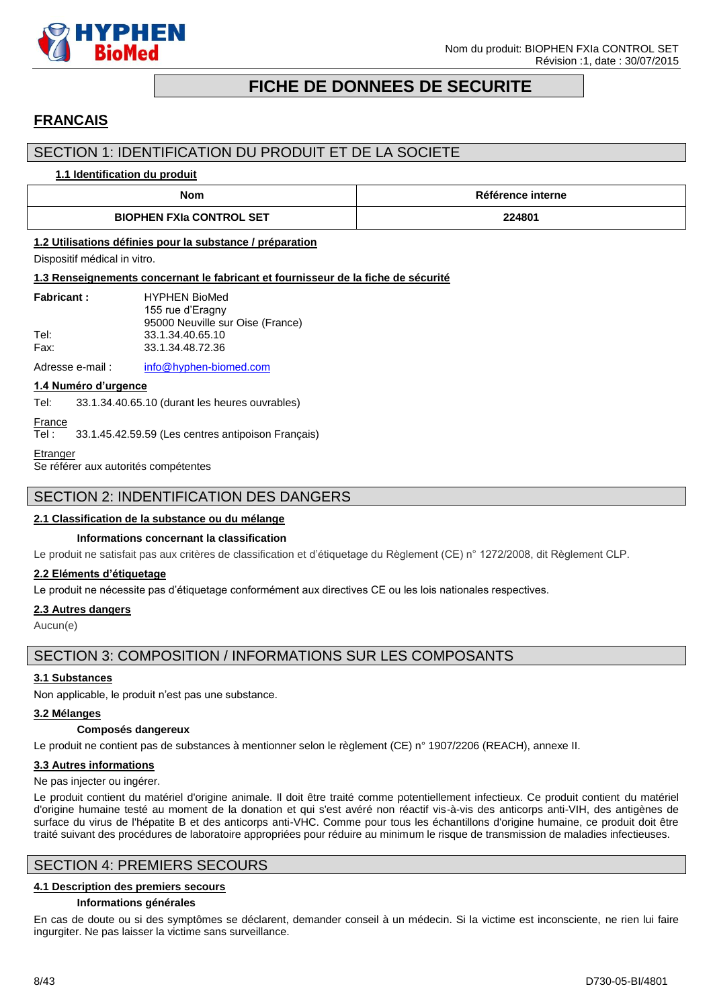

# **FICHE DE DONNEES DE SECURITE**

# <span id="page-7-0"></span>**FRANCAIS**

# SECTION 1: IDENTIFICATION DU PRODUIT ET DE LA SOCIETE

#### **1.1 Identification du produit**

| Nom                             | Référence interne |  |
|---------------------------------|-------------------|--|
| <b>BIOPHEN FXIa CONTROL SET</b> | 224801            |  |

#### **1.2 Utilisations définies pour la substance / préparation**

Dispositif médical in vitro.

#### **1.3 Renseignements concernant le fabricant et fournisseur de la fiche de sécurité**

| <b>Fabricant:</b> | <b>HYPHEN BioMed</b>             |
|-------------------|----------------------------------|
|                   | 155 rue d'Eragny                 |
|                   | 95000 Neuville sur Oise (France) |
| Tel:              | 33.1.34.40.65.10                 |
| Fax:              | 33.1.34.48.72.36                 |
|                   |                                  |

Adresse e-mail : [info@hyphen-biomed.com](mailto:info@hyphen-biomed.com)

#### **1.4 Numéro d'urgence**

Tel: 33.1.34.40.65.10 (durant les heures ouvrables)

# **France**

Tel : 33.1.45.42.59.59 (Les centres antipoison Français)

# **Etranger**

Se référer aux autorités compétentes

# SECTION 2: INDENTIFICATION DES DANGERS

### **2.1 Classification de la substance ou du mélange**

#### **Informations concernant la classification**

Le produit ne satisfait pas aux critères de classification et d'étiquetage du Règlement (CE) n° 1272/2008, dit Règlement CLP.

#### **2.2 Eléments d'étiquetage**

Le produit ne nécessite pas d'étiquetage conformément aux directives CE ou les lois nationales respectives.

#### **2.3 Autres dangers**

Aucun(e)

# SECTION 3: COMPOSITION / INFORMATIONS SUR LES COMPOSANTS

# **3.1 Substances**

Non applicable, le produit n'est pas une substance.

#### **3.2 Mélanges**

#### **Composés dangereux**

Le produit ne contient pas de substances à mentionner selon le règlement (CE) n° 1907/2206 (REACH), annexe II.

### **3.3 Autres informations**

Ne pas injecter ou ingérer.

Le produit contient du matériel d'origine animale. Il doit être traité comme potentiellement infectieux. Ce produit contient du matériel d'origine humaine testé au moment de la donation et qui s'est avéré non réactif vis-à-vis des anticorps anti-VIH, des antigènes de surface du virus de l'hépatite B et des anticorps anti-VHC. Comme pour tous les échantillons d'origine humaine, ce produit doit être traité suivant des procédures de laboratoire appropriées pour réduire au minimum le risque de transmission de maladies infectieuses.

# SECTION 4: PREMIERS SECOURS

#### **4.1 Description des premiers secours**

#### **Informations générales**

En cas de doute ou si des symptômes se déclarent, demander conseil à un médecin. Si la victime est inconsciente, ne rien lui faire ingurgiter. Ne pas laisser la victime sans surveillance.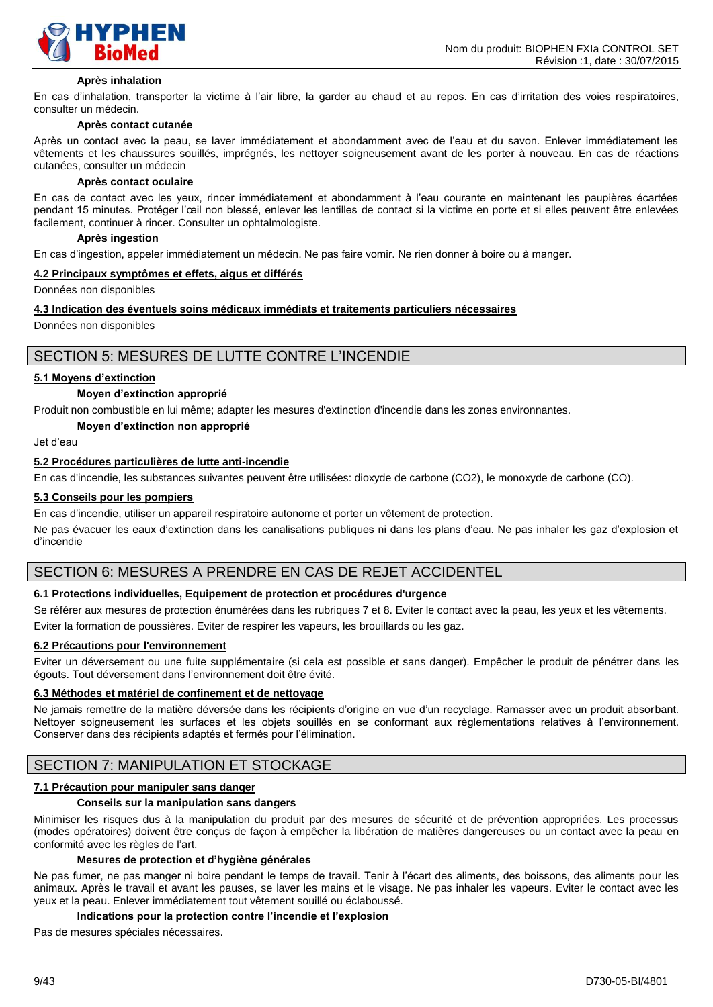

#### **Après inhalation**

En cas d'inhalation, transporter la victime à l'air libre, la garder au chaud et au repos. En cas d'irritation des voies respiratoires, consulter un médecin.

#### **Après contact cutanée**

Après un contact avec la peau, se laver immédiatement et abondamment avec de l'eau et du savon. Enlever immédiatement les vêtements et les chaussures souillés, imprégnés, les nettoyer soigneusement avant de les porter à nouveau. En cas de réactions cutanées, consulter un médecin

#### **Après contact oculaire**

En cas de contact avec les yeux, rincer immédiatement et abondamment à l'eau courante en maintenant les paupières écartées pendant 15 minutes. Protéger l'œil non blessé, enlever les lentilles de contact si la victime en porte et si elles peuvent être enlevées facilement, continuer à rincer. Consulter un ophtalmologiste.

#### **Après ingestion**

En cas d'ingestion, appeler immédiatement un médecin. Ne pas faire vomir. Ne rien donner à boire ou à manger.

#### **4.2 Principaux symptômes et effets, aigus et différés**

Données non disponibles

#### **4.3 Indication des éventuels soins médicaux immédiats et traitements particuliers nécessaires**

Données non disponibles

# SECTION 5: MESURES DE LUTTE CONTRE L'INCENDIE

#### **5.1 Moyens d'extinction**

#### **Moyen d'extinction approprié**

Produit non combustible en lui même; adapter les mesures d'extinction d'incendie dans les zones environnantes.

#### **Moyen d'extinction non approprié**

Jet d'eau

#### **5.2 Procédures particulières de lutte anti-incendie**

En cas d'incendie, les substances suivantes peuvent être utilisées: dioxyde de carbone (CO2), le monoxyde de carbone (CO).

#### **5.3 Conseils pour les pompiers**

En cas d'incendie, utiliser un appareil respiratoire autonome et porter un vêtement de protection.

Ne pas évacuer les eaux d'extinction dans les canalisations publiques ni dans les plans d'eau. Ne pas inhaler les gaz d'explosion et d'incendie

# SECTION 6: MESURES A PRENDRE EN CAS DE REJET ACCIDENTEL

# **6.1 Protections individuelles, Equipement de protection et procédures d'urgence**

Se référer aux mesures de protection énumérées dans les rubriques 7 et 8. Eviter le contact avec la peau, les yeux et les vêtements.

Eviter la formation de poussières. Eviter de respirer les vapeurs, les brouillards ou les gaz.

# **6.2 Précautions pour l'environnement**

Eviter un déversement ou une fuite supplémentaire (si cela est possible et sans danger). Empêcher le produit de pénétrer dans les égouts. Tout déversement dans l'environnement doit être évité.

#### **6.3 Méthodes et matériel de confinement et de nettoyage**

Ne jamais remettre de la matière déversée dans les récipients d'origine en vue d'un recyclage. Ramasser avec un produit absorbant. Nettoyer soigneusement les surfaces et les objets souillés en se conformant aux règlementations relatives à l'environnement. Conserver dans des récipients adaptés et fermés pour l'élimination.

# SECTION 7: MANIPULATION ET STOCKAGE

#### **7.1 Précaution pour manipuler sans danger**

#### **Conseils sur la manipulation sans dangers**

Minimiser les risques dus à la manipulation du produit par des mesures de sécurité et de prévention appropriées. Les processus (modes opératoires) doivent être conçus de façon à empêcher la libération de matières dangereuses ou un contact avec la peau en conformité avec les règles de l'art.

#### **Mesures de protection et d'hygiène générales**

Ne pas fumer, ne pas manger ni boire pendant le temps de travail. Tenir à l'écart des aliments, des boissons, des aliments pour les animaux. Après le travail et avant les pauses, se laver les mains et le visage. Ne pas inhaler les vapeurs. Eviter le contact avec les yeux et la peau. Enlever immédiatement tout vêtement souillé ou éclaboussé.

#### **Indications pour la protection contre l'incendie et l'explosion**

Pas de mesures spéciales nécessaires.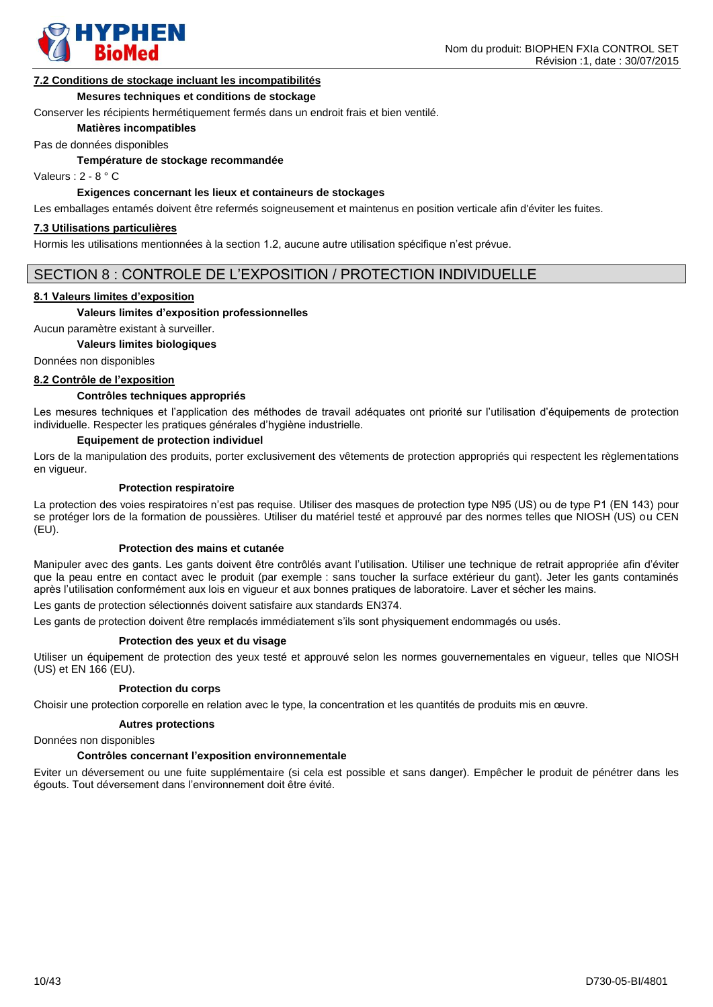

#### **7.2 Conditions de stockage incluant les incompatibilités**

#### **Mesures techniques et conditions de stockage**

Conserver les récipients hermétiquement fermés dans un endroit frais et bien ventilé.

**Matières incompatibles**

Pas de données disponibles

**Température de stockage recommandée**

Valeurs : 2 - 8 ° C

# **Exigences concernant les lieux et containeurs de stockages**

Les emballages entamés doivent être refermés soigneusement et maintenus en position verticale afin d'éviter les fuites.

#### **7.3 Utilisations particulières**

Hormis les utilisations mentionnées à la section 1.2, aucune autre utilisation spécifique n'est prévue.

### SECTION 8 : CONTROLE DE L'EXPOSITION / PROTECTION INDIVIDUELLE

#### **8.1 Valeurs limites d'exposition**

#### **Valeurs limites d'exposition professionnelles**

Aucun paramètre existant à surveiller.

#### **Valeurs limites biologiques**

Données non disponibles

#### **8.2 Contrôle de l'exposition**

#### **Contrôles techniques appropriés**

Les mesures techniques et l'application des méthodes de travail adéquates ont priorité sur l'utilisation d'équipements de protection individuelle. Respecter les pratiques générales d'hygiène industrielle.

#### **Equipement de protection individuel**

Lors de la manipulation des produits, porter exclusivement des vêtements de protection appropriés qui respectent les règlementations en vigueur.

#### **Protection respiratoire**

La protection des voies respiratoires n'est pas requise. Utiliser des masques de protection type N95 (US) ou de type P1 (EN 143) pour se protéger lors de la formation de poussières. Utiliser du matériel testé et approuvé par des normes telles que NIOSH (US) ou CEN (EU).

#### **Protection des mains et cutanée**

Manipuler avec des gants. Les gants doivent être contrôlés avant l'utilisation. Utiliser une technique de retrait appropriée afin d'éviter que la peau entre en contact avec le produit (par exemple : sans toucher la surface extérieur du gant). Jeter les gants contaminés après l'utilisation conformément aux lois en vigueur et aux bonnes pratiques de laboratoire. Laver et sécher les mains.

Les gants de protection sélectionnés doivent satisfaire aux standards EN374.

Les gants de protection doivent être remplacés immédiatement s'ils sont physiquement endommagés ou usés.

#### **Protection des yeux et du visage**

Utiliser un équipement de protection des yeux testé et approuvé selon les normes gouvernementales en vigueur, telles que NIOSH (US) et EN 166 (EU).

#### **Protection du corps**

Choisir une protection corporelle en relation avec le type, la concentration et les quantités de produits mis en œuvre.

#### **Autres protections**

Données non disponibles

#### **Contrôles concernant l'exposition environnementale**

Eviter un déversement ou une fuite supplémentaire (si cela est possible et sans danger). Empêcher le produit de pénétrer dans les égouts. Tout déversement dans l'environnement doit être évité.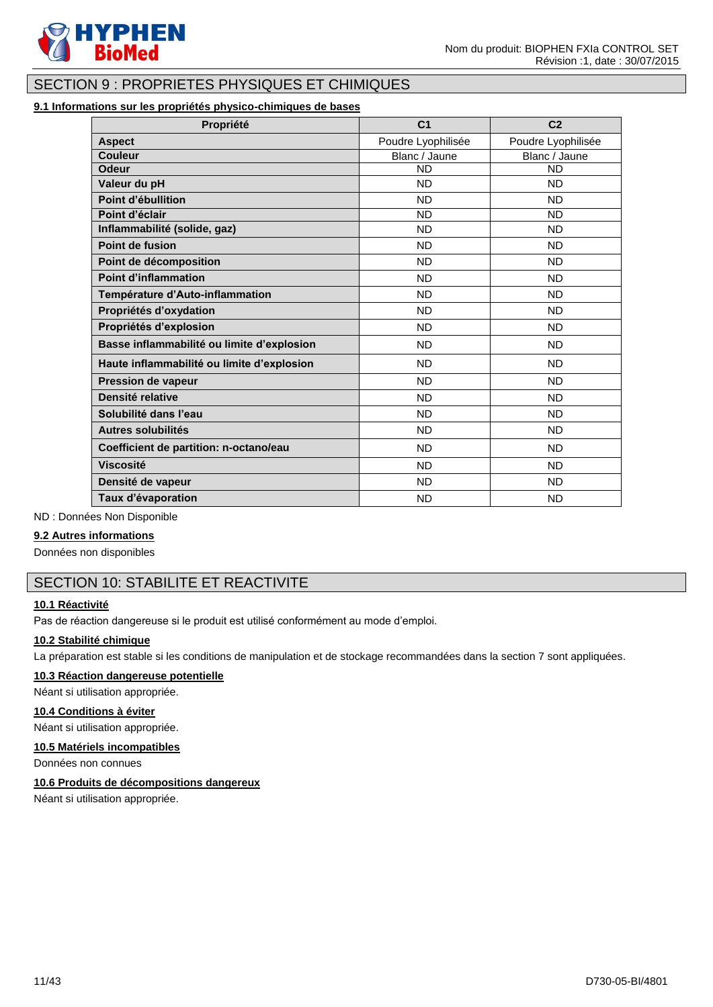

# SECTION 9 : PROPRIETES PHYSIQUES ET CHIMIQUES

# **9.1 Informations sur les propriétés physico-chimiques de bases**

| Propriété                                  | C <sub>1</sub>     | C <sub>2</sub>     |
|--------------------------------------------|--------------------|--------------------|
| <b>Aspect</b>                              | Poudre Lyophilisée | Poudre Lyophilisée |
| <b>Couleur</b>                             | Blanc / Jaune      | Blanc / Jaune      |
| <b>Odeur</b>                               | <b>ND</b>          | <b>ND</b>          |
| Valeur du pH                               | <b>ND</b>          | <b>ND</b>          |
| Point d'ébullition                         | <b>ND</b>          | <b>ND</b>          |
| Point d'éclair                             | <b>ND</b>          | <b>ND</b>          |
| Inflammabilité (solide, gaz)               | <b>ND</b>          | <b>ND</b>          |
| Point de fusion                            | <b>ND</b>          | <b>ND</b>          |
| Point de décomposition                     | <b>ND</b>          | <b>ND</b>          |
| <b>Point d'inflammation</b>                | <b>ND</b>          | <b>ND</b>          |
| Température d'Auto-inflammation            | <b>ND</b>          | <b>ND</b>          |
| Propriétés d'oxydation                     | <b>ND</b>          | <b>ND</b>          |
| Propriétés d'explosion                     | <b>ND</b>          | <b>ND</b>          |
| Basse inflammabilité ou limite d'explosion | <b>ND</b>          | <b>ND</b>          |
| Haute inflammabilité ou limite d'explosion | <b>ND</b>          | <b>ND</b>          |
| Pression de vapeur                         | <b>ND</b>          | <b>ND</b>          |
| Densité relative                           | <b>ND</b>          | <b>ND</b>          |
| Solubilité dans l'eau                      | <b>ND</b>          | <b>ND</b>          |
| Autres solubilités                         | <b>ND</b>          | <b>ND</b>          |
| Coefficient de partition: n-octano/eau     | <b>ND</b>          | <b>ND</b>          |
| <b>Viscosité</b>                           | <b>ND</b>          | <b>ND</b>          |
| Densité de vapeur                          | <b>ND</b>          | <b>ND</b>          |
| Taux d'évaporation                         | <b>ND</b>          | <b>ND</b>          |

ND : Données Non Disponible

# **9.2 Autres informations**

Données non disponibles

# SECTION 10: STABILITE ET REACTIVITE

# **10.1 Réactivité**

Pas de réaction dangereuse si le produit est utilisé conformément au mode d'emploi.

#### **10.2 Stabilité chimique**

La préparation est stable si les conditions de manipulation et de stockage recommandées dans la section 7 sont appliquées.

# **10.3 Réaction dangereuse potentielle**

Néant si utilisation appropriée.

#### **10.4 Conditions à éviter**

Néant si utilisation appropriée.

#### **10.5 Matériels incompatibles**

Données non connues

# **10.6 Produits de décompositions dangereux**

Néant si utilisation appropriée.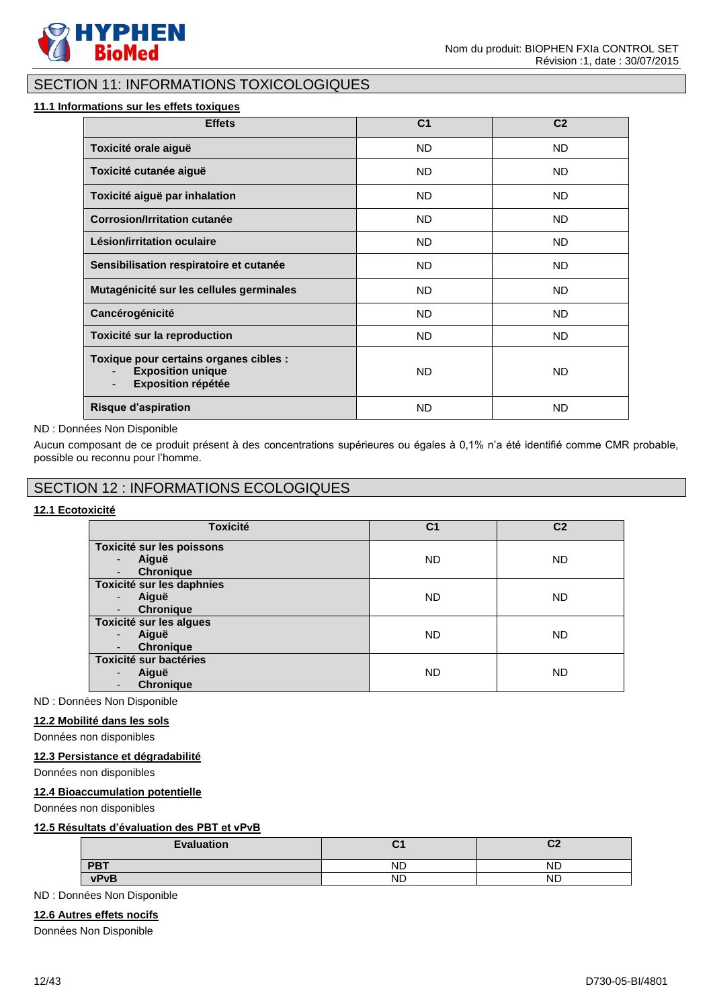

# SECTION 11: INFORMATIONS TOXICOLOGIQUES

### **11.1 Informations sur les effets toxiques**

| <b>Effets</b>                                                                                                               | C <sub>1</sub> | C <sub>2</sub> |
|-----------------------------------------------------------------------------------------------------------------------------|----------------|----------------|
| Toxicité orale aiguë                                                                                                        | ND.            | ND.            |
| Toxicité cutanée aiguë                                                                                                      | ND.            | ND.            |
| Toxicité aiguë par inhalation                                                                                               | ND.            | ND.            |
| <b>Corrosion/Irritation cutanée</b>                                                                                         | ND.            | ND.            |
| Lésion/irritation oculaire                                                                                                  | <b>ND</b>      | ND.            |
| Sensibilisation respiratoire et cutanée                                                                                     | <b>ND</b>      | <b>ND</b>      |
| Mutagénicité sur les cellules germinales                                                                                    | <b>ND</b>      | <b>ND</b>      |
| Cancérogénicité                                                                                                             | <b>ND</b>      | <b>ND</b>      |
| Toxicité sur la reproduction                                                                                                | <b>ND</b>      | ND.            |
| Toxique pour certains organes cibles :<br><b>Exposition unique</b><br><b>Exposition répétée</b><br>$\overline{\phantom{0}}$ | <b>ND</b>      | <b>ND</b>      |
| <b>Risque d'aspiration</b>                                                                                                  | <b>ND</b>      | <b>ND</b>      |

#### ND : Données Non Disponible

Aucun composant de ce produit présent à des concentrations supérieures ou égales à 0,1% n'a été identifié comme CMR probable, possible ou reconnu pour l'homme.

# SECTION 12 : INFORMATIONS ECOLOGIQUES

# **12.1 Ecotoxicité**

| <b>Toxicité</b>                                                                         | C1        | C <sub>2</sub> |
|-----------------------------------------------------------------------------------------|-----------|----------------|
| Toxicité sur les poissons<br>Aiguë<br>٠<br><b>Chronique</b><br>$\overline{\phantom{0}}$ | <b>ND</b> | <b>ND</b>      |
| Toxicité sur les daphnies<br>Aiguë<br>٠<br><b>Chronique</b>                             | <b>ND</b> | <b>ND</b>      |
| Toxicité sur les algues<br>Aiguë<br>٠<br><b>Chronique</b>                               | <b>ND</b> | <b>ND</b>      |
| <b>Toxicité sur bactéries</b><br>Aiguë<br>٠<br><b>Chronique</b>                         | <b>ND</b> | ND.            |

ND : Données Non Disponible

#### **12.2 Mobilité dans les sols**

Données non disponibles

# **12.3 Persistance et dégradabilité**

Données non disponibles

# **12.4 Bioaccumulation potentielle**

Données non disponibles

# **12.5 Résultats d'évaluation des PBT et vPvB**

| <b>Evaluation</b> |           | r0<br><u>vz</u> |
|-------------------|-----------|-----------------|
| <b>PBT</b>        | ND        | ND              |
| <b>vPvB</b>       | <b>ND</b> | <b>ND</b>       |

ND : Données Non Disponible

# **12.6 Autres effets nocifs**

Données Non Disponible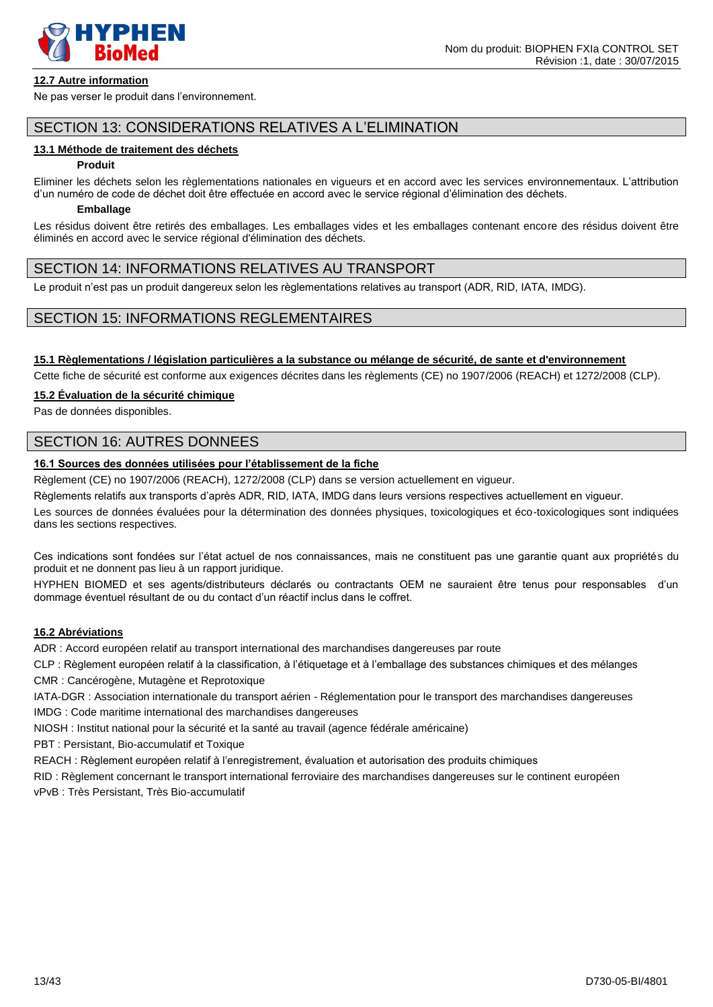

### **12.7 Autre information**

Ne pas verser le produit dans l'environnement.

# SECTION 13: CONSIDERATIONS RELATIVES A L'ELIMINATION

### **13.1 Méthode de traitement des déchets**

#### **Produit**

Eliminer les déchets selon les règlementations nationales en vigueurs et en accord avec les services environnementaux. L'attribution d'un numéro de code de déchet doit être effectuée en accord avec le service régional d'élimination des déchets.

#### **Emballage**

Les résidus doivent être retirés des emballages. Les emballages vides et les emballages contenant encore des résidus doivent être éliminés en accord avec le service régional d'élimination des déchets.

# SECTION 14: INFORMATIONS RELATIVES AU TRANSPORT

Le produit n'est pas un produit dangereux selon les règlementations relatives au transport (ADR, RID, IATA, IMDG).

# SECTION 15: INFORMATIONS REGLEMENTAIRES

#### **15.1 Règlementations / législation particulières a la substance ou mélange de sécurité, de sante et d'environnement**

Cette fiche de sécurité est conforme aux exigences décrites dans les règlements (CE) no 1907/2006 (REACH) et 1272/2008 (CLP).

### **15.2 Évaluation de la sécurité chimique**

Pas de données disponibles.

# SECTION 16: AUTRES DONNEES

# **16.1 Sources des données utilisées pour l'établissement de la fiche**

Règlement (CE) no 1907/2006 (REACH), 1272/2008 (CLP) dans se version actuellement en vigueur.

Règlements relatifs aux transports d'après ADR, RID, IATA, IMDG dans leurs versions respectives actuellement en vigueur.

Les sources de données évaluées pour la détermination des données physiques, toxicologiques et éco-toxicologiques sont indiquées dans les sections respectives.

Ces indications sont fondées sur l'état actuel de nos connaissances, mais ne constituent pas une garantie quant aux propriétés du produit et ne donnent pas lieu à un rapport juridique.

HYPHEN BIOMED et ses agents/distributeurs déclarés ou contractants OEM ne sauraient être tenus pour responsables d'un dommage éventuel résultant de ou du contact d'un réactif inclus dans le coffret.

# **16.2 Abréviations**

ADR : Accord européen relatif au transport international des marchandises dangereuses par route

CLP : Règlement européen relatif à la classification, à l'étiquetage et à l'emballage des substances chimiques et des mélanges CMR : Cancérogène, Mutagène et Reprotoxique

IATA-DGR : Association internationale du transport aérien - Réglementation pour le transport des marchandises dangereuses

IMDG : Code maritime international des marchandises dangereuses

NIOSH : Institut national pour la sécurité et la santé au travail (agence fédérale américaine)

PBT : Persistant, Bio-accumulatif et Toxique

REACH : Règlement européen relatif à l'enregistrement, évaluation et autorisation des produits chimiques

RID : Règlement concernant le transport international ferroviaire des marchandises dangereuses sur le continent européen

vPvB : Très Persistant, Très Bio-accumulatif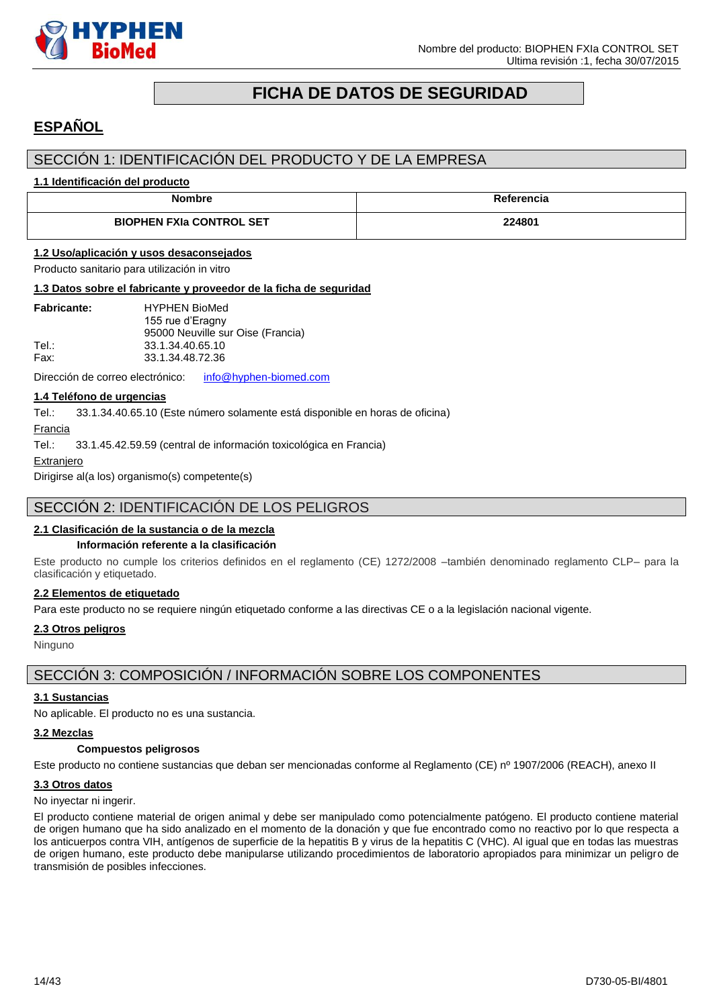

# **FICHA DE DATOS DE SEGURIDAD**

# <span id="page-13-0"></span>**ESPAÑOL**

# SECCIÓN 1: IDENTIFICACIÓN DEL PRODUCTO Y DE LA EMPRESA

### **1.1 Identificación del producto**

| <b>Nombre</b>                   | Referencia |
|---------------------------------|------------|
| <b>BIOPHEN FXIa CONTROL SET</b> | 224801     |

# **1.2 Uso/aplicación y usos desaconsejados**

Producto sanitario para utilización in vitro

#### **1.3 Datos sobre el fabricante y proveedor de la ficha de seguridad**

| <b>Fabricante:</b> | <b>HYPHEN BioMed</b>              |
|--------------------|-----------------------------------|
|                    | 155 rue d'Eragny                  |
|                    | 95000 Neuville sur Oise (Francia) |
| Tel :              | 33.1.34.40.65.10                  |
| Fax:               | 33.1.34.48.72.36                  |

Dirección de correo electrónico: [info@hyphen-biomed.com](mailto:info@hyphen-biomed.com)

# **1.4 Teléfono de urgencias**

Tel.: 33.1.34.40.65.10 (Este número solamente está disponible en horas de oficina)

Francia

Tel.: 33.1.45.42.59.59 (central de información toxicológica en Francia)

**Extranjero** 

Dirigirse al(a los) organismo(s) competente(s)

# SECCIÓN 2: IDENTIFICACIÓN DE LOS PELIGROS

### **2.1 Clasificación de la sustancia o de la mezcla**

#### **Información referente a la clasificación**

Este producto no cumple los criterios definidos en el reglamento (CE) 1272/2008 –también denominado reglamento CLP– para la clasificación y etiquetado.

### **2.2 Elementos de etiquetado**

Para este producto no se requiere ningún etiquetado conforme a las directivas CE o a la legislación nacional vigente.

#### **2.3 Otros peligros**

Ninguno

# SECCIÓN 3: COMPOSICIÓN / INFORMACIÓN SOBRE LOS COMPONENTES

### **3.1 Sustancias**

No aplicable. El producto no es una sustancia.

#### **3.2 Mezclas**

#### **Compuestos peligrosos**

Este producto no contiene sustancias que deban ser mencionadas conforme al Reglamento (CE) nº 1907/2006 (REACH), anexo II

#### **3.3 Otros datos**

No inyectar ni ingerir.

El producto contiene material de origen animal y debe ser manipulado como potencialmente patógeno. El producto contiene material de origen humano que ha sido analizado en el momento de la donación y que fue encontrado como no reactivo por lo que respecta a los anticuerpos contra VIH, antígenos de superficie de la hepatitis B y virus de la hepatitis C (VHC). Al igual que en todas las muestras de origen humano, este producto debe manipularse utilizando procedimientos de laboratorio apropiados para minimizar un peligro de transmisión de posibles infecciones.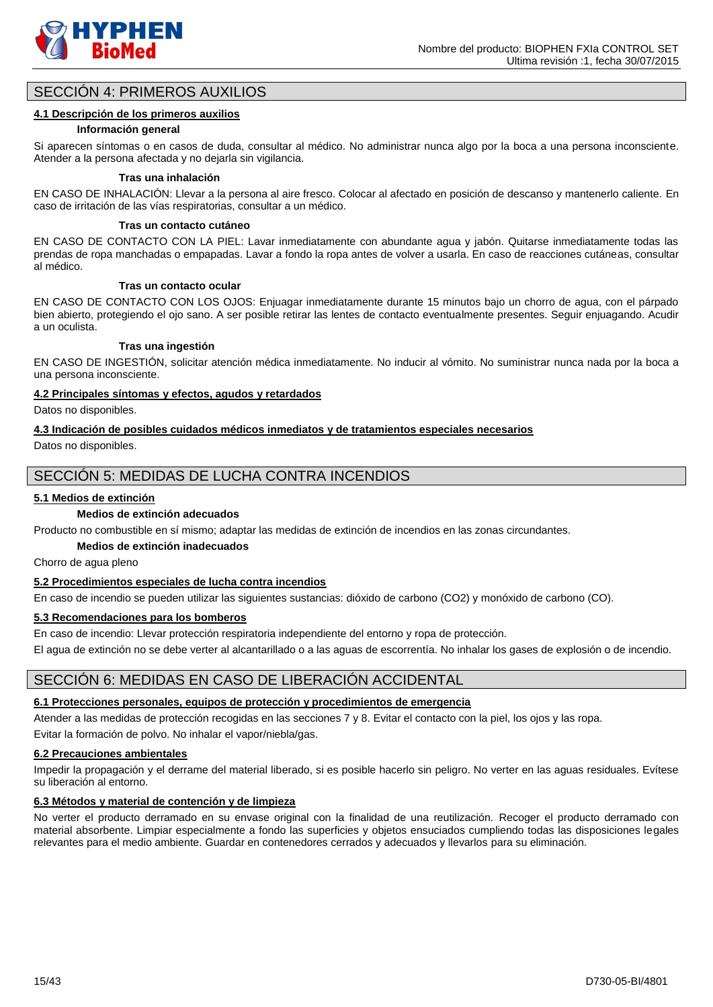

# SECCIÓN 4: PRIMEROS AUXILIOS

### **4.1 Descripción de los primeros auxilios**

#### **Información general**

Si aparecen síntomas o en casos de duda, consultar al médico. No administrar nunca algo por la boca a una persona inconsciente. Atender a la persona afectada y no dejarla sin vigilancia.

#### **Tras una inhalación**

EN CASO DE INHALACIÓN: Llevar a la persona al aire fresco. Colocar al afectado en posición de descanso y mantenerlo caliente. En caso de irritación de las vías respiratorias, consultar a un médico.

#### **Tras un contacto cutáneo**

EN CASO DE CONTACTO CON LA PIEL: Lavar inmediatamente con abundante agua y jabón. Quitarse inmediatamente todas las prendas de ropa manchadas o empapadas. Lavar a fondo la ropa antes de volver a usarla. En caso de reacciones cutáneas, consultar al médico.

#### **Tras un contacto ocular**

EN CASO DE CONTACTO CON LOS OJOS: Enjuagar inmediatamente durante 15 minutos bajo un chorro de agua, con el párpado bien abierto, protegiendo el ojo sano. A ser posible retirar las lentes de contacto eventualmente presentes. Seguir enjuagando. Acudir a un oculista.

#### **Tras una ingestión**

EN CASO DE INGESTIÓN, solicitar atención médica inmediatamente. No inducir al vómito. No suministrar nunca nada por la boca a una persona inconsciente.

#### **4.2 Principales síntomas y efectos, agudos y retardados**

Datos no disponibles.

#### **4.3 Indicación de posibles cuidados médicos inmediatos y de tratamientos especiales necesarios**

Datos no disponibles.

# SECCIÓN 5: MEDIDAS DE LUCHA CONTRA INCENDIOS

#### **5.1 Medios de extinción**

#### **Medios de extinción adecuados**

Producto no combustible en sí mismo; adaptar las medidas de extinción de incendios en las zonas circundantes.

# **Medios de extinción inadecuados**

Chorro de agua pleno

# **5.2 Procedimientos especiales de lucha contra incendios**

En caso de incendio se pueden utilizar las siguientes sustancias: dióxido de carbono (CO2) y monóxido de carbono (CO).

### **5.3 Recomendaciones para los bomberos**

En caso de incendio: Llevar protección respiratoria independiente del entorno y ropa de protección.

El agua de extinción no se debe verter al alcantarillado o a las aguas de escorrentía. No inhalar los gases de explosión o de incendio.

# SECCIÓN 6: MEDIDAS EN CASO DE LIBERACIÓN ACCIDENTAL

# **6.1 Protecciones personales, equipos de protección y procedimientos de emergencia**

Atender a las medidas de protección recogidas en las secciones 7 y 8. Evitar el contacto con la piel, los ojos y las ropa. Evitar la formación de polvo. No inhalar el vapor/niebla/gas.

# **6.2 Precauciones ambientales**

Impedir la propagación y el derrame del material liberado, si es posible hacerlo sin peligro. No verter en las aguas residuales. Evítese su liberación al entorno.

# **6.3 Métodos y material de contención y de limpieza**

No verter el producto derramado en su envase original con la finalidad de una reutilización. Recoger el producto derramado con material absorbente. Limpiar especialmente a fondo las superficies y objetos ensuciados cumpliendo todas las disposiciones legales relevantes para el medio ambiente. Guardar en contenedores cerrados y adecuados y llevarlos para su eliminación.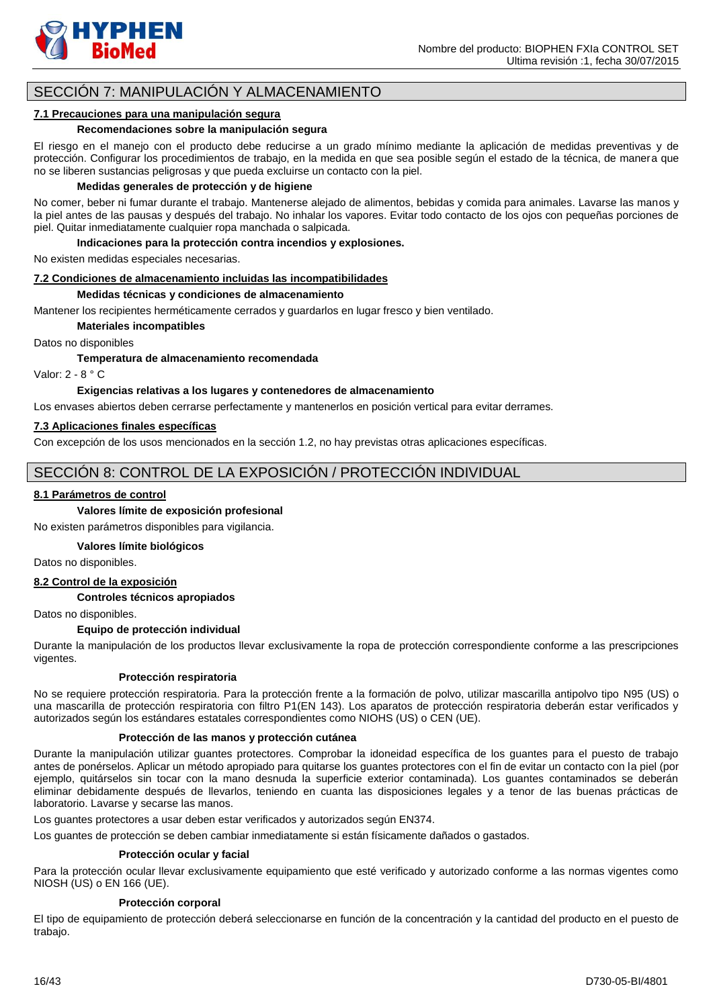

# SECCIÓN 7: MANIPULACIÓN Y ALMACENAMIENTO

#### **7.1 Precauciones para una manipulación segura**

#### **Recomendaciones sobre la manipulación segura**

El riesgo en el manejo con el producto debe reducirse a un grado mínimo mediante la aplicación de medidas preventivas y de protección. Configurar los procedimientos de trabajo, en la medida en que sea posible según el estado de la técnica, de manera que no se liberen sustancias peligrosas y que pueda excluirse un contacto con la piel.

#### **Medidas generales de protección y de higiene**

No comer, beber ni fumar durante el trabajo. Mantenerse alejado de alimentos, bebidas y comida para animales. Lavarse las manos y la piel antes de las pausas y después del trabajo. No inhalar los vapores. Evitar todo contacto de los ojos con pequeñas porciones de piel. Quitar inmediatamente cualquier ropa manchada o salpicada.

**Indicaciones para la protección contra incendios y explosiones.**

No existen medidas especiales necesarias.

#### **7.2 Condiciones de almacenamiento incluidas las incompatibilidades**

#### **Medidas técnicas y condiciones de almacenamiento**

Mantener los recipientes herméticamente cerrados y guardarlos en lugar fresco y bien ventilado.

#### **Materiales incompatibles**

Datos no disponibles

**Temperatura de almacenamiento recomendada**

Valor: 2 - 8 ° C

#### **Exigencias relativas a los lugares y contenedores de almacenamiento**

Los envases abiertos deben cerrarse perfectamente y mantenerlos en posición vertical para evitar derrames.

#### **7.3 Aplicaciones finales específicas**

Con excepción de los usos mencionados en la sección 1.2, no hay previstas otras aplicaciones específicas.

# SECCIÓN 8: CONTROL DE LA EXPOSICIÓN / PROTECCIÓN INDIVIDUAL

#### **8.1 Parámetros de control**

# **Valores límite de exposición profesional**

No existen parámetros disponibles para vigilancia.

#### **Valores límite biológicos**

Datos no disponibles.

### **8.2 Control de la exposición**

#### **Controles técnicos apropiados**

Datos no disponibles.

#### **Equipo de protección individual**

Durante la manipulación de los productos llevar exclusivamente la ropa de protección correspondiente conforme a las prescripciones vigentes.

#### **Protección respiratoria**

No se requiere protección respiratoria. Para la protección frente a la formación de polvo, utilizar mascarilla antipolvo tipo N95 (US) o una mascarilla de protección respiratoria con filtro P1(EN 143). Los aparatos de protección respiratoria deberán estar verificados y autorizados según los estándares estatales correspondientes como NIOHS (US) o CEN (UE).

#### **Protección de las manos y protección cutánea**

Durante la manipulación utilizar guantes protectores. Comprobar la idoneidad específica de los guantes para el puesto de trabajo antes de ponérselos. Aplicar un método apropiado para quitarse los guantes protectores con el fin de evitar un contacto con la piel (por ejemplo, quitárselos sin tocar con la mano desnuda la superficie exterior contaminada). Los guantes contaminados se deberán eliminar debidamente después de llevarlos, teniendo en cuanta las disposiciones legales y a tenor de las buenas prácticas de laboratorio. Lavarse y secarse las manos.

Los guantes protectores a usar deben estar verificados y autorizados según EN374.

Los guantes de protección se deben cambiar inmediatamente si están físicamente dañados o gastados.

#### **Protección ocular y facial**

Para la protección ocular llevar exclusivamente equipamiento que esté verificado y autorizado conforme a las normas vigentes como NIOSH (US) o EN 166 (UE).

#### **Protección corporal**

El tipo de equipamiento de protección deberá seleccionarse en función de la concentración y la cantidad del producto en el puesto de trabajo.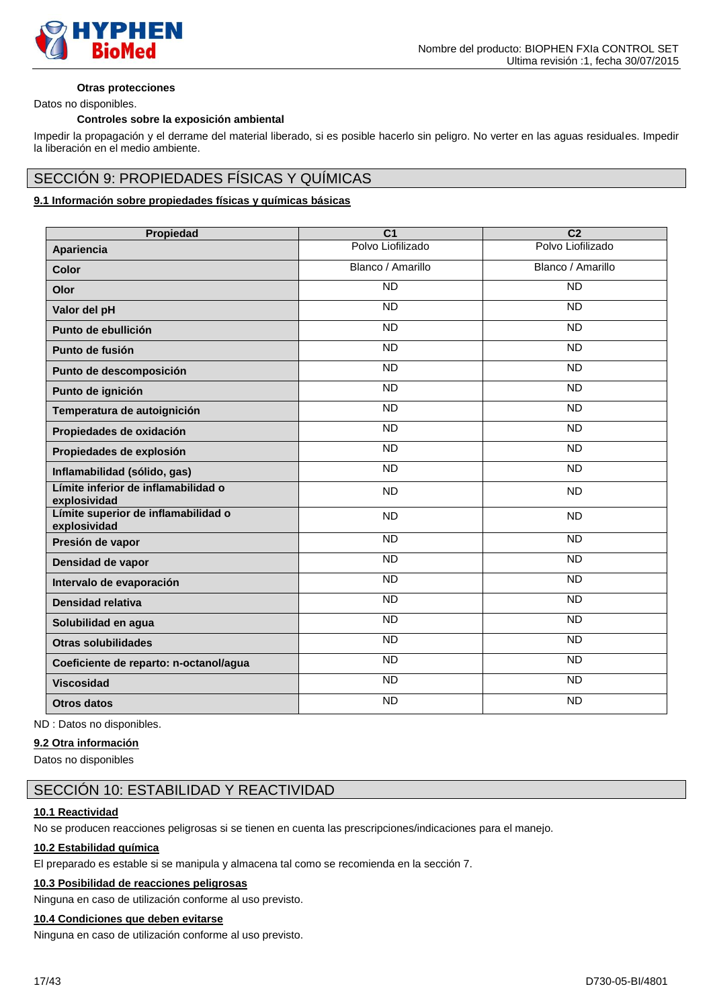

### **Otras protecciones**

Datos no disponibles.

### **Controles sobre la exposición ambiental**

Impedir la propagación y el derrame del material liberado, si es posible hacerlo sin peligro. No verter en las aguas residuales. Impedir la liberación en el medio ambiente.

# SECCIÓN 9: PROPIEDADES FÍSICAS Y QUÍMICAS

# **9.1 Información sobre propiedades físicas y químicas básicas**

| Propiedad                                           | $\overline{C}$    | $\overline{C2}$   |
|-----------------------------------------------------|-------------------|-------------------|
| Apariencia                                          | Polvo Liofilizado | Polvo Liofilizado |
| Color                                               | Blanco / Amarillo | Blanco / Amarillo |
| Olor                                                | <b>ND</b>         | <b>ND</b>         |
| Valor del pH                                        | $\overline{ND}$   | <b>ND</b>         |
| Punto de ebullición                                 | $\overline{ND}$   | $\overline{ND}$   |
| Punto de fusión                                     | <b>ND</b>         | <b>ND</b>         |
| Punto de descomposición                             | <b>ND</b>         | $\overline{ND}$   |
| Punto de ignición                                   | <b>ND</b>         | <b>ND</b>         |
| Temperatura de autoignición                         | <b>ND</b>         | <b>ND</b>         |
| Propiedades de oxidación                            | <b>ND</b>         | <b>ND</b>         |
| Propiedades de explosión                            | <b>ND</b>         | $\overline{ND}$   |
| Inflamabilidad (sólido, gas)                        | $\overline{ND}$   | $\overline{ND}$   |
| Límite inferior de inflamabilidad o<br>explosividad | <b>ND</b>         | <b>ND</b>         |
| Límite superior de inflamabilidad o<br>explosividad | <b>ND</b>         | <b>ND</b>         |
| Presión de vapor                                    | <b>ND</b>         | <b>ND</b>         |
| Densidad de vapor                                   | <b>ND</b>         | <b>ND</b>         |
| Intervalo de evaporación                            | <b>ND</b>         | <b>ND</b>         |
| Densidad relativa                                   | $\overline{ND}$   | <b>ND</b>         |
| Solubilidad en agua                                 | $\overline{ND}$   | $\overline{ND}$   |
| <b>Otras solubilidades</b>                          | <b>ND</b>         | <b>ND</b>         |
| Coeficiente de reparto: n-octanol/agua              | <b>ND</b>         | <b>ND</b>         |
| <b>Viscosidad</b>                                   | <b>ND</b>         | <b>ND</b>         |
| <b>Otros datos</b>                                  | <b>ND</b>         | <b>ND</b>         |

ND : Datos no disponibles.

# **9.2 Otra información**

Datos no disponibles

# SECCIÓN 10: ESTABILIDAD Y REACTIVIDAD

#### **10.1 Reactividad**

No se producen reacciones peligrosas si se tienen en cuenta las prescripciones/indicaciones para el manejo.

### **10.2 Estabilidad química**

El preparado es estable si se manipula y almacena tal como se recomienda en la sección 7.

# **10.3 Posibilidad de reacciones peligrosas**

Ninguna en caso de utilización conforme al uso previsto.

# **10.4 Condiciones que deben evitarse**

Ninguna en caso de utilización conforme al uso previsto.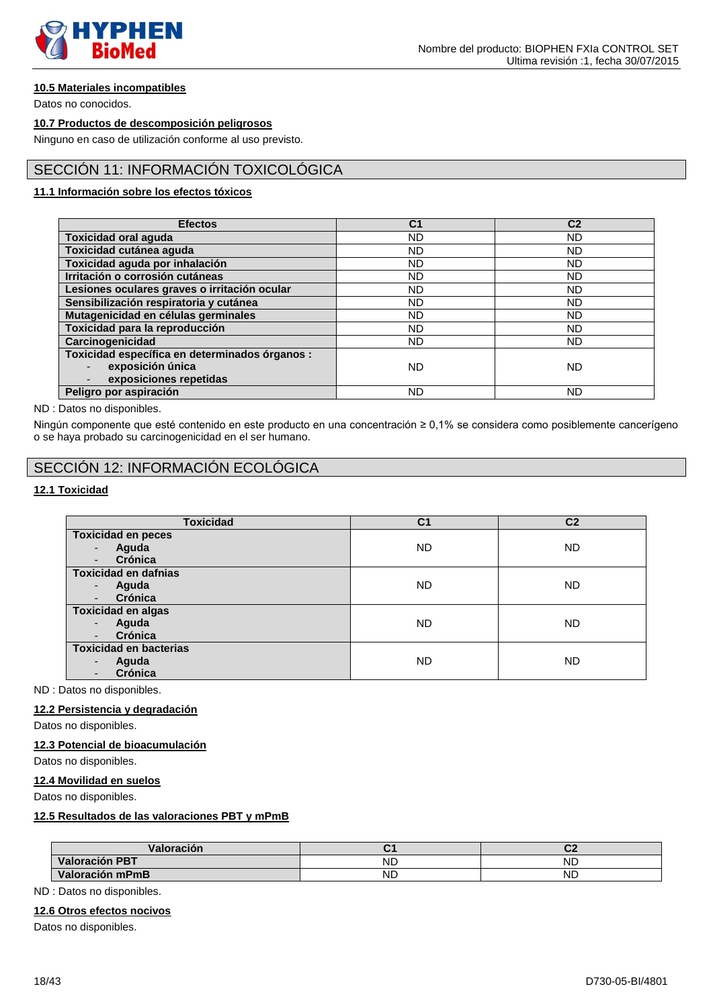

# **10.5 Materiales incompatibles**

Datos no conocidos.

# **10.7 Productos de descomposición peligrosos**

Ninguno en caso de utilización conforme al uso previsto.

# SECCIÓN 11: INFORMACIÓN TOXICOLÓGICA

# **11.1 Información sobre los efectos tóxicos**

| <b>Efectos</b>                                 | C <sub>1</sub> | C <sub>2</sub> |
|------------------------------------------------|----------------|----------------|
| <b>Toxicidad oral aguda</b>                    | ND.            | <b>ND</b>      |
| Toxicidad cutánea aguda                        | <b>ND</b>      | <b>ND</b>      |
| Toxicidad aguda por inhalación                 | <b>ND</b>      | <b>ND</b>      |
| Irritación o corrosión cutáneas                | <b>ND</b>      | <b>ND</b>      |
| Lesiones oculares graves o irritación ocular   | ND.            | <b>ND</b>      |
| Sensibilización respiratoria y cutánea         | ND             | <b>ND</b>      |
| Mutagenicidad en células germinales            | <b>ND</b>      | <b>ND</b>      |
| Toxicidad para la reproducción                 | ND             | ND             |
| Carcinogenicidad                               | <b>ND</b>      | <b>ND</b>      |
| Toxicidad específica en determinados órganos : |                |                |
| exposición única                               | <b>ND</b>      | <b>ND</b>      |
| exposiciones repetidas                         |                |                |
| Peligro por aspiración                         | <b>ND</b>      | <b>ND</b>      |

#### ND : Datos no disponibles.

Ningún componente que esté contenido en este producto en una concentración ≥ 0,1% se considera como posiblemente cancerígeno o se haya probado su carcinogenicidad en el ser humano.

# SECCIÓN 12: INFORMACIÓN ECOLÓGICA

# **12.1 Toxicidad**

| <b>Toxicidad</b>                    | C <sub>1</sub> | C <sub>2</sub> |
|-------------------------------------|----------------|----------------|
| <b>Toxicidad en peces</b>           |                |                |
| Aguda<br>$\overline{\phantom{a}}$   | <b>ND</b>      | <b>ND</b>      |
| Crónica<br>$\overline{\phantom{a}}$ |                |                |
| <b>Toxicidad en dafnias</b>         |                |                |
| Aguda<br>$\blacksquare$             | <b>ND</b>      | <b>ND</b>      |
| Crónica<br>$\overline{\phantom{a}}$ |                |                |
| <b>Toxicidad en algas</b>           |                |                |
| Aguda<br>$\overline{\phantom{a}}$   | ND.            | <b>ND</b>      |
| Crónica<br>-                        |                |                |
| <b>Toxicidad en bacterias</b>       |                |                |
| Aguda<br>-                          | <b>ND</b>      | <b>ND</b>      |
| Crónica                             |                |                |

ND : Datos no disponibles.

# **12.2 Persistencia y degradación**

Datos no disponibles.

### **12.3 Potencial de bioacumulación**

Datos no disponibles.

### **12.4 Movilidad en suelos**

Datos no disponibles.

### **12.5 Resultados de las valoraciones PBT y mPmB**

| Valoración            |           | ∽         |
|-----------------------|-----------|-----------|
| <b>Valoración PBT</b> | <b>ND</b> | <b>ND</b> |
| Valoración mPmB       | <b>ND</b> | <b>ND</b> |

ND : Datos no disponibles.

### **12.6 Otros efectos nocivos**

Datos no disponibles.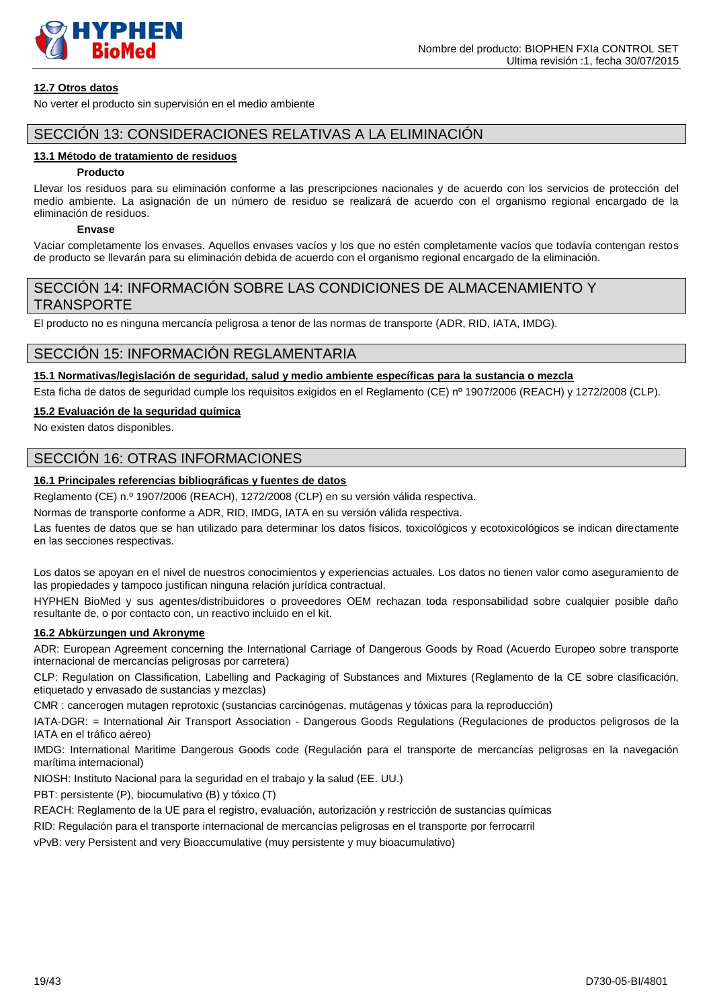

# **12.7 Otros datos**

No verter el producto sin supervisión en el medio ambiente

# SECCIÓN 13: CONSIDERACIONES RELATIVAS A LA ELIMINACIÓN

### **13.1 Método de tratamiento de residuos**

#### **Producto**

Llevar los residuos para su eliminación conforme a las prescripciones nacionales y de acuerdo con los servicios de protección del medio ambiente. La asignación de un número de residuo se realizará de acuerdo con el organismo regional encargado de la eliminación de residuos.

# **Envase**

Vaciar completamente los envases. Aquellos envases vacíos y los que no estén completamente vacíos que todavía contengan restos de producto se llevarán para su eliminación debida de acuerdo con el organismo regional encargado de la eliminación.

# SECCIÓN 14: INFORMACIÓN SOBRE LAS CONDICIONES DE ALMACENAMIENTO Y TRANSPORTE

El producto no es ninguna mercancía peligrosa a tenor de las normas de transporte (ADR, RID, IATA, IMDG).

# SECCIÓN 15: INFORMACIÓN REGLAMENTARIA

# **15.1 Normativas/legislación de seguridad, salud y medio ambiente específicas para la sustancia o mezcla**

Esta ficha de datos de seguridad cumple los requisitos exigidos en el Reglamento (CE) nº 1907/2006 (REACH) y 1272/2008 (CLP).

# **15.2 Evaluación de la seguridad química**

No existen datos disponibles.

# SECCIÓN 16: OTRAS INFORMACIONES

# **16.1 Principales referencias bibliográficas y fuentes de datos**

Reglamento (CE) n.º 1907/2006 (REACH), 1272/2008 (CLP) en su versión válida respectiva.

Normas de transporte conforme a ADR, RID, IMDG, IATA en su versión válida respectiva.

Las fuentes de datos que se han utilizado para determinar los datos físicos, toxicológicos y ecotoxicológicos se indican directamente en las secciones respectivas.

Los datos se apoyan en el nivel de nuestros conocimientos y experiencias actuales. Los datos no tienen valor como aseguramiento de las propiedades y tampoco justifican ninguna relación jurídica contractual.

HYPHEN BioMed y sus agentes/distribuidores o proveedores OEM rechazan toda responsabilidad sobre cualquier posible daño resultante de, o por contacto con, un reactivo incluido en el kit.

# **16.2 Abkürzungen und Akronyme**

ADR: European Agreement concerning the International Carriage of Dangerous Goods by Road (Acuerdo Europeo sobre transporte internacional de mercancías peligrosas por carretera)

CLP: Regulation on Classification, Labelling and Packaging of Substances and Mixtures (Reglamento de la CE sobre clasificación, etiquetado y envasado de sustancias y mezclas)

CMR : cancerogen mutagen reprotoxic (sustancias carcinógenas, mutágenas y tóxicas para la reproducción)

IATA-DGR: = International Air Transport Association - Dangerous Goods Regulations (Regulaciones de productos peligrosos de la IATA en el tráfico aéreo)

IMDG: International Maritime Dangerous Goods code (Regulación para el transporte de mercancías peligrosas en la navegación marítima internacional)

NIOSH: Instituto Nacional para la seguridad en el trabajo y la salud (EE. UU.)

PBT: persistente (P), biocumulativo (B) y tóxico (T)

REACH: Reglamento de la UE para el registro, evaluación, autorización y restricción de sustancias químicas

RID: Regulación para el transporte internacional de mercancías peligrosas en el transporte por ferrocarril

vPvB: very Persistent and very Bioaccumulative (muy persistente y muy bioacumulativo)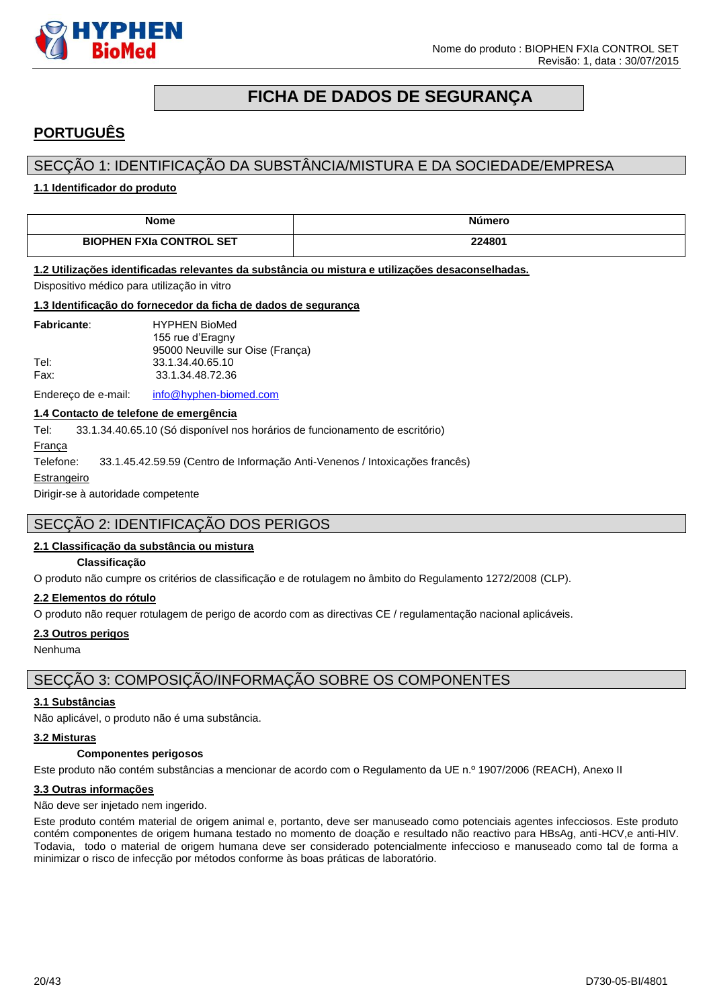

# **FICHA DE DADOS DE SEGURANÇA**

# <span id="page-19-0"></span>**PORTUGUÊS**

# SECÇÃO 1: IDENTIFICAÇÃO DA SUBSTÂNCIA/MISTURA E DA SOCIEDADE/EMPRESA

### **1.1 Identificador do produto**

| <b>Nome</b>                     | imerc  |
|---------------------------------|--------|
| <b>BIOPHEN FXIa CONTROL SET</b> | 224801 |

#### **1.2 Utilizações identificadas relevantes da substância ou mistura e utilizações desaconselhadas.**

Dispositivo médico para utilização in vitro

#### **1.3 Identificação do fornecedor da ficha de dados de segurança**

| <b>Fabricante:</b> | <b>HYPHEN BioMed</b>             |
|--------------------|----------------------------------|
|                    | 155 rue d'Eragny                 |
|                    | 95000 Neuville sur Oise (França) |
| Tel:               | 33.1.34.40.65.10                 |
| Fax:               | 33.1.34.48.72.36                 |
|                    |                                  |

Endereço de e-mail: [info@hyphen-biomed.com](mailto:info@hyphen-biomed.com)

# **1.4 Contacto de telefone de emergência**

Tel: 33.1.34.40.65.10 (Só disponível nos horários de funcionamento de escritório)

França

Telefone: 33.1.45.42.59.59 (Centro de Informação Anti-Venenos / Intoxicações francês)

#### Estrangeiro

Dirigir-se à autoridade competente

# SECÇÃO 2: IDENTIFICAÇÃO DOS PERIGOS

#### **2.1 Classificação da substância ou mistura**

#### **Classificação**

O produto não cumpre os critérios de classificação e de rotulagem no âmbito do Regulamento 1272/2008 (CLP).

#### **2.2 Elementos do rótulo**

O produto não requer rotulagem de perigo de acordo com as directivas CE / regulamentação nacional aplicáveis.

#### **2.3 Outros perigos**

Nenhuma

# SECÇÃO 3: COMPOSIÇÃO/INFORMAÇÃO SOBRE OS COMPONENTES

### **3.1 Substâncias**

Não aplicável, o produto não é uma substância.

#### **3.2 Misturas**

# **Componentes perigosos**

Este produto não contém substâncias a mencionar de acordo com o Regulamento da UE n.º 1907/2006 (REACH), Anexo II

#### **3.3 Outras informações**

Não deve ser injetado nem ingerido.

Este produto contém material de origem animal e, portanto, deve ser manuseado como potenciais agentes infecciosos. Este produto contém componentes de origem humana testado no momento de doação e resultado não reactivo para HBsAg, anti-HCV,e anti-HIV. Todavia, todo o material de origem humana deve ser considerado potencialmente infeccioso e manuseado como tal de forma a minimizar o risco de infecção por métodos conforme às boas práticas de laboratório.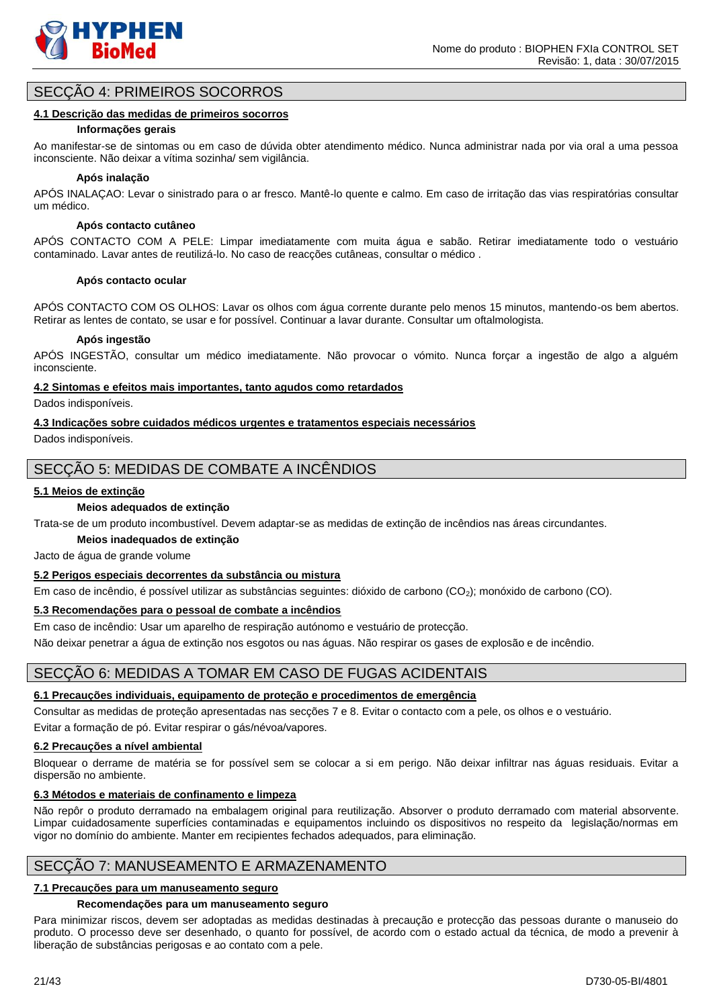

# SECÇÃO 4: PRIMEIROS SOCORROS

#### **4.1 Descrição das medidas de primeiros socorros**

#### **Informações gerais**

Ao manifestar-se de sintomas ou em caso de dúvida obter atendimento médico. Nunca administrar nada por via oral a uma pessoa inconsciente. Não deixar a vítima sozinha/ sem vigilância.

### **Após inalação**

APÓS INALAÇAO: Levar o sinistrado para o ar fresco. Mantê-lo quente e calmo. Em caso de irritação das vias respiratórias consultar um médico.

#### **Após contacto cutâneo**

APÓS CONTACTO COM A PELE: Limpar imediatamente com muita água e sabão. Retirar imediatamente todo o vestuário contaminado. Lavar antes de reutilizá-lo. No caso de reacções cutâneas, consultar o médico .

#### **Após contacto ocular**

APÓS CONTACTO COM OS OLHOS: Lavar os olhos com água corrente durante pelo menos 15 minutos, mantendo-os bem abertos. Retirar as lentes de contato, se usar e for possível. Continuar a lavar durante. Consultar um oftalmologista.

#### **Após ingestão**

APÓS INGESTÃO, consultar um médico imediatamente. Não provocar o vómito. Nunca forçar a ingestão de algo a alguém inconsciente.

#### **4.2 Sintomas e efeitos mais importantes, tanto agudos como retardados**

Dados indisponíveis.

#### **4.3 Indicações sobre cuidados médicos urgentes e tratamentos especiais necessários**

Dados indisponíveis.

# SECÇÃO 5: MEDIDAS DE COMBATE A INCÊNDIOS

#### **5.1 Meios de extinção**

#### **Meios adequados de extinção**

Trata-se de um produto incombustível. Devem adaptar-se as medidas de extinção de incêndios nas áreas circundantes.

#### **Meios inadequados de extinção**

Jacto de água de grande volume

# **5.2 Perigos especiais decorrentes da substância ou mistura**

Em caso de incêndio, é possível utilizar as substâncias seguintes: dióxido de carbono (CO2); monóxido de carbono (CO).

#### **5.3 Recomendações para o pessoal de combate a incêndios**

Em caso de incêndio: Usar um aparelho de respiração autónomo e vestuário de protecção.

Não deixar penetrar a água de extinção nos esgotos ou nas águas. Não respirar os gases de explosão e de incêndio.

# SECÇÃO 6: MEDIDAS A TOMAR EM CASO DE FUGAS ACIDENTAIS

# **6.1 Precauções individuais, equipamento de proteção e procedimentos de emergência**

Consultar as medidas de proteção apresentadas nas secções 7 e 8. Evitar o contacto com a pele, os olhos e o vestuário. Evitar a formação de pó. Evitar respirar o gás/névoa/vapores.

# **6.2 Precauções a nível ambiental**

Bloquear o derrame de matéria se for possível sem se colocar a si em perigo. Não deixar infiltrar nas águas residuais. Evitar a dispersão no ambiente.

# **6.3 Métodos e materiais de confinamento e limpeza**

Não repôr o produto derramado na embalagem original para reutilização. Absorver o produto derramado com material absorvente. Limpar cuidadosamente superfícies contaminadas e equipamentos incluindo os dispositivos no respeito da legislação/normas em vigor no domínio do ambiente. Manter em recipientes fechados adequados, para eliminação.

# SECÇÃO 7: MANUSEAMENTO E ARMAZENAMENTO

#### **7.1 Precauções para um manuseamento seguro**

# **Recomendações para um manuseamento seguro**

Para minimizar riscos, devem ser adoptadas as medidas destinadas à precaução e protecção das pessoas durante o manuseio do produto. O processo deve ser desenhado, o quanto for possível, de acordo com o estado actual da técnica, de modo a prevenir à liberação de substâncias perigosas e ao contato com a pele.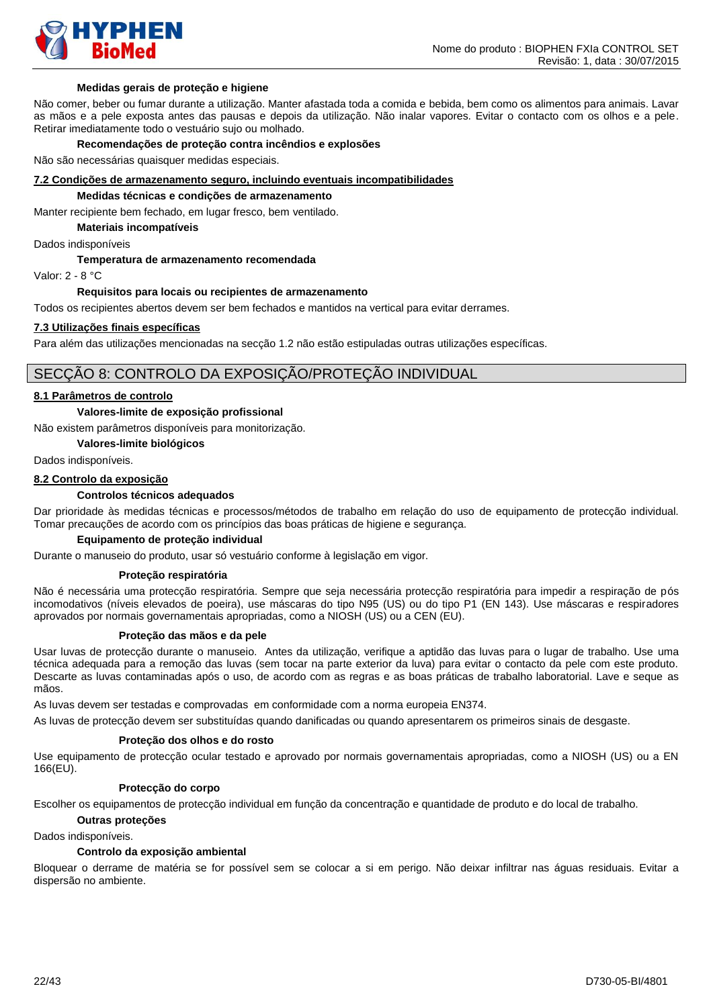

#### **Medidas gerais de proteção e higiene**

Não comer, beber ou fumar durante a utilização. Manter afastada toda a comida e bebida, bem como os alimentos para animais. Lavar as mãos e a pele exposta antes das pausas e depois da utilização. Não inalar vapores. Evitar o contacto com os olhos e a pele. Retirar imediatamente todo o vestuário sujo ou molhado.

#### **Recomendações de proteção contra incêndios e explosões**

Não são necessárias quaisquer medidas especiais.

#### **7.2 Condições de armazenamento seguro, incluindo eventuais incompatibilidades**

#### **Medidas técnicas e condições de armazenamento**

Manter recipiente bem fechado, em lugar fresco, bem ventilado.

**Materiais incompatíveis**

Dados indisponíveis

#### **Temperatura de armazenamento recomendada**

Valor: 2 - 8 °C

#### **Requisitos para locais ou recipientes de armazenamento**

Todos os recipientes abertos devem ser bem fechados e mantidos na vertical para evitar derrames.

#### **7.3 Utilizações finais específicas**

Para além das utilizações mencionadas na secção 1.2 não estão estipuladas outras utilizações específicas.

# SECÇÃO 8: CONTROLO DA EXPOSIÇÃO/PROTEÇÃO INDIVIDUAL

#### **8.1 Parâmetros de controlo**

#### **Valores-limite de exposição profissional**

Não existem parâmetros disponíveis para monitorização.

**Valores-limite biológicos** 

Dados indisponíveis.

#### **8.2 Controlo da exposição**

#### **Controlos técnicos adequados**

Dar prioridade às medidas técnicas e processos/métodos de trabalho em relação do uso de equipamento de protecção individual. Tomar precauções de acordo com os princípios das boas práticas de higiene e segurança.

#### **Equipamento de proteção individual**

Durante o manuseio do produto, usar só vestuário conforme à legislação em vigor.

#### **Proteção respiratória**

Não é necessária uma protecção respiratória. Sempre que seja necessária protecção respiratória para impedir a respiração de pós incomodativos (níveis elevados de poeira), use máscaras do tipo N95 (US) ou do tipo P1 (EN 143). Use máscaras e respiradores aprovados por normais governamentais apropriadas, como a NIOSH (US) ou a CEN (EU).

#### **Proteção das mãos e da pele**

Usar luvas de protecção durante o manuseio. Antes da utilização, verifique a aptidão das luvas para o lugar de trabalho. Use uma técnica adequada para a remoção das luvas (sem tocar na parte exterior da luva) para evitar o contacto da pele com este produto. Descarte as luvas contaminadas após o uso, de acordo com as regras e as boas práticas de trabalho laboratorial. Lave e seque as mãos.

As luvas devem ser testadas e comprovadas em conformidade com a norma europeia EN374.

As luvas de protecção devem ser substituídas quando danificadas ou quando apresentarem os primeiros sinais de desgaste.

#### **Proteção dos olhos e do rosto**

Use equipamento de protecção ocular testado e aprovado por normais governamentais apropriadas, como a NIOSH (US) ou a EN 166(EU).

#### **Protecção do corpo**

Escolher os equipamentos de protecção individual em função da concentração e quantidade de produto e do local de trabalho.

# **Outras proteções**

# Dados indisponíveis.

#### **Controlo da exposição ambiental**

Bloquear o derrame de matéria se for possível sem se colocar a si em perigo. Não deixar infiltrar nas águas residuais. Evitar a dispersão no ambiente.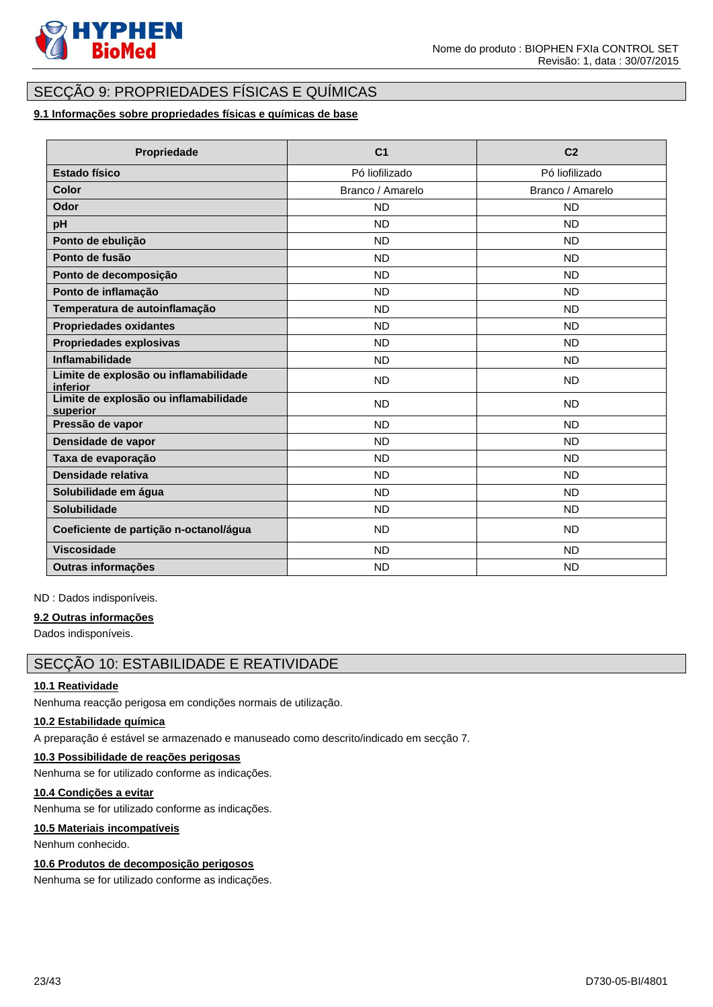

# SECÇÃO 9: PROPRIEDADES FÍSICAS E QUÍMICAS

# **9.1 Informações sobre propriedades físicas e químicas de base**

| Propriedade                                       | C <sub>1</sub>   | C <sub>2</sub>   |
|---------------------------------------------------|------------------|------------------|
| <b>Estado físico</b>                              | Pó liofilizado   | Pó liofilizado   |
| <b>Color</b>                                      | Branco / Amarelo | Branco / Amarelo |
| Odor                                              | <b>ND</b>        | <b>ND</b>        |
| pH                                                | <b>ND</b>        | ND.              |
| Ponto de ebulição                                 | <b>ND</b>        | <b>ND</b>        |
| Ponto de fusão                                    | <b>ND</b>        | <b>ND</b>        |
| Ponto de decomposição                             | <b>ND</b>        | <b>ND</b>        |
| Ponto de inflamação                               | <b>ND</b>        | <b>ND</b>        |
| Temperatura de autoinflamação                     | <b>ND</b>        | <b>ND</b>        |
| <b>Propriedades oxidantes</b>                     | <b>ND</b>        | <b>ND</b>        |
| Propriedades explosivas                           | <b>ND</b>        | <b>ND</b>        |
| <b>Inflamabilidade</b>                            | <b>ND</b>        | <b>ND</b>        |
| Limite de explosão ou inflamabilidade<br>inferior | <b>ND</b>        | <b>ND</b>        |
| Limite de explosão ou inflamabilidade<br>superior | <b>ND</b>        | <b>ND</b>        |
| Pressão de vapor                                  | <b>ND</b>        | <b>ND</b>        |
| Densidade de vapor                                | <b>ND</b>        | <b>ND</b>        |
| Taxa de evaporação                                | <b>ND</b>        | <b>ND</b>        |
| Densidade relativa                                | <b>ND</b>        | <b>ND</b>        |
| Solubilidade em água                              | <b>ND</b>        | <b>ND</b>        |
| Solubilidade                                      | <b>ND</b>        | <b>ND</b>        |
| Coeficiente de partição n-octanol/água            | <b>ND</b>        | <b>ND</b>        |
| <b>Viscosidade</b>                                | <b>ND</b>        | <b>ND</b>        |
| Outras informações                                | <b>ND</b>        | <b>ND</b>        |

ND : Dados indisponíveis.

#### **9.2 Outras informações**

Dados indisponíveis.

# SECÇÃO 10: ESTABILIDADE E REATIVIDADE

# **10.1 Reatividade**

Nenhuma reacção perigosa em condições normais de utilização.

# **10.2 Estabilidade química**

A preparação é estável se armazenado e manuseado como descrito/indicado em secção 7.

# **10.3 Possibilidade de reações perigosas**

Nenhuma se for utilizado conforme as indicações.

# **10.4 Condições a evitar**

Nenhuma se for utilizado conforme as indicações.

# **10.5 Materiais incompatíveis**

Nenhum conhecido.

# **10.6 Produtos de decomposição perigosos**

Nenhuma se for utilizado conforme as indicações.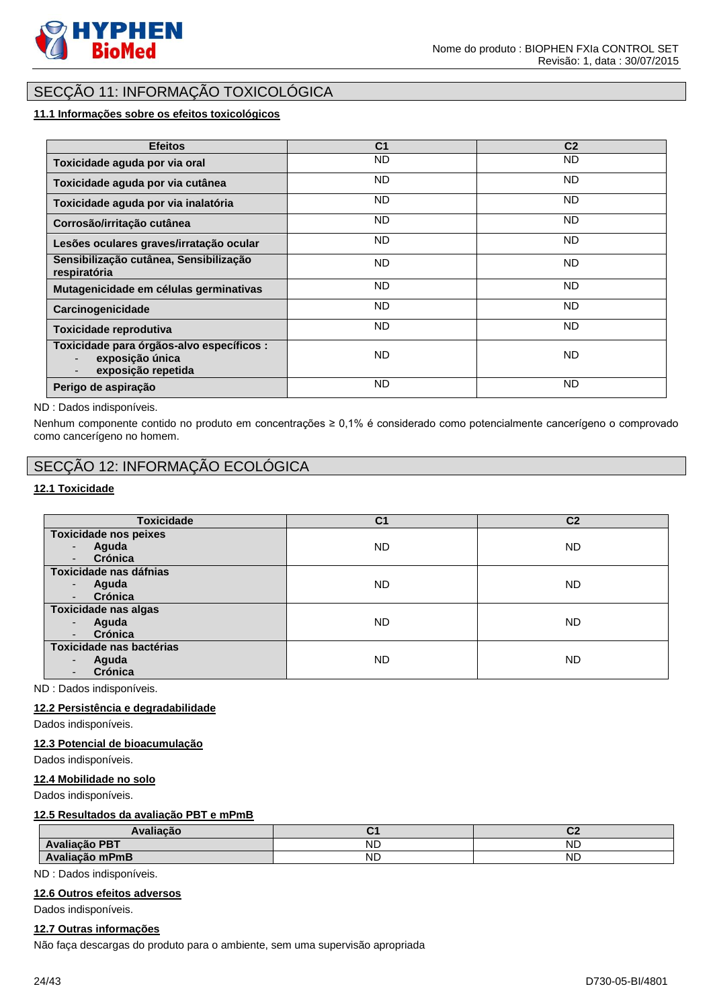

# SECÇÃO 11: INFORMAÇÃO TOXICOLÓGICA

# **11.1 Informações sobre os efeitos toxicológicos**

| <b>Efeitos</b>                                                                     | C <sub>1</sub> | C <sub>2</sub> |
|------------------------------------------------------------------------------------|----------------|----------------|
| Toxicidade aguda por via oral                                                      | <b>ND</b>      | ND.            |
| Toxicidade aguda por via cutânea                                                   | <b>ND</b>      | ND.            |
| Toxicidade aguda por via inalatória                                                | <b>ND</b>      | ND.            |
| Corrosão/irritação cutânea                                                         | <b>ND</b>      | ND.            |
| Lesões oculares graves/irratação ocular                                            | <b>ND</b>      | ND.            |
| Sensibilização cutânea, Sensibilização<br>respiratória                             | <b>ND</b>      | ND.            |
| Mutagenicidade em células germinativas                                             | <b>ND</b>      | ND.            |
| Carcinogenicidade                                                                  | <b>ND</b>      | ND.            |
| Toxicidade reprodutiva                                                             | <b>ND</b>      | ND.            |
| Toxicidade para órgãos-alvo específicos :<br>exposição única<br>exposição repetida | <b>ND</b>      | ND.            |
| Perigo de aspiração                                                                | <b>ND</b>      | ND.            |

#### ND : Dados indisponíveis.

Nenhum componente contido no produto em concentrações ≥ 0,1% é considerado como potencialmente cancerígeno o comprovado como cancerígeno no homem.

# SECÇÃO 12: INFORMAÇÃO ECOLÓGICA

### **12.1 Toxicidade**

| <b>Toxicidade</b>                 | C <sub>1</sub> | C <sub>2</sub> |
|-----------------------------------|----------------|----------------|
| Toxicidade nos peixes             |                |                |
| Aguda                             | <b>ND</b>      | <b>ND</b>      |
| Crónica                           |                |                |
| Toxicidade nas dáfnias            |                |                |
| Aguda<br>$\overline{\phantom{a}}$ | <b>ND</b>      | <b>ND</b>      |
| Crónica                           |                |                |
| <b>Toxicidade nas algas</b>       |                |                |
| Aguda                             | <b>ND</b>      | <b>ND</b>      |
| Crónica                           |                |                |
| Toxicidade nas bactérias          |                |                |
| Aguda                             | <b>ND</b>      | <b>ND</b>      |
| Crónica                           |                |                |

ND : Dados indisponíveis.

# **12.2 Persistência e degradabilidade**

Dados indisponíveis.

#### **12.3 Potencial de bioacumulação**

Dados indisponíveis.

### **12.4 Mobilidade no solo**

Dados indisponíveis.

#### **12.5 Resultados da avaliação PBT e mPmB**

| Avaliacão      |           | ~<br>v    |
|----------------|-----------|-----------|
| Avaliação PBT  | <b>ND</b> | <b>ND</b> |
| Avaliação mPmB | <b>ND</b> | <b>ND</b> |

ND : Dados indisponíveis.

#### **12.6 Outros efeitos adversos**

Dados indisponíveis.

#### **12.7 Outras informações**

Não faça descargas do produto para o ambiente, sem uma supervisão apropriada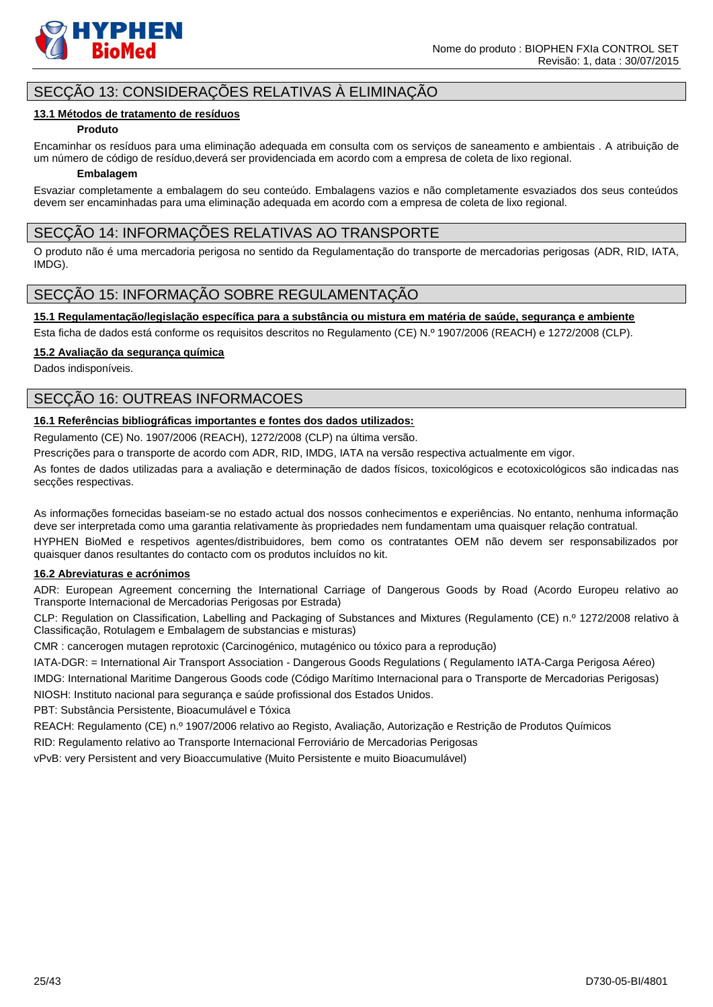

# SECÇÃO 13: CONSIDERAÇÕES RELATIVAS À ELIMINAÇÃO

### **13.1 Métodos de tratamento de resíduos**

#### **Produto**

Encaminhar os resíduos para uma eliminação adequada em consulta com os serviços de saneamento e ambientais . A atribuição de um número de código de resíduo,deverá ser providenciada em acordo com a empresa de coleta de lixo regional.

#### **Embalagem**

Esvaziar completamente a embalagem do seu conteúdo. Embalagens vazios e não completamente esvaziados dos seus conteúdos devem ser encaminhadas para uma eliminação adequada em acordo com a empresa de coleta de lixo regional.

# SECÇÃO 14: INFORMAÇÕES RELATIVAS AO TRANSPORTE

O produto não é uma mercadoria perigosa no sentido da Regulamentação do transporte de mercadorias perigosas (ADR, RID, IATA, IMDG).

# SECÇÃO 15: INFORMAÇÃO SOBRE REGULAMENTAÇÃO

**15.1 Regulamentação/legislação específica para a substância ou mistura em matéria de saúde, segurança e ambiente**

Esta ficha de dados está conforme os requisitos descritos no Regulamento (CE) N.º 1907/2006 (REACH) e 1272/2008 (CLP).

### **15.2 Avaliação da segurança química**

Dados indisponíveis.

# SECÇÃO 16: OUTREAS INFORMACOES

# **16.1 Referências bibliográficas importantes e fontes dos dados utilizados:**

Regulamento (CE) No. 1907/2006 (REACH), 1272/2008 (CLP) na última versão.

Prescrições para o transporte de acordo com ADR, RID, IMDG, IATA na versão respectiva actualmente em vigor.

As fontes de dados utilizadas para a avaliação e determinação de dados físicos, toxicológicos e ecotoxicológicos são indicadas nas secções respectivas.

As informações fornecidas baseiam-se no estado actual dos nossos conhecimentos e experiências. No entanto, nenhuma informação deve ser interpretada como uma garantia relativamente às propriedades nem fundamentam uma quaisquer relação contratual.

HYPHEN BioMed e respetivos agentes/distribuidores, bem como os contratantes OEM não devem ser responsabilizados por quaisquer danos resultantes do contacto com os produtos incluídos no kit.

### **16.2 Abreviaturas e acrónimos**

ADR: European Agreement concerning the International Carriage of Dangerous Goods by Road (Acordo Europeu relativo ao Transporte Internacional de Mercadorias Perigosas por Estrada)

CLP: Regulation on Classification, Labelling and Packaging of Substances and Mixtures (Regulamento (CE) n.º 1272/2008 relativo à Classificação, Rotulagem e Embalagem de substancias e misturas)

CMR : cancerogen mutagen reprotoxic (Carcinogénico, mutagénico ou tóxico para a reprodução)

IATA-DGR: = International Air Transport Association - Dangerous Goods Regulations ( Regulamento IATA-Carga Perigosa Aéreo)

IMDG: International Maritime Dangerous Goods code (Código Marítimo Internacional para o Transporte de Mercadorias Perigosas) NIOSH: Instituto nacional para segurança e saúde profissional dos Estados Unidos.

PBT: Substância Persistente, Bioacumulável e Tóxica

REACH: Regulamento (CE) n.º 1907/2006 relativo ao Registo, Avaliação, Autorização e Restrição de Produtos Químicos

RID: Regulamento relativo ao Transporte Internacional Ferroviário de Mercadorias Perigosas

vPvB: very Persistent and very Bioaccumulative (Muito Persistente e muito Bioacumulável)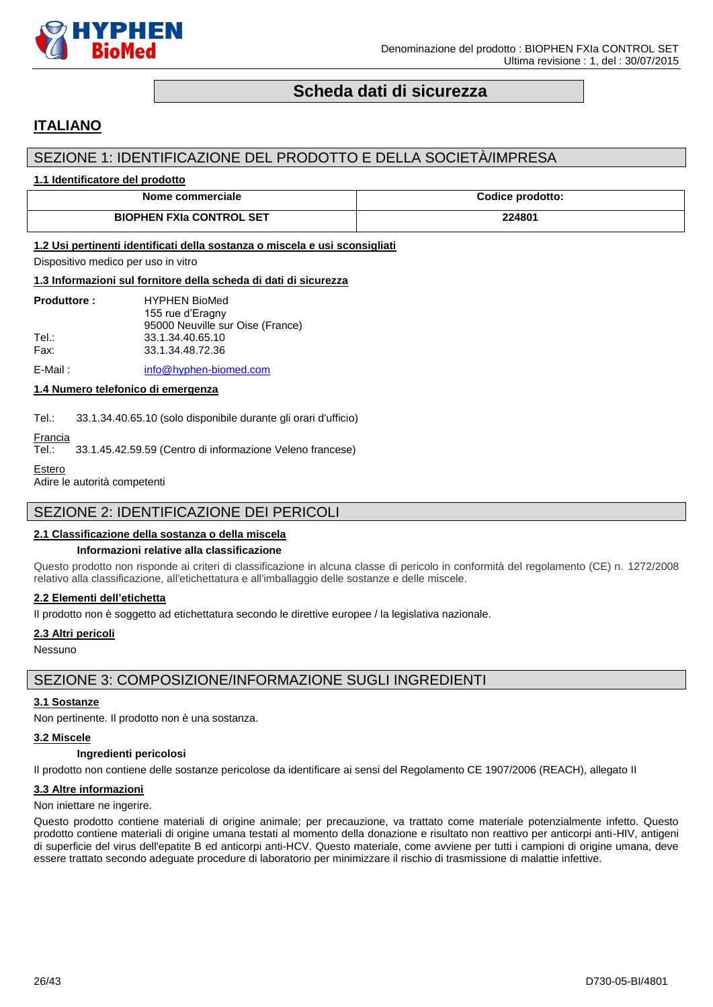

# **Scheda dati di sicurezza**

# <span id="page-25-0"></span>**ITALIANO**

# SEZIONE 1: IDENTIFICAZIONE DEL PRODOTTO E DELLA SOCIETÀ/IMPRESA

#### **1.1 Identificatore del prodotto**

| Nome commerciale                | <b>Codice prodotto:</b> |
|---------------------------------|-------------------------|
| <b>BIOPHEN FXIa CONTROL SET</b> | 224801                  |

#### **1.2 Usi pertinenti identificati della sostanza o miscela e usi sconsigliati**

Dispositivo medico per uso in vitro

#### **1.3 Informazioni sul fornitore della scheda di dati di sicurezza**

| <b>Produttore:</b> | <b>HYPHEN BioMed</b>             |
|--------------------|----------------------------------|
|                    | 155 rue d'Eragny                 |
|                    | 95000 Neuville sur Oise (France) |
| Tel∴               | 33.1.34.40.65.10                 |
| Fax:               | 33.1.34.48.72.36                 |
|                    |                                  |

E-Mail: [info@hyphen-biomed.com](mailto:info@hyphen-biomed.com)

### **1.4 Numero telefonico di emergenza**

Tel.: 33.1.34.40.65.10 (solo disponibile durante gli orari d'ufficio)

# Francia<br>Tel.:

33.1.45.42.59.59 (Centro di informazione Veleno francese)

```
Estero
```
Adire le autorità competenti

# SEZIONE 2: IDENTIFICAZIONE DEI PERICOLI

### **2.1 Classificazione della sostanza o della miscela**

#### **Informazioni relative alla classificazione**

Questo prodotto non risponde ai criteri di classificazione in alcuna classe di pericolo in conformità del regolamento (CE) n. 1272/2008 relativo alla classificazione, all'etichettatura e all'imballaggio delle sostanze e delle miscele.

#### **2.2 Elementi dell'etichetta**

Il prodotto non è soggetto ad etichettatura secondo le direttive europee / la legislativa nazionale.

#### **2.3 Altri pericoli**

Nessuno

# SEZIONE 3: COMPOSIZIONE/INFORMAZIONE SUGLI INGREDIENTI

#### **3.1 Sostanze**

Non pertinente. Il prodotto non è una sostanza.

#### **3.2 Miscele**

# **Ingredienti pericolosi**

Il prodotto non contiene delle sostanze pericolose da identificare ai sensi del Regolamento CE 1907/2006 (REACH), allegato II

### **3.3 Altre informazioni**

#### Non iniettare ne ingerire.

Questo prodotto contiene materiali di origine animale; per precauzione, va trattato come materiale potenzialmente infetto. Questo prodotto contiene materiali di origine umana testati al momento della donazione e risultato non reattivo per anticorpi anti-HIV, antigeni di superficie del virus dell'epatite B ed anticorpi anti-HCV. Questo materiale, come avviene per tutti i campioni di origine umana, deve essere trattato secondo adeguate procedure di laboratorio per minimizzare il rischio di trasmissione di malattie infettive.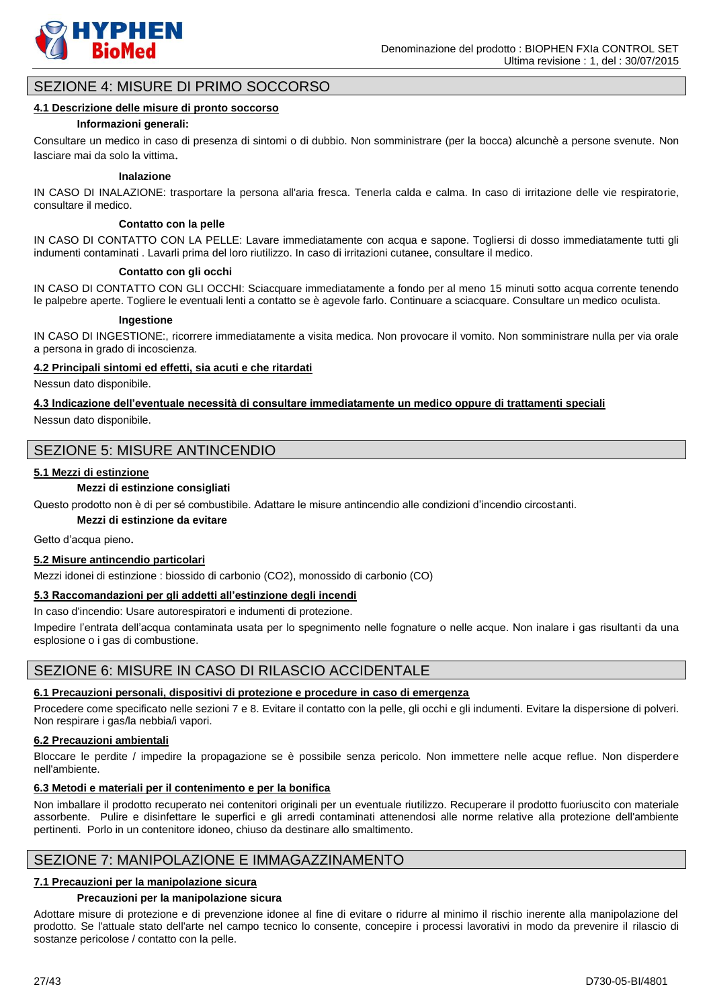

# SEZIONE 4: MISURE DI PRIMO SOCCORSO

#### **4.1 Descrizione delle misure di pronto soccorso**

#### **Informazioni generali:**

Consultare un medico in caso di presenza di sintomi o di dubbio. Non somministrare (per la bocca) alcunchè a persone svenute. Non lasciare mai da solo la vittima.

#### **Inalazione**

IN CASO DI INALAZIONE: trasportare la persona all'aria fresca. Tenerla calda e calma. In caso di irritazione delle vie respiratorie, consultare il medico.

#### **Contatto con la pelle**

IN CASO DI CONTATTO CON LA PELLE: Lavare immediatamente con acqua e sapone. Togliersi di dosso immediatamente tutti gli indumenti contaminati . Lavarli prima del loro riutilizzo. In caso di irritazioni cutanee, consultare il medico.

#### **Contatto con gli occhi**

IN CASO DI CONTATTO CON GLI OCCHI: Sciacquare immediatamente a fondo per al meno 15 minuti sotto acqua corrente tenendo le palpebre aperte. Togliere le eventuali lenti a contatto se è agevole farlo. Continuare a sciacquare. Consultare un medico oculista.

#### **Ingestione**

IN CASO DI INGESTIONE:, ricorrere immediatamente a visita medica. Non provocare il vomito. Non somministrare nulla per via orale a persona in grado di incoscienza.

#### **4.2 Principali sintomi ed effetti, sia acuti e che ritardati**

Nessun dato disponibile.

**4.3 Indicazione dell'eventuale necessità di consultare immediatamente un medico oppure di trattamenti speciali** Nessun dato disponibile.

# SEZIONE 5: MISURE ANTINCENDIO

#### **5.1 Mezzi di estinzione**

#### **Mezzi di estinzione consigliati**

Questo prodotto non è di per sé combustibile. Adattare le misure antincendio alle condizioni d'incendio circostanti.

# **Mezzi di estinzione da evitare**

Getto d'acqua pieno.

#### **5.2 Misure antincendio particolari**

Mezzi idonei di estinzione : biossido di carbonio (CO2), monossido di carbonio (CO)

# **5.3 Raccomandazioni per gli addetti all'estinzione degli incendi**

In caso d'incendio: Usare autorespiratori e indumenti di protezione.

Impedire l'entrata dell'acqua contaminata usata per lo spegnimento nelle fognature o nelle acque. Non inalare i gas risultanti da una esplosione o i gas di combustione.

# SEZIONE 6: MISURE IN CASO DI RILASCIO ACCIDENTALE

#### **6.1 Precauzioni personali, dispositivi di protezione e procedure in caso di emergenza**

Procedere come specificato nelle sezioni 7 e 8. Evitare il contatto con la pelle, gli occhi e gli indumenti. Evitare la dispersione di polveri. Non respirare i gas/la nebbia/i vapori.

#### **6.2 Precauzioni ambientali**

Bloccare le perdite / impedire la propagazione se è possibile senza pericolo. Non immettere nelle acque reflue. Non disperdere nell'ambiente.

#### **6.3 Metodi e materiali per il contenimento e per la bonifica**

Non imballare il prodotto recuperato nei contenitori originali per un eventuale riutilizzo. Recuperare il prodotto fuoriuscito con materiale assorbente. Pulire e disinfettare le superfici e gli arredi contaminati attenendosi alle norme relative alla protezione dell'ambiente pertinenti. Porlo in un contenitore idoneo, chiuso da destinare allo smaltimento.

# SEZIONE 7: MANIPOLAZIONE E IMMAGAZZINAMENTO

### **7.1 Precauzioni per la manipolazione sicura**

#### **Precauzioni per la manipolazione sicura**

Adottare misure di protezione e di prevenzione idonee al fine di evitare o ridurre al minimo il rischio inerente alla manipolazione del prodotto. Se l'attuale stato dell'arte nel campo tecnico lo consente, concepire i processi lavorativi in modo da prevenire il rilascio di sostanze pericolose / contatto con la pelle.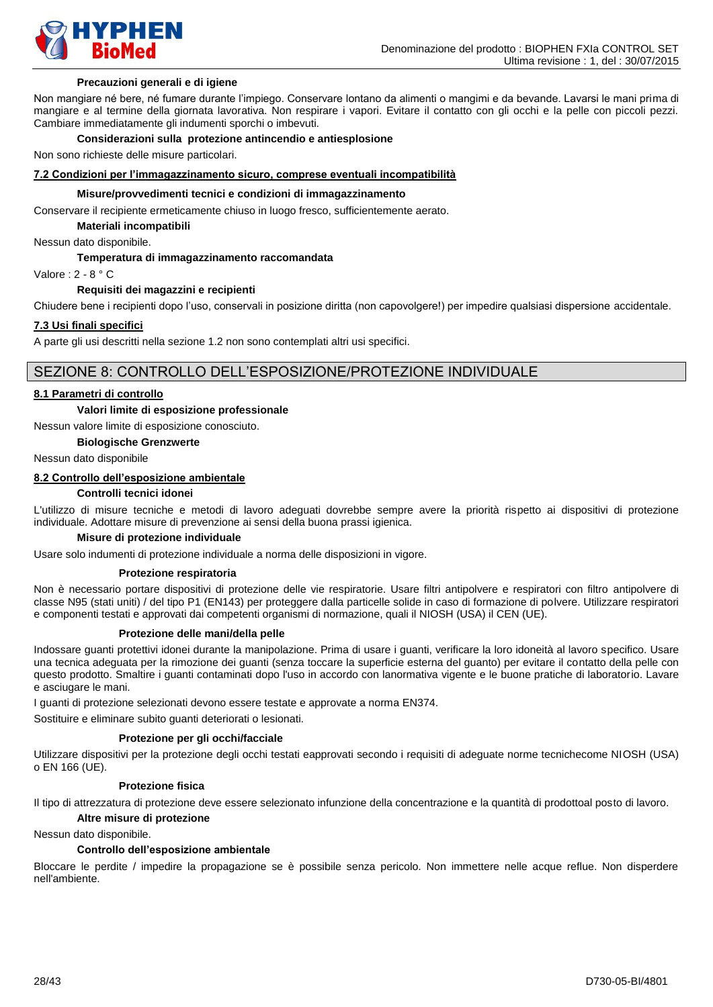

#### **Precauzioni generali e di igiene**

Non mangiare né bere, né fumare durante l'impiego. Conservare lontano da alimenti o mangimi e da bevande. Lavarsi le mani prima di mangiare e al termine della giornata lavorativa. Non respirare i vapori. Evitare il contatto con gli occhi e la pelle con piccoli pezzi. Cambiare immediatamente gli indumenti sporchi o imbevuti.

#### **Considerazioni sulla protezione antincendio e antiesplosione**

Non sono richieste delle misure particolari.

#### **7.2 Condizioni per l'immagazzinamento sicuro, comprese eventuali incompatibilità**

#### **Misure/provvedimenti tecnici e condizioni di immagazzinamento**

Conservare il recipiente ermeticamente chiuso in luogo fresco, sufficientemente aerato.

**Materiali incompatibili**

Nessun dato disponibile.

#### **Temperatura di immagazzinamento raccomandata**

Valore : 2 - 8 ° C

#### **Requisiti dei magazzini e recipienti**

Chiudere bene i recipienti dopo l'uso, conservali in posizione diritta (non capovolgere!) per impedire qualsiasi dispersione accidentale.

#### **7.3 Usi finali specifici**

A parte gli usi descritti nella sezione 1.2 non sono contemplati altri usi specifici.

# SEZIONE 8: CONTROLLO DELL'ESPOSIZIONE/PROTEZIONE INDIVIDUALE

#### **8.1 Parametri di controllo**

#### **Valori limite di esposizione professionale**

Nessun valore limite di esposizione conosciuto.

# **Biologische Grenzwerte**

Nessun dato disponibile

# **8.2 Controllo dell'esposizione ambientale**

#### **Controlli tecnici idonei**

L'utilizzo di misure tecniche e metodi di lavoro adeguati dovrebbe sempre avere la priorità rispetto ai dispositivi di protezione individuale. Adottare misure di prevenzione ai sensi della buona prassi igienica.

### **Misure di protezione individuale**

Usare solo indumenti di protezione individuale a norma delle disposizioni in vigore.

#### **Protezione respiratoria**

Non è necessario portare dispositivi di protezione delle vie respiratorie. Usare filtri antipolvere e respiratori con filtro antipolvere di classe N95 (stati uniti) / del tipo P1 (EN143) per proteggere dalla particelle solide in caso di formazione di polvere. Utilizzare respiratori e componenti testati e approvati dai competenti organismi di normazione, quali il NIOSH (USA) il CEN (UE).

#### **Protezione delle mani/della pelle**

Indossare guanti protettivi idonei durante la manipolazione. Prima di usare i guanti, verificare la loro idoneità al lavoro specifico. Usare una tecnica adeguata per la rimozione dei guanti (senza toccare la superficie esterna del guanto) per evitare il contatto della pelle con questo prodotto. Smaltire i guanti contaminati dopo l'uso in accordo con lanormativa vigente e le buone pratiche di laboratorio. Lavare e asciugare le mani.

I guanti di protezione selezionati devono essere testate e approvate a norma EN374.

Sostituire e eliminare subito guanti deteriorati o lesionati.

#### **Protezione per gli occhi/facciale**

Utilizzare dispositivi per la protezione degli occhi testati eapprovati secondo i requisiti di adeguate norme tecnichecome NIOSH (USA) o EN 166 (UE).

#### **Protezione fisica**

Il tipo di attrezzatura di protezione deve essere selezionato infunzione della concentrazione e la quantità di prodottoal posto di lavoro.

### **Altre misure di protezione**

#### Nessun dato disponibile.

#### **Controllo dell'esposizione ambientale**

Bloccare le perdite / impedire la propagazione se è possibile senza pericolo. Non immettere nelle acque reflue. Non disperdere nell'ambiente.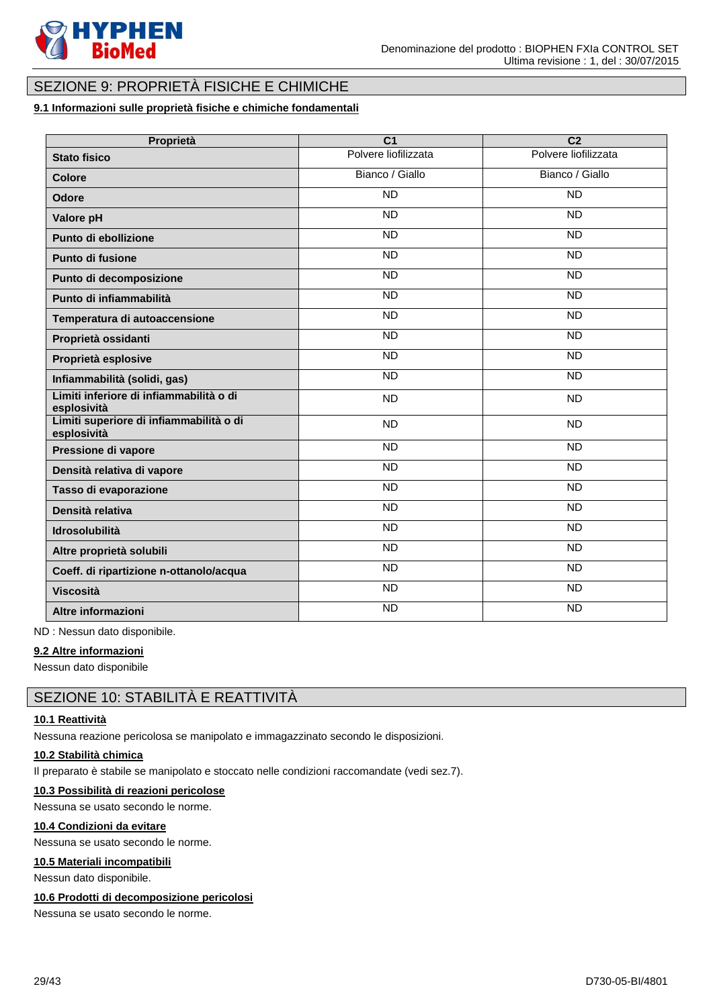

# SEZIONE 9: PROPRIETÀ FISICHE E CHIMICHE

# **9.1 Informazioni sulle proprietà fisiche e chimiche fondamentali**

| Proprietà                                              | $\overline{C}$       | $\overline{C2}$      |
|--------------------------------------------------------|----------------------|----------------------|
| <b>Stato fisico</b>                                    | Polvere liofilizzata | Polvere liofilizzata |
| <b>Colore</b>                                          | Bianco / Giallo      | Bianco / Giallo      |
| <b>Odore</b>                                           | <b>ND</b>            | <b>ND</b>            |
| Valore pH                                              | <b>ND</b>            | <b>ND</b>            |
| Punto di ebollizione                                   | <b>ND</b>            | $\overline{ND}$      |
| <b>Punto di fusione</b>                                | $\overline{ND}$      | <b>ND</b>            |
| Punto di decomposizione                                | <b>ND</b>            | <b>ND</b>            |
| Punto di infiammabilità                                | $\overline{ND}$      | <b>ND</b>            |
| Temperatura di autoaccensione                          | <b>ND</b>            | <b>ND</b>            |
| Proprietà ossidanti                                    | <b>ND</b>            | <b>ND</b>            |
| Proprietà esplosive                                    | $\overline{ND}$      | <b>ND</b>            |
| Infiammabilità (solidi, gas)                           | <b>ND</b>            | <b>ND</b>            |
| Limiti inferiore di infiammabilità o di<br>esplosività | <b>ND</b>            | <b>ND</b>            |
| Limiti superiore di infiammabilità o di<br>esplosività | <b>ND</b>            | <b>ND</b>            |
| Pressione di vapore                                    | $\overline{ND}$      | <b>ND</b>            |
| Densità relativa di vapore                             | <b>ND</b>            | <b>ND</b>            |
| Tasso di evaporazione                                  | <b>ND</b>            | <b>ND</b>            |
| Densità relativa                                       | $\overline{ND}$      | $\overline{ND}$      |
| Idrosolubilità                                         | $\overline{ND}$      | $\overline{ND}$      |
| Altre proprietà solubili                               | <b>ND</b>            | <b>ND</b>            |
| Coeff. di ripartizione n-ottanolo/acqua                | <b>ND</b>            | <b>ND</b>            |
| <b>Viscosità</b>                                       | $\overline{ND}$      | $\overline{ND}$      |
| Altre informazioni                                     | <b>ND</b>            | <b>ND</b>            |

ND : Nessun dato disponibile.

### **9.2 Altre informazioni**

Nessun dato disponibile

# SEZIONE 10: STABILITÀ E REATTIVITÀ

#### **10.1 Reattività**

Nessuna reazione pericolosa se manipolato e immagazzinato secondo le disposizioni.

# **10.2 Stabilità chimica**

Il preparato è stabile se manipolato e stoccato nelle condizioni raccomandate (vedi sez.7).

#### **10.3 Possibilità di reazioni pericolose**

Nessuna se usato secondo le norme.

### **10.4 Condizioni da evitare**

Nessuna se usato secondo le norme.

#### **10.5 Materiali incompatibili**

Nessun dato disponibile.

#### **10.6 Prodotti di decomposizione pericolosi**

Nessuna se usato secondo le norme.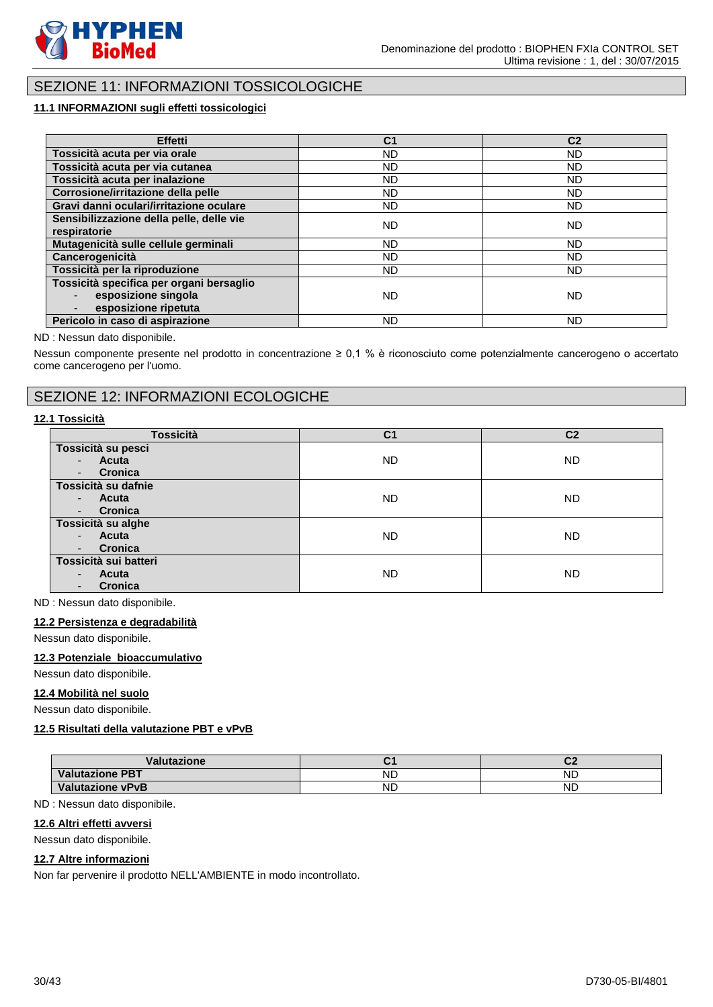

# SEZIONE 11: INFORMAZIONI TOSSICOLOGICHE

# **11.1 INFORMAZIONI sugli effetti tossicologici**

| Effetti                                                                                 | C <sub>1</sub> | C <sub>2</sub> |
|-----------------------------------------------------------------------------------------|----------------|----------------|
| Tossicità acuta per via orale                                                           | ND.            | <b>ND</b>      |
| Tossicità acuta per via cutanea                                                         | <b>ND</b>      | <b>ND</b>      |
| Tossicità acuta per inalazione                                                          | ND.            | <b>ND</b>      |
| Corrosione/irritazione della pelle                                                      | ND             | <b>ND</b>      |
| Gravi danni oculari/irritazione oculare                                                 | ND.            | ND.            |
| Sensibilizzazione della pelle, delle vie<br>respiratorie                                | ND.            | ND             |
| Mutagenicità sulle cellule germinali                                                    | ND.            | <b>ND</b>      |
| Cancerogenicità                                                                         | ND.            | <b>ND</b>      |
| Tossicità per la riproduzione                                                           | ND.            | <b>ND</b>      |
| Tossicità specifica per organi bersaglio<br>esposizione singola<br>esposizione ripetuta | <b>ND</b>      | <b>ND</b>      |
| Pericolo in caso di aspirazione                                                         | ND.            | <b>ND</b>      |

#### ND : Nessun dato disponibile.

Nessun componente presente nel prodotto in concentrazione ≥ 0,1 % è riconosciuto come potenzialmente cancerogeno o accertato come cancerogeno per l'uomo.

# SEZIONE 12: INFORMAZIONI ECOLOGICHE

# **12.1 Tossicità**

| <b>Tossicità</b>                    | C <sub>1</sub> | C <sub>2</sub> |
|-------------------------------------|----------------|----------------|
| Tossicità su pesci                  |                |                |
| Acuta<br>$\sim$                     | ND.            | ND.            |
| Cronica<br>$\sim$                   |                |                |
| Tossicità su dafnie                 |                |                |
| Acuta<br>$\sim$                     | ND.            | ND.            |
| Cronica<br>$\overline{\phantom{a}}$ |                |                |
| Tossicità su alghe                  |                |                |
| Acuta<br>$\sim$                     | ND.            | <b>ND</b>      |
| Cronica<br>$\overline{\phantom{a}}$ |                |                |
| Tossicità sui batteri               |                |                |
| Acuta<br>$\overline{\phantom{a}}$   | ND.            | <b>ND</b>      |
| Cronica                             |                |                |

ND : Nessun dato disponibile.

#### **12.2 Persistenza e degradabilità**

Nessun dato disponibile.

#### **12.3 Potenziale bioaccumulativo**

Nessun dato disponibile.

#### **12.4 Mobilità nel suolo**

Nessun dato disponibile.

# **12.5 Risultati della valutazione PBT e vPvB**

| /alutazione             |           | ^'<br>$\tilde{}$ |
|-------------------------|-----------|------------------|
| <b>Valutazione PBT</b>  | <b>ND</b> | <b>ND</b>        |
| <b>Valutazione vPvB</b> | <b>ND</b> | <b>ND</b>        |

ND : Nessun dato disponibile.

# **12.6 Altri effetti avversi**

Nessun dato disponibile.

### **12.7 Altre informazioni**

Non far pervenire il prodotto NELL'AMBIENTE in modo incontrollato.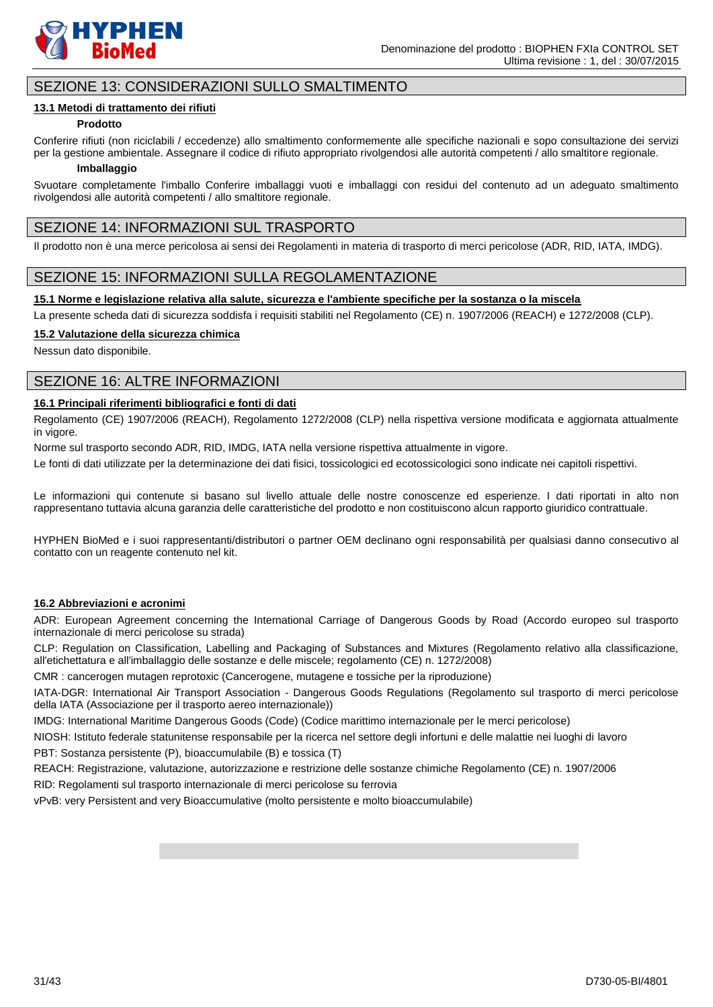

# SEZIONE 13: CONSIDERAZIONI SULLO SMALTIMENTO

### **13.1 Metodi di trattamento dei rifiuti**

# **Prodotto**

Conferire rifiuti (non riciclabili / eccedenze) allo smaltimento conformemente alle specifiche nazionali e sopo consultazione dei servizi per la gestione ambientale. Assegnare il codice di rifiuto appropriato rivolgendosi alle autorità competenti / allo smaltitore regionale.

#### **Imballaggio**

Svuotare completamente l'imballo Conferire imballaggi vuoti e imballaggi con residui del contenuto ad un adeguato smaltimento rivolgendosi alle autorità competenti / allo smaltitore regionale.

# SEZIONE 14: INFORMAZIONI SUL TRASPORTO

Il prodotto non è una merce pericolosa ai sensi dei Regolamenti in materia di trasporto di merci pericolose (ADR, RID, IATA, IMDG).

# SEZIONE 15: INFORMAZIONI SULLA REGOLAMENTAZIONE

### **15.1 Norme e legislazione relativa alla salute, sicurezza e l'ambiente specifiche per la sostanza o la miscela**

La presente scheda dati di sicurezza soddisfa i requisiti stabiliti nel Regolamento (CE) n. 1907/2006 (REACH) e 1272/2008 (CLP).

### **15.2 Valutazione della sicurezza chimica**

Nessun dato disponibile.

# SEZIONE 16: ALTRE INFORMAZIONI

### **16.1 Principali riferimenti bibliografici e fonti di dati**

Regolamento (CE) 1907/2006 (REACH), Regolamento 1272/2008 (CLP) nella rispettiva versione modificata e aggiornata attualmente in vigore.

Norme sul trasporto secondo ADR, RID, IMDG, IATA nella versione rispettiva attualmente in vigore.

Le fonti di dati utilizzate per la determinazione dei dati fisici, tossicologici ed ecotossicologici sono indicate nei capitoli rispettivi.

Le informazioni qui contenute si basano sul livello attuale delle nostre conoscenze ed esperienze. I dati riportati in alto non rappresentano tuttavia alcuna garanzia delle caratteristiche del prodotto e non costituiscono alcun rapporto giuridico contrattuale.

HYPHEN BioMed e i suoi rappresentanti/distributori o partner OEM declinano ogni responsabilità per qualsiasi danno consecutivo al contatto con un reagente contenuto nel kit.

### **16.2 Abbreviazioni e acronimi**

ADR: European Agreement concerning the International Carriage of Dangerous Goods by Road (Accordo europeo sul trasporto internazionale di merci pericolose su strada)

CLP: Regulation on Classification, Labelling and Packaging of Substances and Mixtures (Regolamento relativo alla classificazione, all'etichettatura e all'imballaggio delle sostanze e delle miscele; regolamento (CE) n. 1272/2008)

CMR : cancerogen mutagen reprotoxic (Cancerogene, mutagene e tossiche per la riproduzione)

IATA-DGR: International Air Transport Association - Dangerous Goods Regulations (Regolamento sul trasporto di merci pericolose della IATA (Associazione per il trasporto aereo internazionale))

IMDG: International Maritime Dangerous Goods (Code) (Codice marittimo internazionale per le merci pericolose)

NIOSH: Istituto federale statunitense responsabile per la ricerca nel settore degli infortuni e delle malattie nei luoghi di lavoro

PBT: Sostanza persistente (P), bioaccumulabile (B) e tossica (T)

REACH: Registrazione, valutazione, autorizzazione e restrizione delle sostanze chimiche Regolamento (CE) n. 1907/2006

RID: Regolamenti sul trasporto internazionale di merci pericolose su ferrovia

vPvB: very Persistent and very Bioaccumulative (molto persistente e molto bioaccumulabile)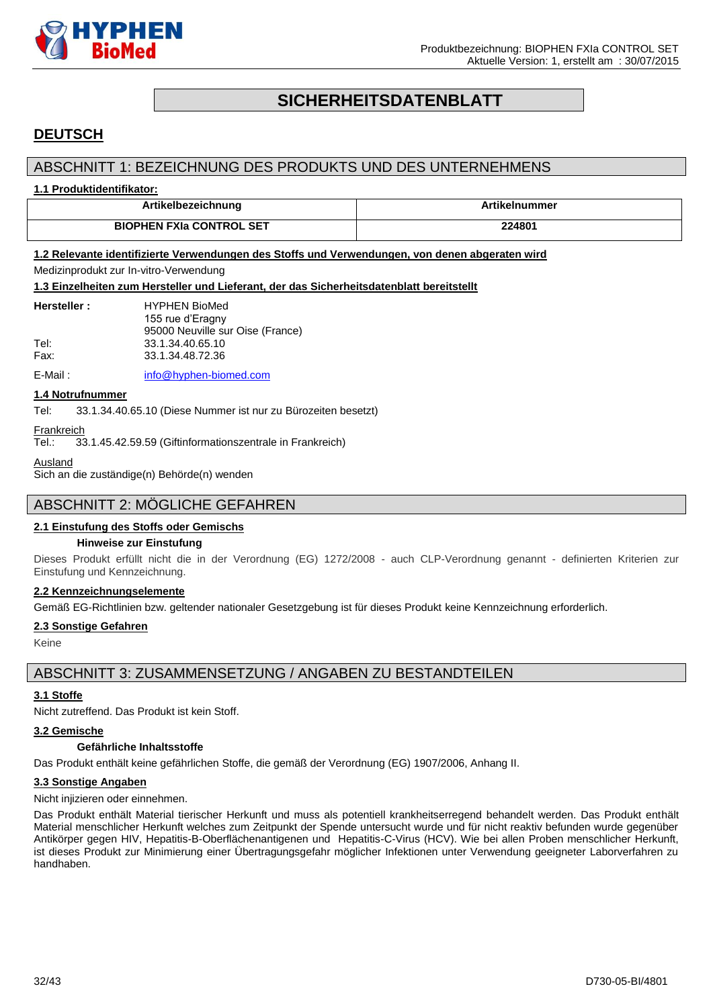

# **SICHERHEITSDATENBLATT**

# <span id="page-31-0"></span>**DEUTSCH**

# ABSCHNITT 1: BEZEICHNUNG DES PRODUKTS UND DES UNTERNEHMENS

### **1.1 Produktidentifikator:**

| albezeichnung                   | ıummer |
|---------------------------------|--------|
| <b>BIOPHEN FXIa CONTROL SET</b> | 224801 |

# **1.2 Relevante identifizierte Verwendungen des Stoffs und Verwendungen, von denen abgeraten wird**

# Medizinprodukt zur In-vitro-Verwendung

**1.3 Einzelheiten zum Hersteller und Lieferant, der das Sicherheitsdatenblatt bereitstellt**

| Hersteller : | <b>HYPHEN BioMed</b>             |
|--------------|----------------------------------|
|              | 155 rue d'Eragny                 |
|              | 95000 Neuville sur Oise (France) |
| Tel:         | 33.1.34.40.65.10                 |
| Fax:         | 33.1.34.48.72.36                 |
|              |                                  |

E-Mail: [info@hyphen-biomed.com](mailto:info@hyphen-biomed.com)

#### **1.4 Notrufnummer**

Tel: 33.1.34.40.65.10 (Diese Nummer ist nur zu Bürozeiten besetzt)

Frankreich

Tel.: 33.1.45.42.59.59 (Giftinformationszentrale in Frankreich)

Ausland

Sich an die zuständige(n) Behörde(n) wenden

# ABSCHNITT 2: MÖGLICHE GEFAHREN

### **2.1 Einstufung des Stoffs oder Gemischs**

#### **Hinweise zur Einstufung**

Dieses Produkt erfüllt nicht die in der Verordnung (EG) 1272/2008 - auch CLP-Verordnung genannt - definierten Kriterien zur Einstufung und Kennzeichnung.

### **2.2 Kennzeichnungselemente**

Gemäß EG-Richtlinien bzw. geltender nationaler Gesetzgebung ist für dieses Produkt keine Kennzeichnung erforderlich.

#### **2.3 Sonstige Gefahren**

Keine

# ABSCHNITT 3: ZUSAMMENSETZUNG / ANGABEN ZU BESTANDTEILEN

### **3.1 Stoffe**

Nicht zutreffend. Das Produkt ist kein Stoff.

#### **3.2 Gemische**

### **Gefährliche Inhaltsstoffe**

Das Produkt enthält keine gefährlichen Stoffe, die gemäß der Verordnung (EG) 1907/2006, Anhang II.

# **3.3 Sonstige Angaben**

Nicht injizieren oder einnehmen.

Das Produkt enthält Material tierischer Herkunft und muss als potentiell krankheitserregend behandelt werden. Das Produkt enthält Material menschlicher Herkunft welches zum Zeitpunkt der Spende untersucht wurde und für nicht reaktiv befunden wurde gegenüber Antikörper gegen HIV, Hepatitis-B-Oberflächenantigenen und Hepatitis-C-Virus (HCV). Wie bei allen Proben menschlicher Herkunft, ist dieses Produkt zur Minimierung einer Übertragungsgefahr möglicher Infektionen unter Verwendung geeigneter Laborverfahren zu handhaben.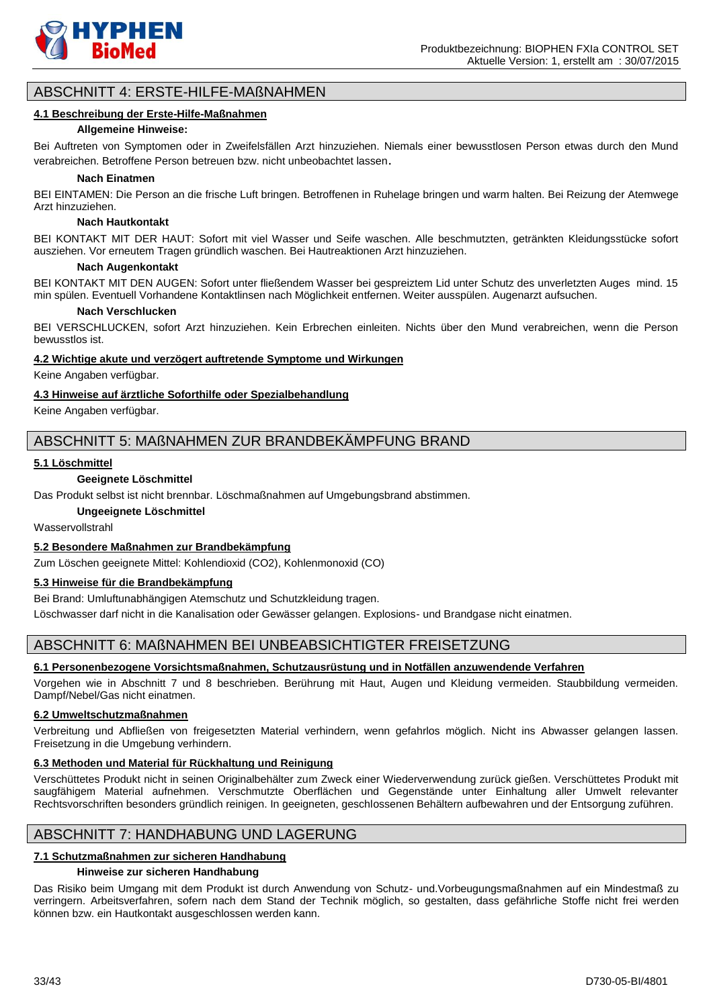

# ABSCHNITT 4: ERSTE-HILFE-MAßNAHMEN

#### **4.1 Beschreibung der Erste-Hilfe-Maßnahmen**

#### **Allgemeine Hinweise:**

Bei Auftreten von Symptomen oder in Zweifelsfällen Arzt hinzuziehen. Niemals einer bewusstlosen Person etwas durch den Mund verabreichen. Betroffene Person betreuen bzw. nicht unbeobachtet lassen.

#### **Nach Einatmen**

BEI EINTAMEN: Die Person an die frische Luft bringen. Betroffenen in Ruhelage bringen und warm halten. Bei Reizung der Atemwege Arzt hinzuziehen.

#### **Nach Hautkontakt**

BEI KONTAKT MIT DER HAUT: Sofort mit viel Wasser und Seife waschen. Alle beschmutzten, getränkten Kleidungsstücke sofort ausziehen. Vor erneutem Tragen gründlich waschen. Bei Hautreaktionen Arzt hinzuziehen.

#### **Nach Augenkontakt**

BEI KONTAKT MIT DEN AUGEN: Sofort unter fließendem Wasser bei gespreiztem Lid unter Schutz des unverletzten Auges mind. 15 min spülen. Eventuell Vorhandene Kontaktlinsen nach Möglichkeit entfernen. Weiter ausspülen. Augenarzt aufsuchen.

#### **Nach Verschlucken**

BEI VERSCHLUCKEN, sofort Arzt hinzuziehen. Kein Erbrechen einleiten. Nichts über den Mund verabreichen, wenn die Person bewusstlos ist.

#### **4.2 Wichtige akute und verzögert auftretende Symptome und Wirkungen**

Keine Angaben verfügbar.

### **4.3 Hinweise auf ärztliche Soforthilfe oder Spezialbehandlung**

Keine Angaben verfügbar.

# ABSCHNITT 5: MAßNAHMEN ZUR BRANDBEKÄMPFUNG BRAND

### **5.1 Löschmittel**

#### **Geeignete Löschmittel**

Das Produkt selbst ist nicht brennbar. Löschmaßnahmen auf Umgebungsbrand abstimmen.

#### **Ungeeignete Löschmittel**

Wasservollstrahl

### **5.2 Besondere Maßnahmen zur Brandbekämpfung**

Zum Löschen geeignete Mittel: Kohlendioxid (CO2), Kohlenmonoxid (CO)

# **5.3 Hinweise für die Brandbekämpfung**

Bei Brand: Umluftunabhängigen Atemschutz und Schutzkleidung tragen.

Löschwasser darf nicht in die Kanalisation oder Gewässer gelangen. Explosions- und Brandgase nicht einatmen.

# ABSCHNITT 6: MAßNAHMEN BEI UNBEABSICHTIGTER FREISETZUNG

### **6.1 Personenbezogene Vorsichtsmaßnahmen, Schutzausrüstung und in Notfällen anzuwendende Verfahren**

Vorgehen wie in Abschnitt 7 und 8 beschrieben. Berührung mit Haut, Augen und Kleidung vermeiden. Staubbildung vermeiden. Dampf/Nebel/Gas nicht einatmen.

### **6.2 Umweltschutzmaßnahmen**

Verbreitung und Abfließen von freigesetzten Material verhindern, wenn gefahrlos möglich. Nicht ins Abwasser gelangen lassen. Freisetzung in die Umgebung verhindern.

### **6.3 Methoden und Material für Rückhaltung und Reinigung**

Verschüttetes Produkt nicht in seinen Originalbehälter zum Zweck einer Wiederverwendung zurück gießen. Verschüttetes Produkt mit saugfähigem Material aufnehmen. Verschmutzte Oberflächen und Gegenstände unter Einhaltung aller Umwelt relevanter Rechtsvorschriften besonders gründlich reinigen. In geeigneten, geschlossenen Behältern aufbewahren und der Entsorgung zuführen.

# ABSCHNITT 7: HANDHABUNG UND LAGERUNG

# **7.1 Schutzmaßnahmen zur sicheren Handhabung**

# **Hinweise zur sicheren Handhabung**

Das Risiko beim Umgang mit dem Produkt ist durch Anwendung von Schutz- und.Vorbeugungsmaßnahmen auf ein Mindestmaß zu verringern. Arbeitsverfahren, sofern nach dem Stand der Technik möglich, so gestalten, dass gefährliche Stoffe nicht frei werden können bzw. ein Hautkontakt ausgeschlossen werden kann.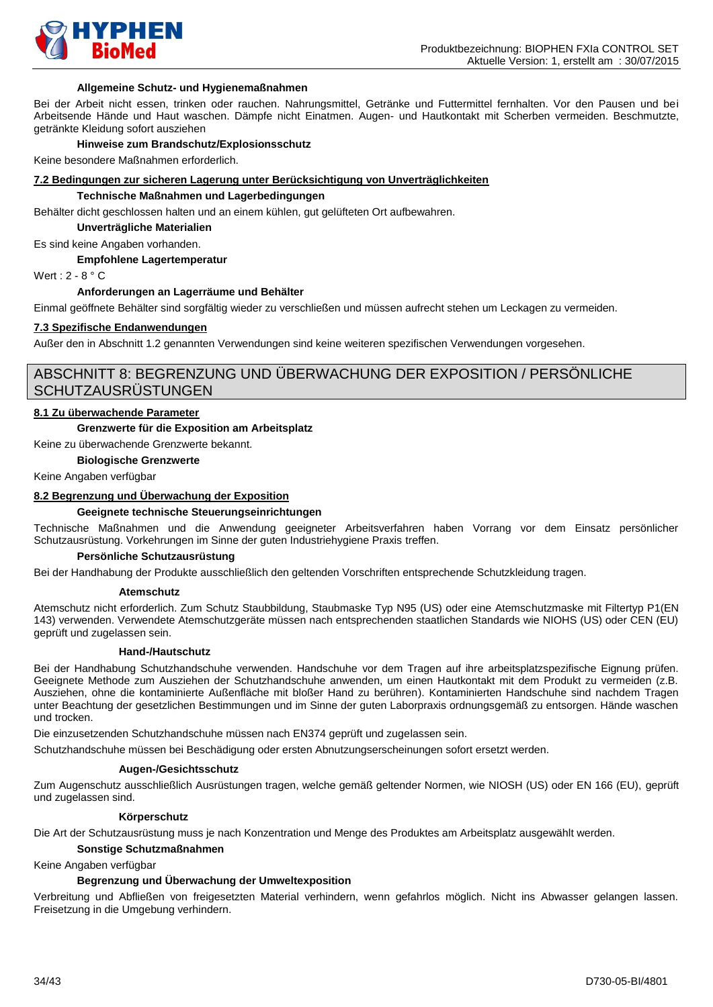

#### **Allgemeine Schutz- und Hygienemaßnahmen**

Bei der Arbeit nicht essen, trinken oder rauchen. Nahrungsmittel, Getränke und Futtermittel fernhalten. Vor den Pausen und bei Arbeitsende Hände und Haut waschen. Dämpfe nicht Einatmen. Augen- und Hautkontakt mit Scherben vermeiden. Beschmutzte, getränkte Kleidung sofort ausziehen

#### **Hinweise zum Brandschutz/Explosionsschutz**

Keine besondere Maßnahmen erforderlich.

#### **7.2 Bedingungen zur sicheren Lagerung unter Berücksichtigung von Unverträglichkeiten**

#### **Technische Maßnahmen und Lagerbedingungen**

Behälter dicht geschlossen halten und an einem kühlen, gut gelüfteten Ort aufbewahren.

**Unverträgliche Materialien**

Es sind keine Angaben vorhanden.

#### **Empfohlene Lagertemperatur**

Wert : 2 - 8 ° C

#### **Anforderungen an Lagerräume und Behälter**

Einmal geöffnete Behälter sind sorgfältig wieder zu verschließen und müssen aufrecht stehen um Leckagen zu vermeiden.

### **7.3 Spezifische Endanwendungen**

Außer den in Abschnitt 1.2 genannten Verwendungen sind keine weiteren spezifischen Verwendungen vorgesehen.

# ABSCHNITT 8: BEGRENZUNG UND ÜBERWACHUNG DER EXPOSITION / PERSÖNLICHE **SCHUTZAUSRÜSTUNGEN**

#### **8.1 Zu überwachende Parameter**

#### **Grenzwerte für die Exposition am Arbeitsplatz**

Keine zu überwachende Grenzwerte bekannt.

#### **Biologische Grenzwerte**

Keine Angaben verfügbar

### **8.2 Begrenzung und Überwachung der Exposition**

### **Geeignete technische Steuerungseinrichtungen**

Technische Maßnahmen und die Anwendung geeigneter Arbeitsverfahren haben Vorrang vor dem Einsatz persönlicher Schutzausrüstung. Vorkehrungen im Sinne der guten Industriehygiene Praxis treffen.

#### **Persönliche Schutzausrüstung**

Bei der Handhabung der Produkte ausschließlich den geltenden Vorschriften entsprechende Schutzkleidung tragen.

#### **Atemschutz**

Atemschutz nicht erforderlich. Zum Schutz Staubbildung, Staubmaske Typ N95 (US) oder eine Atemschutzmaske mit Filtertyp P1(EN 143) verwenden. Verwendete Atemschutzgeräte müssen nach entsprechenden staatlichen Standards wie NIOHS (US) oder CEN (EU) geprüft und zugelassen sein.

#### **Hand-/Hautschutz**

Bei der Handhabung Schutzhandschuhe verwenden. Handschuhe vor dem Tragen auf ihre arbeitsplatzspezifische Eignung prüfen. Geeignete Methode zum Ausziehen der Schutzhandschuhe anwenden, um einen Hautkontakt mit dem Produkt zu vermeiden (z.B. Ausziehen, ohne die kontaminierte Außenfläche mit bloßer Hand zu berühren). Kontaminierten Handschuhe sind nachdem Tragen unter Beachtung der gesetzlichen Bestimmungen und im Sinne der guten Laborpraxis ordnungsgemäß zu entsorgen. Hände waschen und trocken.

Die einzusetzenden Schutzhandschuhe müssen nach EN374 geprüft und zugelassen sein.

Schutzhandschuhe müssen bei Beschädigung oder ersten Abnutzungserscheinungen sofort ersetzt werden.

#### **Augen-/Gesichtsschutz**

Zum Augenschutz ausschließlich Ausrüstungen tragen, welche gemäß geltender Normen, wie NIOSH (US) oder EN 166 (EU), geprüft und zugelassen sind.

#### **Körperschutz**

Die Art der Schutzausrüstung muss je nach Konzentration und Menge des Produktes am Arbeitsplatz ausgewählt werden.

#### **Sonstige Schutzmaßnahmen**

Keine Angaben verfügbar

#### **Begrenzung und Überwachung der Umweltexposition**

Verbreitung und Abfließen von freigesetzten Material verhindern, wenn gefahrlos möglich. Nicht ins Abwasser gelangen lassen. Freisetzung in die Umgebung verhindern.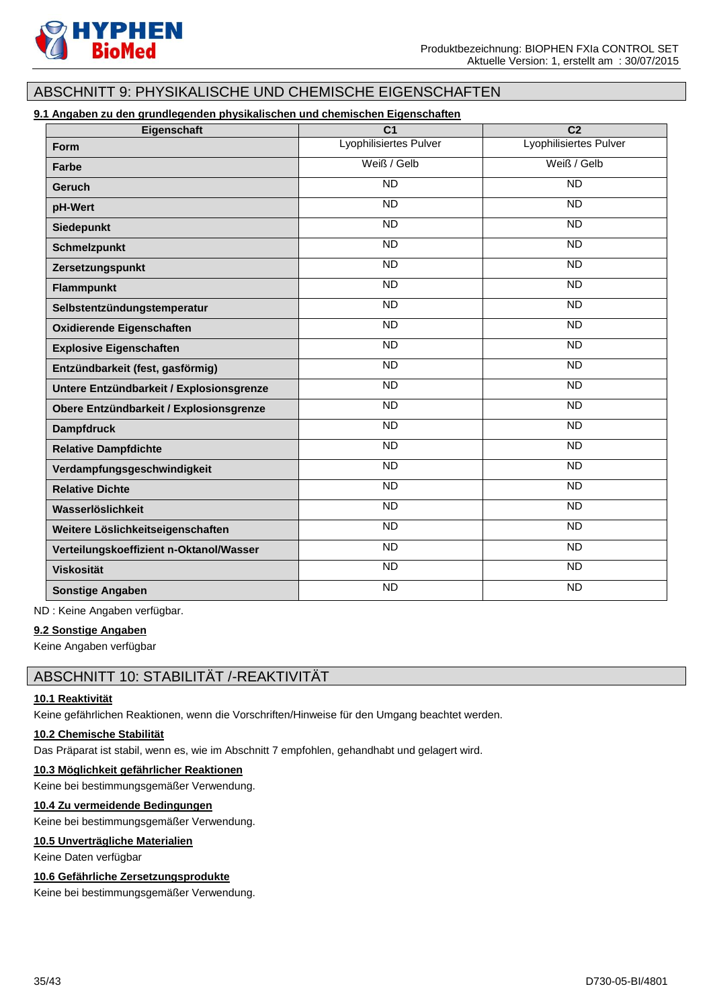

# ABSCHNITT 9: PHYSIKALISCHE UND CHEMISCHE EIGENSCHAFTEN

# **9.1 Angaben zu den grundlegenden physikalischen und chemischen Eigenschaften**

| Eigenschaft                              | $\overline{C}$ 1       | $\overline{C2}$        |
|------------------------------------------|------------------------|------------------------|
| <b>Form</b>                              | Lyophilisiertes Pulver | Lyophilisiertes Pulver |
| Farbe                                    | Weiß / Gelb            | Weiß / Gelb            |
| Geruch                                   | <b>ND</b>              | <b>ND</b>              |
| pH-Wert                                  | $\overline{ND}$        | $\overline{ND}$        |
| <b>Siedepunkt</b>                        | <b>ND</b>              | <b>ND</b>              |
| <b>Schmelzpunkt</b>                      | <b>ND</b>              | <b>ND</b>              |
| Zersetzungspunkt                         | <b>ND</b>              | <b>ND</b>              |
| <b>Flammpunkt</b>                        | <b>ND</b>              | <b>ND</b>              |
| Selbstentzündungstemperatur              | <b>ND</b>              | <b>ND</b>              |
| <b>Oxidierende Eigenschaften</b>         | <b>ND</b>              | $\overline{ND}$        |
| <b>Explosive Eigenschaften</b>           | $\overline{ND}$        | $\overline{ND}$        |
| Entzündbarkeit (fest, gasförmig)         | <b>ND</b>              | <b>ND</b>              |
| Untere Entzündbarkeit / Explosionsgrenze | <b>ND</b>              | <b>ND</b>              |
| Obere Entzündbarkeit / Explosionsgrenze  | <b>ND</b>              | <b>ND</b>              |
| <b>Dampfdruck</b>                        | $\overline{ND}$        | $\overline{ND}$        |
| <b>Relative Dampfdichte</b>              | <b>ND</b>              | <b>ND</b>              |
| Verdampfungsgeschwindigkeit              | $\overline{ND}$        | $\overline{ND}$        |
| <b>Relative Dichte</b>                   | <b>ND</b>              | <b>ND</b>              |
| Wasserlöslichkeit                        | <b>ND</b>              | <b>ND</b>              |
| Weitere Löslichkeitseigenschaften        | $\overline{ND}$        | $\overline{ND}$        |
| Verteilungskoeffizient n-Oktanol/Wasser  | <b>ND</b>              | <b>ND</b>              |
| <b>Viskosität</b>                        | $\overline{ND}$        | $\overline{ND}$        |
| <b>Sonstige Angaben</b>                  | <b>ND</b>              | <b>ND</b>              |

ND : Keine Angaben verfügbar.

### **9.2 Sonstige Angaben**

Keine Angaben verfügbar

# ABSCHNITT 10: STABILITÄT /-REAKTIVITÄT

### **10.1 Reaktivität**

Keine gefährlichen Reaktionen, wenn die Vorschriften/Hinweise für den Umgang beachtet werden.

#### **10.2 Chemische Stabilität**

Das Präparat ist stabil, wenn es, wie im Abschnitt 7 empfohlen, gehandhabt und gelagert wird.

#### **10.3 Möglichkeit gefährlicher Reaktionen**

Keine bei bestimmungsgemäßer Verwendung.

# **10.4 Zu vermeidende Bedingungen**

Keine bei bestimmungsgemäßer Verwendung.

### **10.5 Unverträgliche Materialien**

Keine Daten verfügbar

## **10.6 Gefährliche Zersetzungsprodukte**

Keine bei bestimmungsgemäßer Verwendung.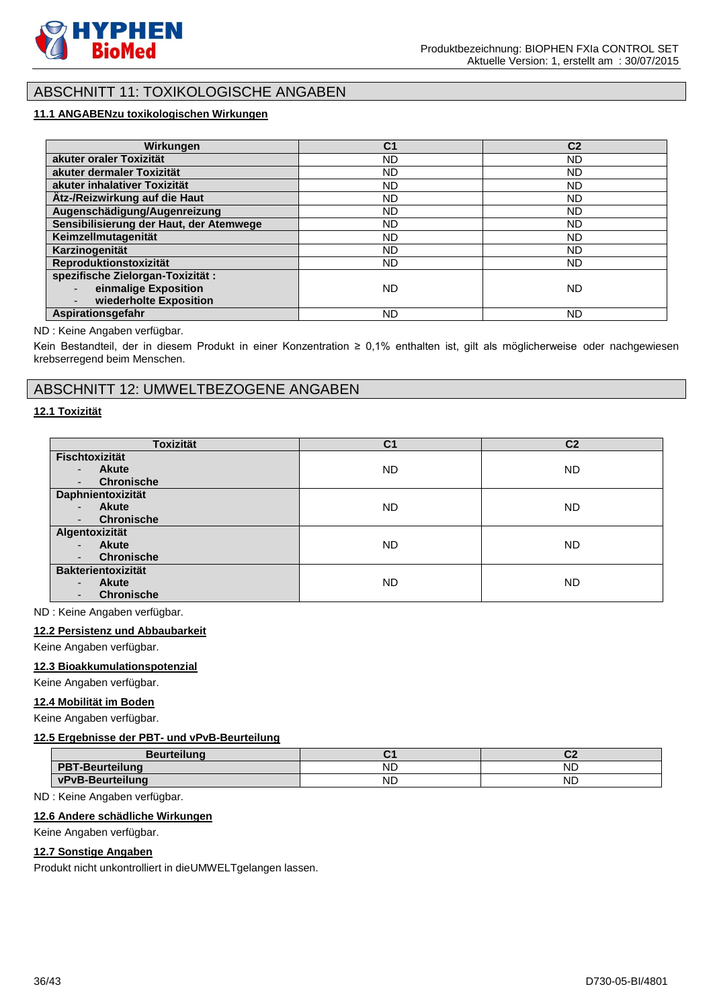

# ABSCHNITT 11: TOXIKOLOGISCHE ANGABEN

# **11.1 ANGABENzu toxikologischen Wirkungen**

| Wirkungen                               | C <sub>1</sub> | C <sub>2</sub> |
|-----------------------------------------|----------------|----------------|
| akuter oraler Toxizität                 | <b>ND</b>      | <b>ND</b>      |
| akuter dermaler Toxizität               | ND.            | <b>ND</b>      |
| akuter inhalativer Toxizität            | ND.            | <b>ND</b>      |
| Ätz-/Reizwirkung auf die Haut           | ND.            | <b>ND</b>      |
| Augenschädigung/Augenreizung            | ND.            | <b>ND</b>      |
| Sensibilisierung der Haut, der Atemwege | ND.            | <b>ND</b>      |
| Keimzellmutagenität                     | <b>ND</b>      | <b>ND</b>      |
| Karzinogenität                          | ND.            | <b>ND</b>      |
| Reproduktionstoxizität                  | ND.            | ND.            |
| spezifische Zielorgan-Toxizität:        |                |                |
| einmalige Exposition                    | <b>ND</b>      | <b>ND</b>      |
| wiederholte Exposition                  |                |                |
| Aspirationsgefahr                       | ND             | <b>ND</b>      |

### ND : Keine Angaben verfügbar.

Kein Bestandteil, der in diesem Produkt in einer Konzentration ≥ 0,1% enthalten ist, gilt als möglicherweise oder nachgewiesen krebserregend beim Menschen.

# ABSCHNITT 12: UMWELTBEZOGENE ANGABEN

## **12.1 Toxizität**

| <b>Toxizität</b>                         | C <sub>1</sub> | C <sub>2</sub> |
|------------------------------------------|----------------|----------------|
| <b>Fischtoxizität</b>                    |                |                |
| <b>Akute</b><br>٠                        | <b>ND</b>      | <b>ND</b>      |
| <b>Chronische</b>                        |                |                |
| Daphnientoxizität                        |                |                |
| <b>Akute</b><br>$\overline{\phantom{0}}$ | ND             | <b>ND</b>      |
| <b>Chronische</b>                        |                |                |
| Algentoxizität                           |                |                |
| <b>Akute</b>                             | <b>ND</b>      | <b>ND</b>      |
| <b>Chronische</b>                        |                |                |
| <b>Bakterientoxizität</b>                |                |                |
| <b>Akute</b><br>٠                        | <b>ND</b>      | <b>ND</b>      |
| <b>Chronische</b>                        |                |                |

ND : Keine Angaben verfügbar.

#### **12.2 Persistenz und Abbaubarkeit**

Keine Angaben verfügbar.

#### **12.3 Bioakkumulationspotenzial**

Keine Angaben verfügbar.

#### **12.4 Mobilität im Boden**

Keine Angaben verfügbar.

#### **12.5 Ergebnisse der PBT- und vPvB-Beurteilung**

| <b>Beurteilung</b>     |           | ◡▵        |
|------------------------|-----------|-----------|
| <b>PBT-Beurteilung</b> | <b>ND</b> | <b>ND</b> |
| vPvB-Beurteilung       | <b>ND</b> | <b>ND</b> |

ND : Keine Angaben verfügbar.

### **12.6 Andere schädliche Wirkungen**

#### Keine Angaben verfügbar.

#### **12.7 Sonstige Angaben**

Produkt nicht unkontrolliert in dieUMWELTgelangen lassen.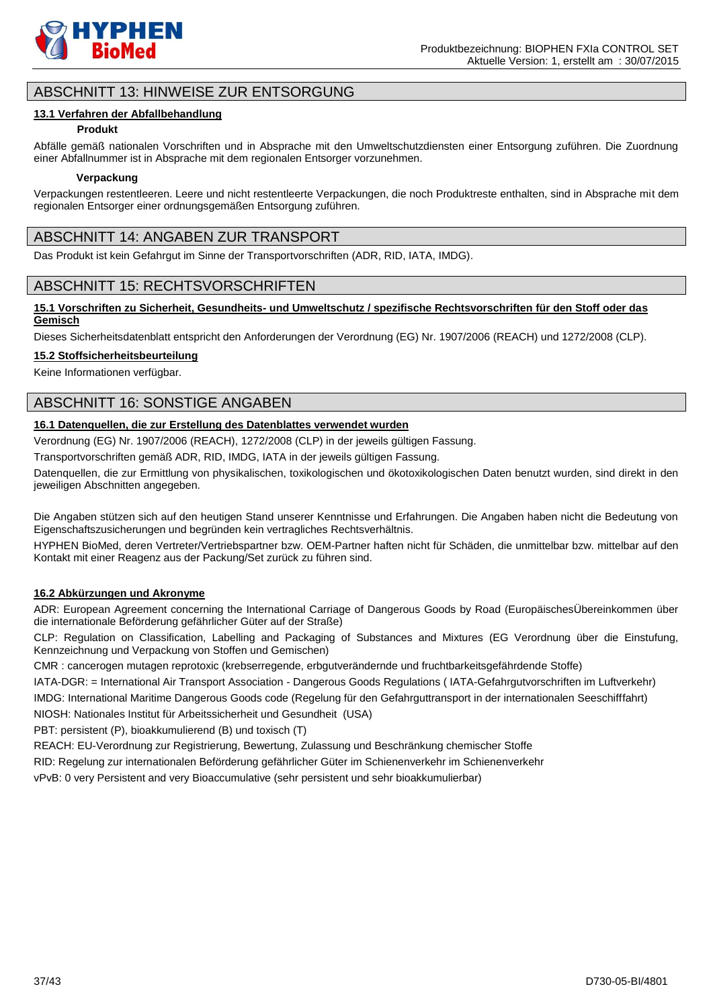

# ABSCHNITT 13: HINWEISE ZUR ENTSORGUNG

### **13.1 Verfahren der Abfallbehandlung**

### **Produkt**

Abfälle gemäß nationalen Vorschriften und in Absprache mit den Umweltschutzdiensten einer Entsorgung zuführen. Die Zuordnung einer Abfallnummer ist in Absprache mit dem regionalen Entsorger vorzunehmen.

#### **Verpackung**

Verpackungen restentleeren. Leere und nicht restentleerte Verpackungen, die noch Produktreste enthalten, sind in Absprache mit dem regionalen Entsorger einer ordnungsgemäßen Entsorgung zuführen.

# ABSCHNITT 14: ANGABEN ZUR TRANSPORT

Das Produkt ist kein Gefahrgut im Sinne der Transportvorschriften (ADR, RID, IATA, IMDG).

# ABSCHNITT 15: RECHTSVORSCHRIFTEN

### **15.1 Vorschriften zu Sicherheit, Gesundheits- und Umweltschutz / spezifische Rechtsvorschriften für den Stoff oder das Gemisch**

Dieses Sicherheitsdatenblatt entspricht den Anforderungen der Verordnung (EG) Nr. 1907/2006 (REACH) und 1272/2008 (CLP).

#### **15.2 Stoffsicherheitsbeurteilung**

Keine Informationen verfügbar.

# ABSCHNITT 16: SONSTIGE ANGABEN

# **16.1 Datenquellen, die zur Erstellung des Datenblattes verwendet wurden**

Verordnung (EG) Nr. 1907/2006 (REACH), 1272/2008 (CLP) in der jeweils gültigen Fassung.

Transportvorschriften gemäß ADR, RID, IMDG, IATA in der jeweils gültigen Fassung.

Datenquellen, die zur Ermittlung von physikalischen, toxikologischen und ökotoxikologischen Daten benutzt wurden, sind direkt in den jeweiligen Abschnitten angegeben.

Die Angaben stützen sich auf den heutigen Stand unserer Kenntnisse und Erfahrungen. Die Angaben haben nicht die Bedeutung von Eigenschaftszusicherungen und begründen kein vertragliches Rechtsverhältnis.

HYPHEN BioMed, deren Vertreter/Vertriebspartner bzw. OEM-Partner haften nicht für Schäden, die unmittelbar bzw. mittelbar auf den Kontakt mit einer Reagenz aus der Packung/Set zurück zu führen sind.

### **16.2 Abkürzungen und Akronyme**

ADR: European Agreement concerning the International Carriage of Dangerous Goods by Road (EuropäischesÜbereinkommen über die internationale Beförderung gefährlicher Güter auf der Straße)

CLP: Regulation on Classification, Labelling and Packaging of Substances and Mixtures (EG Verordnung über die Einstufung, Kennzeichnung und Verpackung von Stoffen und Gemischen)

CMR : cancerogen mutagen reprotoxic (krebserregende, erbgutverändernde und fruchtbarkeitsgefährdende Stoffe)

IATA-DGR: = International Air Transport Association - Dangerous Goods Regulations ( IATA-Gefahrgutvorschriften im Luftverkehr)

IMDG: International Maritime Dangerous Goods code (Regelung für den Gefahrguttransport in der internationalen Seeschifffahrt)

NIOSH: Nationales Institut für Arbeitssicherheit und Gesundheit (USA)

PBT: persistent (P), bioakkumulierend (B) und toxisch (T)

REACH: EU-Verordnung zur Registrierung, Bewertung, Zulassung und Beschränkung chemischer Stoffe

RID: Regelung zur internationalen Beförderung gefährlicher Güter im Schienenverkehr im Schienenverkehr

vPvB: 0 very Persistent and very Bioaccumulative (sehr persistent und sehr bioakkumulierbar)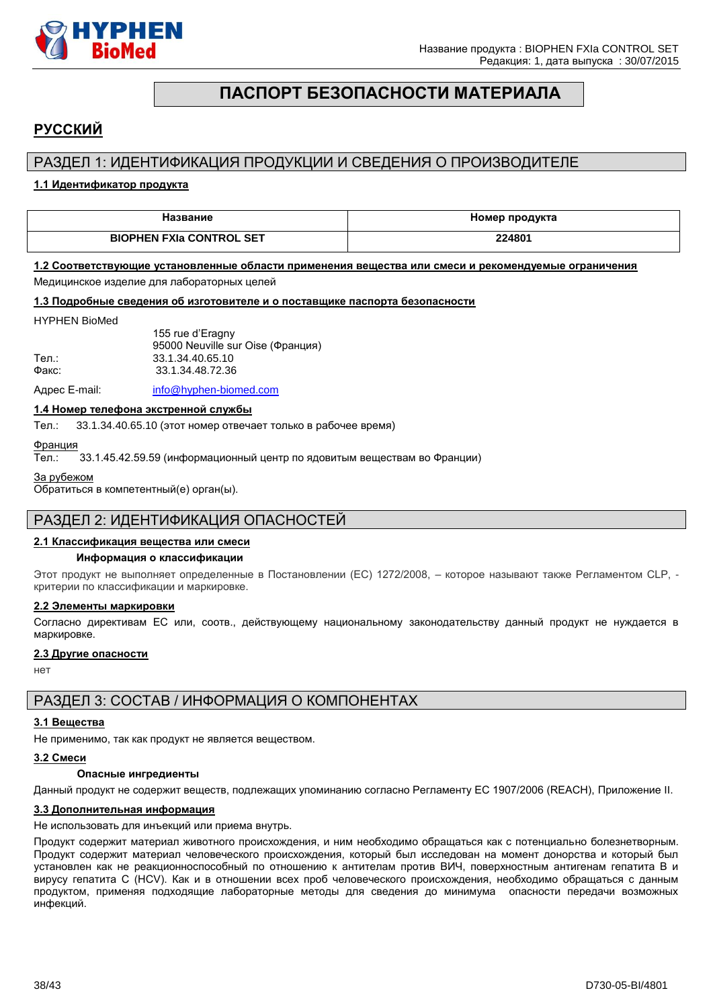

# **ПАСПОРТ БЕЗОПАСНОСТИ МАТЕРИАЛА**

# <span id="page-37-0"></span>**РУССКИЙ**

# РАЗДЕЛ 1: ИДЕНТИФИКАЦИЯ ПРОДУКЦИИ И СВЕДЕНИЯ О ПРОИЗВОДИТЕЛЕ

### **1.1 Идентификатор продукта**

| Название                        | Номер продукта |
|---------------------------------|----------------|
| <b>BIOPHEN FXIa CONTROL SET</b> | 224801         |

#### **1.2 Соответствующие установленные области применения вещества или смеси и рекомендуемые ограничения**

Медицинское изделие для лабораторных целей

#### **1.3 Подробные сведения об изготовителе и о поставщике паспорта безопасности**

#### HYPHEN BioMed

|       | 155 rue d'Eragny                  |
|-------|-----------------------------------|
|       | 95000 Neuville sur Oise (Франция) |
| Тел.: | 33.1.34.40.65.10                  |
| Факс: | 33.1.34.48.72.36                  |
|       |                                   |

Адрес E-mail: [info@hyphen-biomed.com](mailto:info@hyphen-biomed.com)

### **1.4 Номер телефона экстренной службы**

Тел.: 33.1.34.40.65.10 (этот номер отвечает только в рабочее время)

Франция

Тел.: 33.1.45.42.59.59 (информационный центр по ядовитым веществам во Франции)

За рубежом

Обратиться в компетентный(е) орган(ы).

# РАЗДЕЛ 2: ИДЕНТИФИКАЦИЯ ОПАСНОСТЕЙ

### **2.1 Классификация вещества или смеси**

#### **Информация о классификации**

Этот продукт не выполняет определенные в Постановлении (EС) 1272/2008, – которое называют также Регламентом CLP, критерии по классификации и маркировке.

#### **2.2 Элементы маркировки**

Согласно директивам ЕС или, соотв., действующему национальному законодательству данный продукт не нуждается в маркировке.

#### **2.3 Другие опасности**

нет

# РАЗДЕЛ 3: СОСТАВ / ИНФОРМАЦИЯ О КОМПОНЕНТАХ

#### **3.1 Вещества**

Не применимо, так как продукт не является веществом.

#### **3.2 Смеси**

#### **Опасные ингредиенты**

Данный продукт не содержит веществ, подлежащих упоминанию согласно Регламенту ЕС 1907/2006 (REACH), Приложение II.

#### **3.3 Дополнительная информация**

Не использовать для инъекций или приема внутрь.

Продукт содержит материал животного происхождения, и ним необходимо обращаться как с потенциально болезнетворным. Продукт содержит материал человеческого происхождения, который был исследован на момент донорства и который был установлен как не реакционноспособный по отношению к антителам против ВИЧ, поверхностным антигенам гепатита B и вирусу гепатита C (HCV). Как и в отношении всех проб человеческого происхождения, необходимо обращаться с данным продуктом, применяя подходящие лабораторные методы для сведения до минимума опасности передачи возможных инфекций.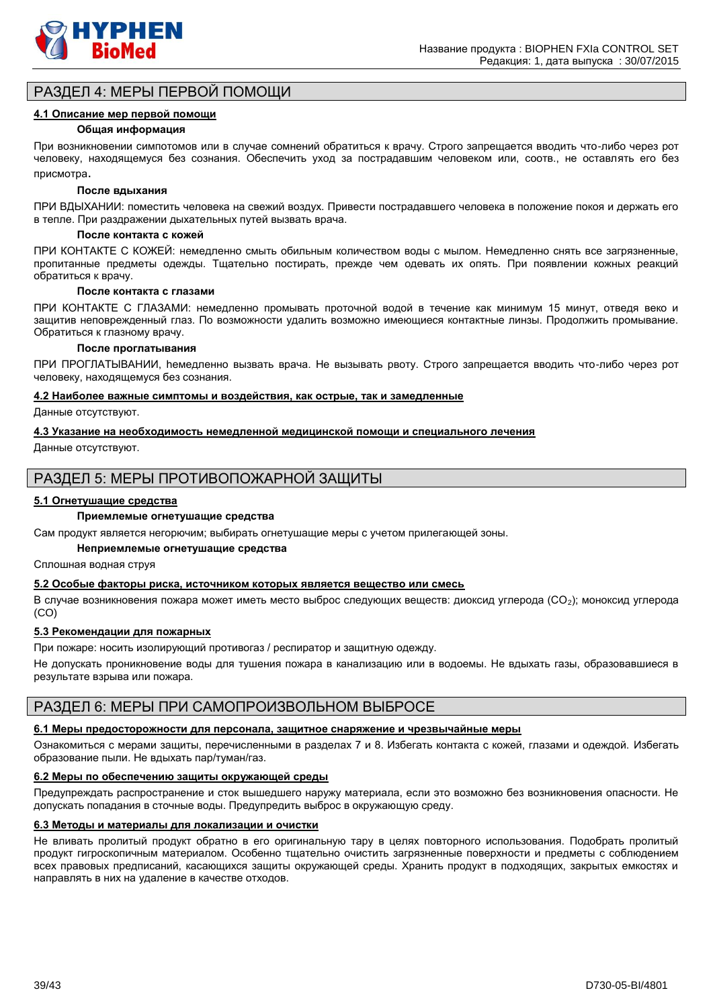

# РАЗДЕЛ 4: МЕРЫ ПЕРВОЙ ПОМОЩИ

#### **4.1 Описание мер первой помощи**

#### **Общая информация**

При возникновении cимпотомов или в случае сомнений обратиться к врачу. Строго запрещается вводить что-либо через рот человеку, находящемуся без сознания. Обеспечить уход за пострадавшим человеком или, соотв., не оставлять его без присмотра.

#### **После вдыхания**

ПРИ ВДЫХАНИИ: поместить человека на свежий воздух. Привести пострадавшего человека в положение покоя и держать его в тепле. При раздражении дыхательных путей вызвать врача.

#### **После контакта с кожей**

ПРИ КОНТАКТЕ С КОЖЕЙ: немедленно смыть обильным количеством воды с мылом. Немедленно снять все загрязненные, пропитанные предметы одежды. Тщательно постирать, прежде чем одевать их опять. При появлении кожных реакций обратиться к врачу.

#### **После контакта с глазами**

ПРИ КОНТАКТЕ С ГЛАЗАМИ: немедленно промывать проточной водой в течение как минимум 15 минут, отведя веко и защитив неповрежденный глаз. По возможности удалить возможно имеющиеся контактные линзы. Продолжить промывание. Обратиться к глазному врачу.

#### **После проглатывания**

ПРИ ПРОГЛАТЫВАНИИ, hемедленно вызвать врача. Не вызывать рвоту. Строго запрещается вводить что-либо через рот человеку, находящемуся без сознания.

#### **4.2 Наиболее важные симптомы и воздействия, как острые, так и замедленные**

Данные отсутствуют.

#### **4.3 Указание на необходимость немедленной медицинской помощи и специального лечения**

Данные отсутствуют.

# РАЗДЕЛ 5: МЕРЫ ПРОТИВОПОЖАРНОЙ ЗАЩИТЫ

#### **5.1 Огнетушащие средства**

### **Приемлемые огнетушащие средства**

Сам продукт является негорючим; выбирать огнетушащие меры с учетом прилегающей зоны.

#### **Неприемлемые огнетушащие средства**

Сплошная водная струя

#### **5.2 Особые факторы риска, источником которых является вещество или смесь**

В случае возникновения пожара может иметь место выброс следующих веществ: диоксид углерода (CO2); моноксид углерода (CO)

#### **5.3 Рекомендации для пожарных**

При пожаре: носить изолирующий противогаз / респиратор и защитную одежду.

Не допускать проникновение воды для тушения пожара в канализацию или в водоемы. Не вдыхать газы, образовавшиеся в результате взрыва или пожара.

# РАЗДЕЛ 6: МЕРЫ ПРИ САМОПРОИЗВОЛЬНОМ ВЫБРОСЕ

#### **6.1 Меры предосторожности для персонала, защитное снаряжение и чрезвычайные меры**

Ознакомиться с мерами защиты, перечисленными в разделах 7 и 8. Избегать контакта с кожей, глазами и одеждой. Избегать образование пыли. Не вдыхать пар/туман/газ.

#### **6.2 Меры по обеспечению защиты окружающей среды**

Предупреждать распространение и сток вышедшего наружу материала, если это возможно без возникновения опасности. Не допускать попадания в сточные воды. Предупредить выброс в окружающую среду.

#### **6.3 Методы и материалы для локализации и очистки**

Не вливать пролитый продукт обратно в его оригинальную тару в целях повторного использования. Подобрать пролитый продукт гигроскопичным материалом. Особенно тщательно очистить загрязненные поверхности и предметы с соблюдением всех правовых предписаний, касающихся защиты окружающей среды. Хранить продукт в подходящих, закрытых емкостях и направлять в них на удаление в качестве отходов.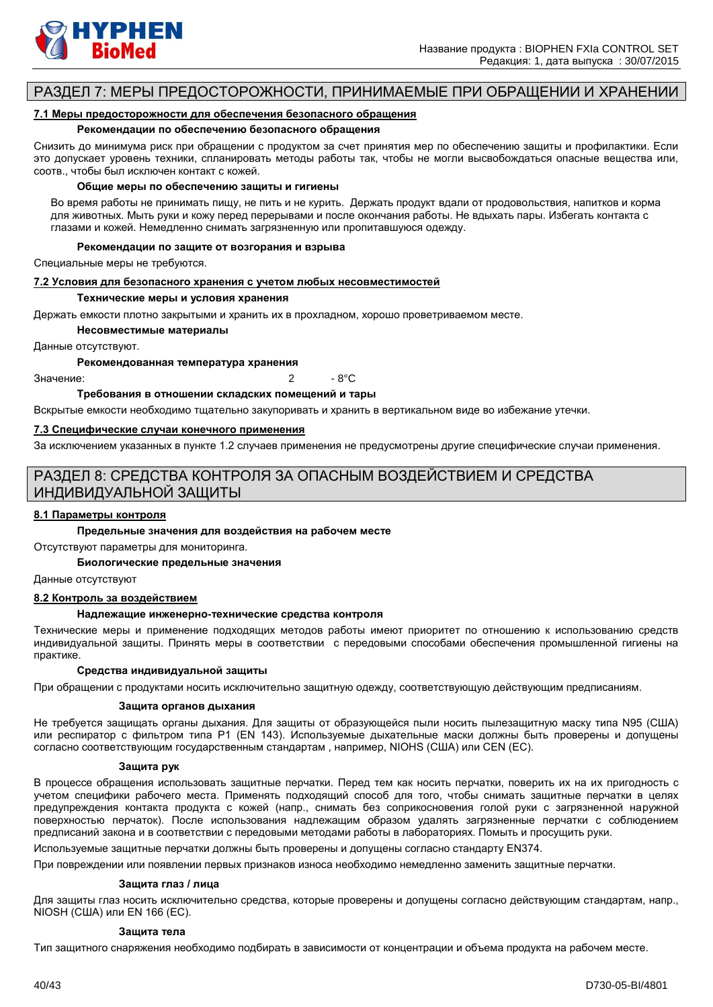

# РАЗДЕЛ 7: МЕРЫ ПРЕДОСТОРОЖНОСТИ, ПРИНИМАЕМЫЕ ПРИ ОБРАЩЕНИИ И ХРАНЕНИИ

#### **7.1 Меры предосторожности для обеспечения безопасного обращения**

#### **Рекомендации по обеспечению безопасного обращения**

Снизить до минимума риск при обращении с продуктом за счет принятия мер по обеспечению защиты и профилактики. Если это допускает уровень техники, спланировать методы работы так, чтобы не могли высвобождаться опасные вещества или, соотв., чтобы был исключен контакт с кожей.

#### **Общие меры по обеспечению защиты и гигиены**

Во время работы не принимать пищу, не пить и не курить. Держать продукт вдали от продовольствия, напитков и корма для животных. Мыть руки и кожу перед перерывами и после окончания работы. Не вдыхать пары. Избегать контакта с глазами и кожей. Немедленно снимать загрязненную или пропитавшуюся одежду.

#### **Рекомендации по защите от возгорания и взрыва**

Специальные меры не требуются.

#### **7.2 Условия для безопасного хранения с учетом любых несовместимостей**

#### **Технические меры и условия хранения**

Держать емкости плотно закрытыми и хранить их в прохладном, хорошо проветриваемом месте.

**Несовместимые материалы**

Данные отсутствуют.

#### **Рекомендованная температура хранения**

 $3$ начение:  $\overline{2}$  - 8°C

**Требования в отношении складских помещений и тары**

Вскрытые емкости необходимо тщательно закупоривать и хранить в вертикальном виде во избежание утечки.

#### **7.3 Специфические случаи конечного применения**

За исключением указанных в пункте 1.2 случаев применения не предусмотрены другие специфические случаи применения.

# РАЗДЕЛ 8: СРЕДСТВА КОНТРОЛЯ ЗА ОПАСНЫМ ВОЗДЕЙСТВИЕМ И СРЕДСТВА ИНДИВИДУАЛЬНОЙ ЗАЩИТЫ

#### **8.1 Параметры контроля**

#### **Предельные значения для воздействия на рабочем месте**

Отсутствуют параметры для мониторинга.

**Биологические предельные значения**

#### Данные отсутствуют

#### **8.2 Контроль за воздействием**

#### **Надлежащие инженерно-технические средства контроля**

Технические меры и применение подходящих методов работы имеют приоритет по отношению к использованию средств индивидуальной защиты. Принять меры в соответствии с передовыми способами обеспечения промышленной гигиены на практике.

#### **Средства индивидуальной защиты**

При обращении с продуктами носить исключительно защитную одежду, соответствующую действующим предписаниям.

#### **Защита органов дыхания**

Не требуется защищать органы дыхания. Для защиты от образующейся пыли носить пылезащитную маску типа N95 (США) или респиратор с фильтром типа P1 (EN 143). Используемые дыхательные маски должны быть проверены и допущены согласно соответствующим государственным стандартам , например, NIOHS (США) или CEN (EС).

#### **Защита рук**

В процессе обращения использовать защитные перчатки. Перед тем как носить перчатки, поверить их на их пригодность с учетом специфики рабочего места. Применять подходящий способ для того, чтобы снимать защитные перчатки в целях предупреждения контакта продукта с кожей (напр., снимать без соприкосновения голой руки с загрязненной наружной поверхностью перчаток). После использования надлежащим образом удалять загрязненные перчатки с соблюдением предписаний закона и в соответствии с передовыми методами работы в лабораториях. Помыть и просущить руки.

Используемые защитные перчатки должны быть проверены и допущены согласно стандарту EN374.

При повреждении или появлении первых признаков износа необходимо немедленно заменить защитные перчатки.

#### **Защита глаз / лица**

Для защиты глаз носить исключительно средства, которые проверены и допущены согласно действующим стандартам, напр., NIOSH (США) или EN 166 (EС).

#### **Защита тела**

Тип защитного снаряжения необходимо подбирать в зависимости от концентрации и объема продукта на рабочем месте.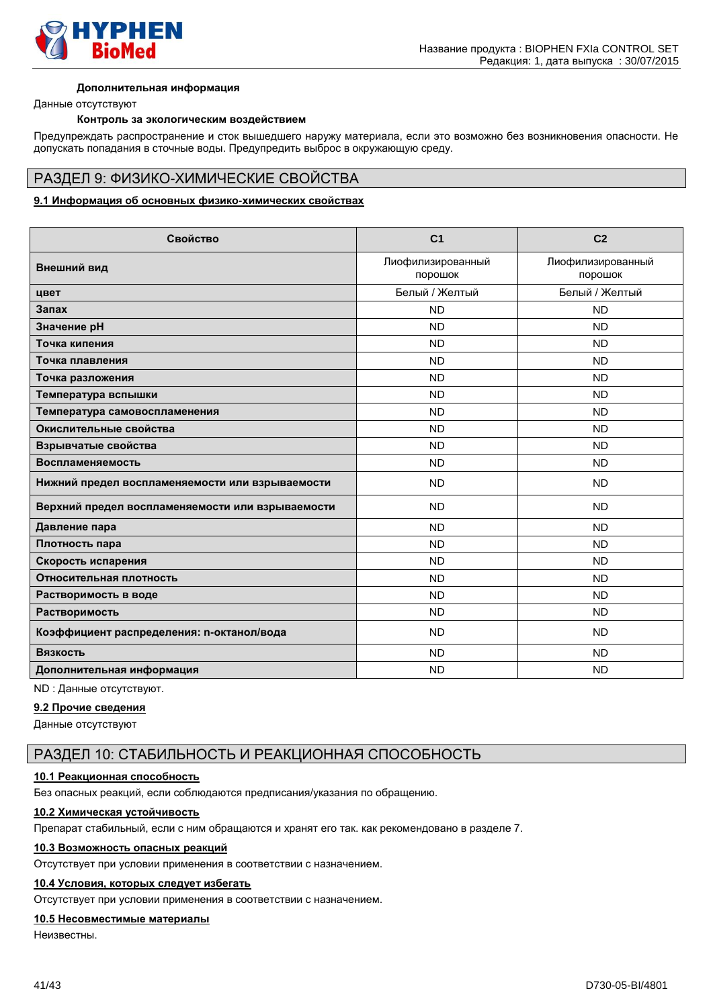

#### **Дополнительная информация**

Данные отсутствуют

#### **Контроль за экологическим воздействием**

Предупреждать распространение и сток вышедшего наружу материала, если это возможно без возникновения опасности. Не допускать попадания в сточные воды. Предупредить выброс в окружающую среду.

# РАЗДЕЛ 9: ФИЗИКО-ХИМИЧЕСКИЕ СВОЙСТВА

#### **9.1 Информация об основных физико-химических свойствах**

| Свойство                                         | C <sub>1</sub>               | C <sub>2</sub>               |
|--------------------------------------------------|------------------------------|------------------------------|
| Внешний вид                                      | Лиофилизированный<br>порошок | Лиофилизированный<br>порошок |
| цвет                                             | Белый / Желтый               | Белый / Желтый               |
| Запах                                            | <b>ND</b>                    | <b>ND</b>                    |
| Значение рН                                      | <b>ND</b>                    | <b>ND</b>                    |
| Точка кипения                                    | <b>ND</b>                    | <b>ND</b>                    |
| Точка плавления                                  | <b>ND</b>                    | <b>ND</b>                    |
| Точка разложения                                 | <b>ND</b>                    | <b>ND</b>                    |
| Температура вспышки                              | <b>ND</b>                    | <b>ND</b>                    |
| Температура самовоспламенения                    | <b>ND</b>                    | <b>ND</b>                    |
| Окислительные свойства                           | <b>ND</b>                    | <b>ND</b>                    |
| Взрывчатые свойства                              | <b>ND</b>                    | <b>ND</b>                    |
| Воспламеняемость                                 | <b>ND</b>                    | <b>ND</b>                    |
| Нижний предел воспламеняемости или взрываемости  | <b>ND</b>                    | <b>ND</b>                    |
| Верхний предел воспламеняемости или взрываемости | <b>ND</b>                    | <b>ND</b>                    |
| Давление пара                                    | <b>ND</b>                    | <b>ND</b>                    |
| Плотность пара                                   | <b>ND</b>                    | <b>ND</b>                    |
| Скорость испарения                               | <b>ND</b>                    | <b>ND</b>                    |
| Относительная плотность                          | <b>ND</b>                    | <b>ND</b>                    |
| Растворимость в воде                             | <b>ND</b>                    | <b>ND</b>                    |
| Растворимость                                    | <b>ND</b>                    | <b>ND</b>                    |
| Коэффициент распределения: n-октанол/вода        | <b>ND</b>                    | <b>ND</b>                    |
| Вязкость                                         | <b>ND</b>                    | <b>ND</b>                    |
| Дополнительная информация                        | <b>ND</b>                    | <b>ND</b>                    |

# ND : Данные отсутствуют.

**9.2 Прочие сведения**

Данные отсутствуют

# РАЗДЕЛ 10: СТАБИЛЬНОСТЬ И РЕАКЦИОННАЯ СПОСОБНОСТЬ

### **10.1 Реакционная способность**

Без опасных реакций, если соблюдаются предписания/указания по обращению.

# **10.2 Химическая устойчивость**

Препарат стабильный, если с ним обращаются и хранят его так. как рекомендовано в разделе 7.

#### **10.3 Возможность опасных реакций**

Отсутствует при условии применения в соответствии с назначением.

# **10.4 Условия, которых следует избегать**

Отсутствует при условии применения в соответствии с назначением.

# **10.5 Несовместимые материалы**

Неизвестны.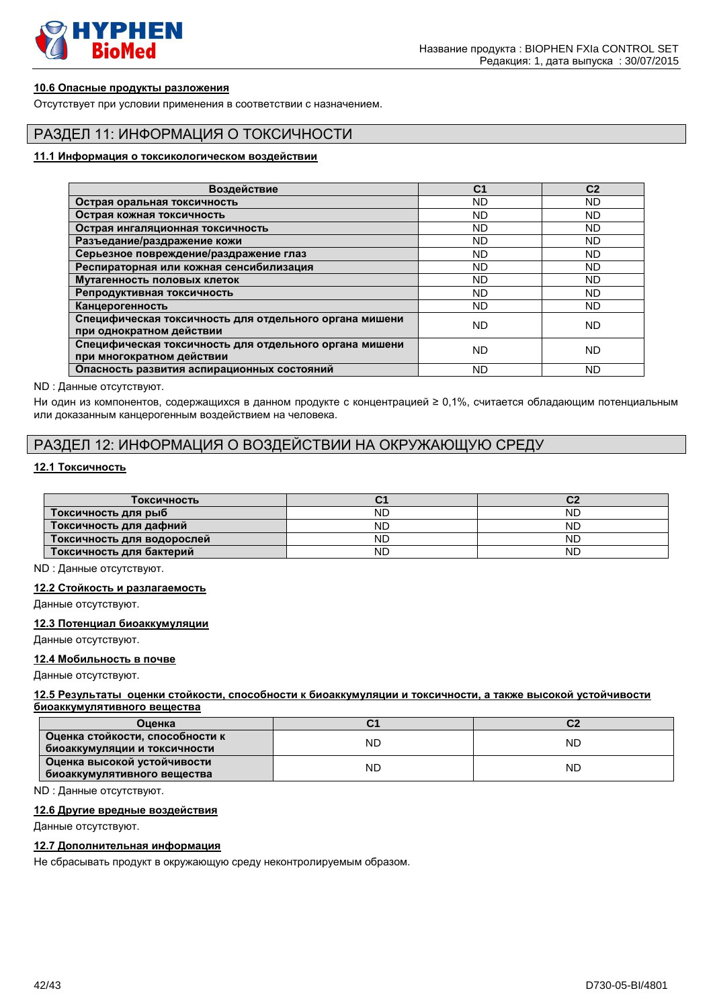

# **10.6 Опасные продукты разложения**

Отсутствует при условии применения в соответствии с назначением.

# РАЗДЕЛ 11: ИНФОРМАЦИЯ О ТОКСИЧНОСТИ

#### **11.1 Информация о токсикологическом воздействии**

| Воздействие                                                                         | C <sub>1</sub> | C <sub>2</sub> |
|-------------------------------------------------------------------------------------|----------------|----------------|
| Острая оральная токсичность                                                         | <b>ND</b>      | <b>ND</b>      |
| Острая кожная токсичность                                                           | <b>ND</b>      | ND             |
| Острая ингаляционная токсичность                                                    | <b>ND</b>      | <b>ND</b>      |
| Разъедание/раздражение кожи                                                         | ND             | ND             |
| Серьезное повреждение/раздражение глаз                                              | ND             | ND             |
| Респираторная или кожная сенсибилизация                                             | <b>ND</b>      | <b>ND</b>      |
| Мутагенность половых клеток                                                         | <b>ND</b>      | <b>ND</b>      |
| Репродуктивная токсичность                                                          | <b>ND</b>      | <b>ND</b>      |
| Канцерогенность                                                                     | <b>ND</b>      | <b>ND</b>      |
| Специфическая токсичность для отдельного органа мишени<br>при однократном действии  | ND             | ND             |
| Специфическая токсичность для отдельного органа мишени<br>при многократном действии | <b>ND</b>      | <b>ND</b>      |
| Опасность развития аспирационных состояний                                          | <b>ND</b>      | ND             |

#### ND : Данные отсутствуют.

Ни один из компонентов, содержащихся в данном продукте с концентрацией ≥ 0,1%, считается обладающим потенциальным или доказанным канцерогенным воздействием на человека.

# РАЗДЕЛ 12: ИНФОРМАЦИЯ О ВОЗДЕЙСТВИИ НА ОКРУЖАЮЩУЮ СРЕДУ

# **12.1 Токсичность**

| Токсичность                | U.        |    |
|----------------------------|-----------|----|
| Токсичность для рыб        | <b>ND</b> | ND |
| Токсичность для дафний     | <b>ND</b> | ND |
| Токсичность для водорослей | ND        | ND |
| Токсичность для бактерий   | <b>ND</b> | ND |

ND : Данные отсутствуют.

#### **12.2 Стойкость и разлагаемость**

Данные отсутствуют.

# **12.3 Потенциал биоаккумуляции**

Данные отсутствуют.

#### **12.4 Мобильность в почве**

Данные отсутствуют.

#### **12.5 Результаты оценки стойкости, способности к биоаккумуляции и токсичности, а также высокой устойчивости биоаккумулятивного вещества**

| Оценка                                                          |    | ~~        |
|-----------------------------------------------------------------|----|-----------|
| Оценка стойкости, способности к<br>биоаккумуляции и токсичности | ND | ND.       |
| Оценка высокой устойчивости<br>биоаккумулятивного вещества      | ND | <b>ND</b> |

ND : Данные отсутствуют.

#### **12.6 Другие вредные воздействия**

Данные отсутствуют.

#### **12.7 Дополнительная информация**

Не сбрасывать продукт в окружающую среду неконтролируемым образом.